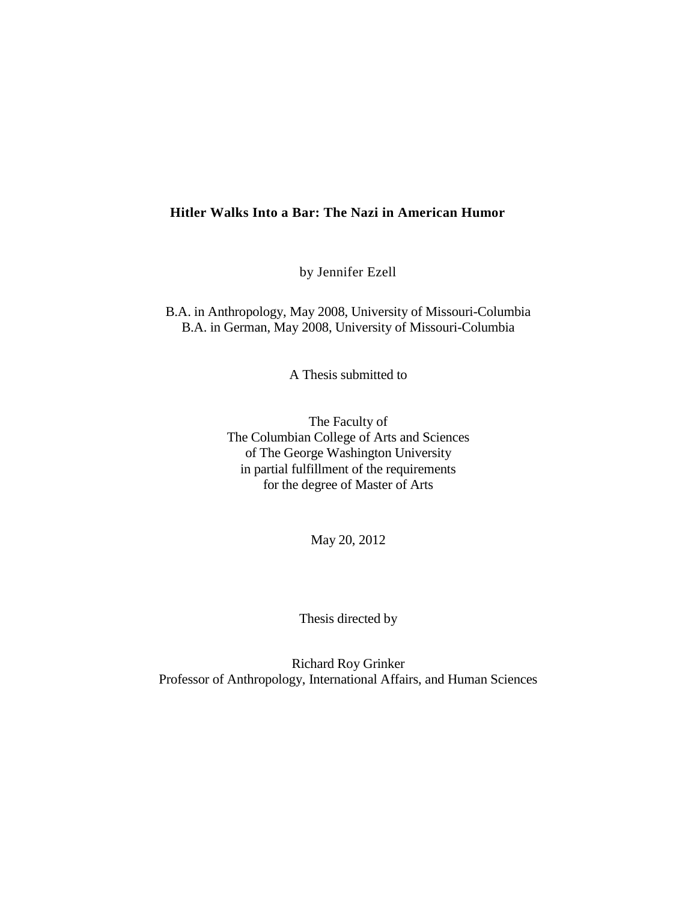# **Hitler Walks Into a Bar: The Nazi in American Humor**

by Jennifer Ezell

B.A. in Anthropology, May 2008, University of Missouri-Columbia B.A. in German, May 2008, University of Missouri-Columbia

A Thesis submitted to

The Faculty of The Columbian College of Arts and Sciences of The George Washington University in partial fulfillment of the requirements for the degree of Master of Arts

May 20, 2012

Thesis directed by

Richard Roy Grinker Professor of Anthropology, International Affairs, and Human Sciences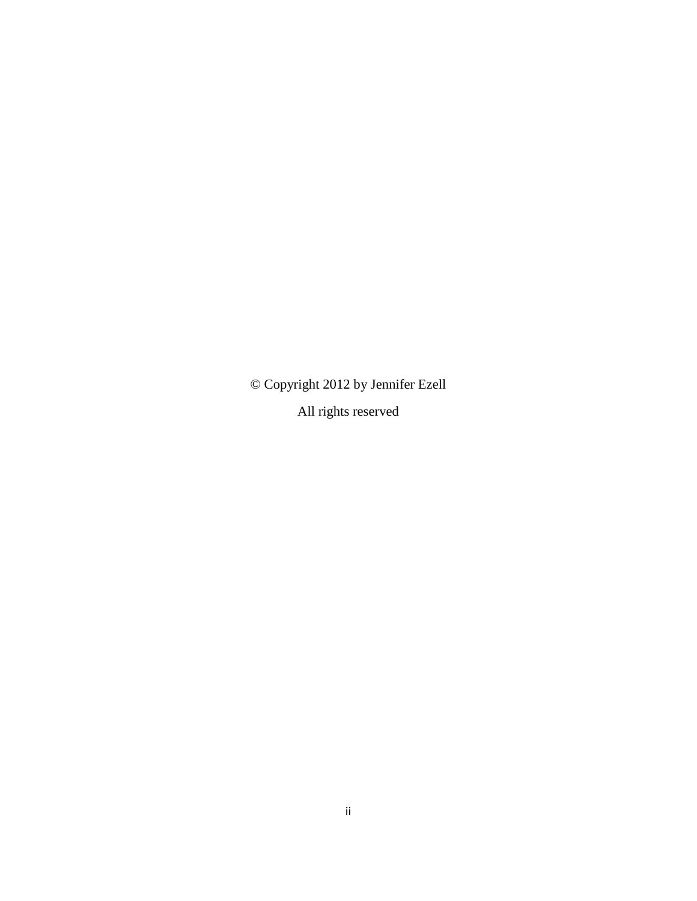© Copyright 2012 by Jennifer Ezell All rights reserved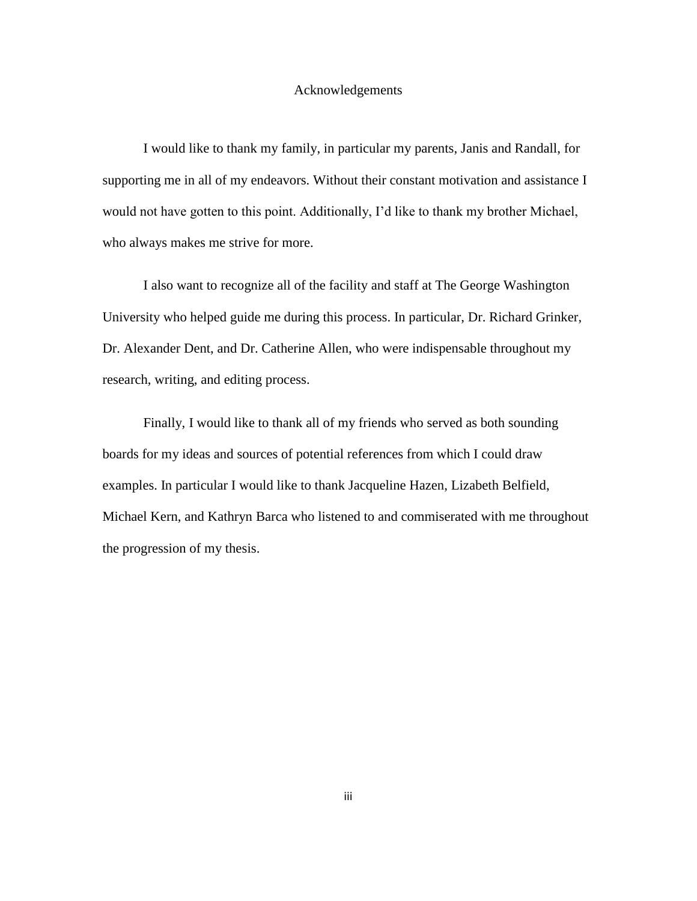## Acknowledgements

I would like to thank my family, in particular my parents, Janis and Randall, for supporting me in all of my endeavors. Without their constant motivation and assistance I would not have gotten to this point. Additionally, I'd like to thank my brother Michael, who always makes me strive for more.

I also want to recognize all of the facility and staff at The George Washington University who helped guide me during this process. In particular, Dr. Richard Grinker, Dr. Alexander Dent, and Dr. Catherine Allen, who were indispensable throughout my research, writing, and editing process.

Finally, I would like to thank all of my friends who served as both sounding boards for my ideas and sources of potential references from which I could draw examples. In particular I would like to thank Jacqueline Hazen, Lizabeth Belfield, Michael Kern, and Kathryn Barca who listened to and commiserated with me throughout the progression of my thesis.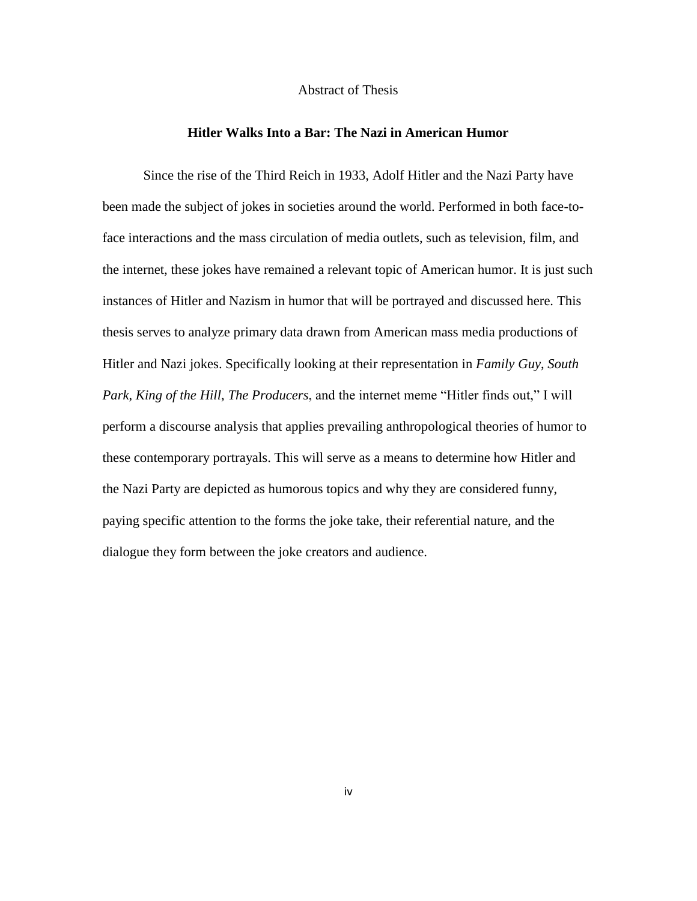# Abstract of Thesis

# **Hitler Walks Into a Bar: The Nazi in American Humor**

Since the rise of the Third Reich in 1933, Adolf Hitler and the Nazi Party have been made the subject of jokes in societies around the world. Performed in both face-toface interactions and the mass circulation of media outlets, such as television, film, and the internet, these jokes have remained a relevant topic of American humor. It is just such instances of Hitler and Nazism in humor that will be portrayed and discussed here. This thesis serves to analyze primary data drawn from American mass media productions of Hitler and Nazi jokes. Specifically looking at their representation in *Family Guy*, *South Park*, *King of the Hill*, *The Producers*, and the internet meme "Hitler finds out," I will perform a discourse analysis that applies prevailing anthropological theories of humor to these contemporary portrayals. This will serve as a means to determine how Hitler and the Nazi Party are depicted as humorous topics and why they are considered funny, paying specific attention to the forms the joke take, their referential nature, and the dialogue they form between the joke creators and audience.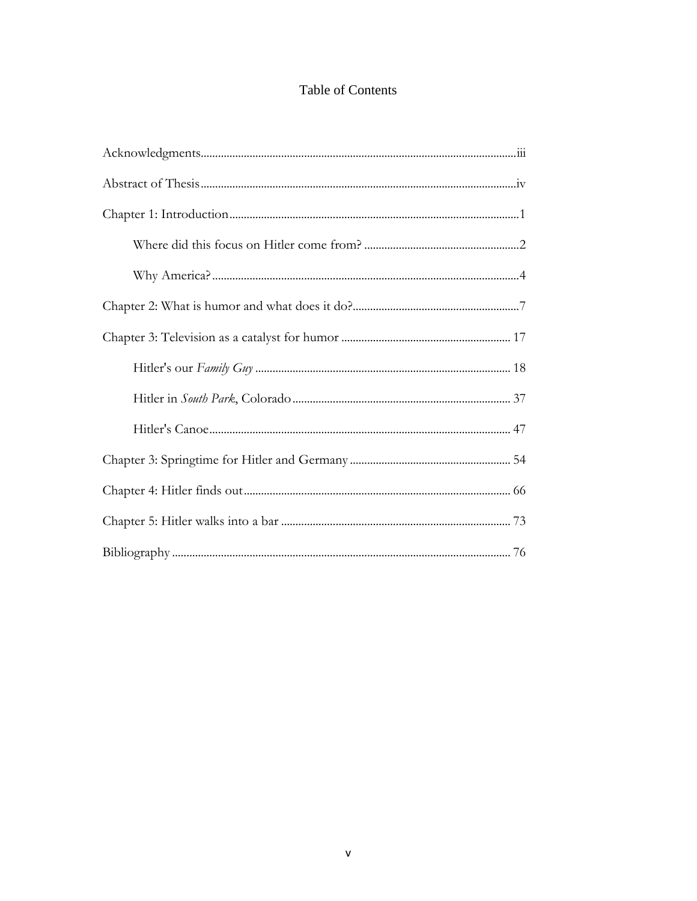# Table of Contents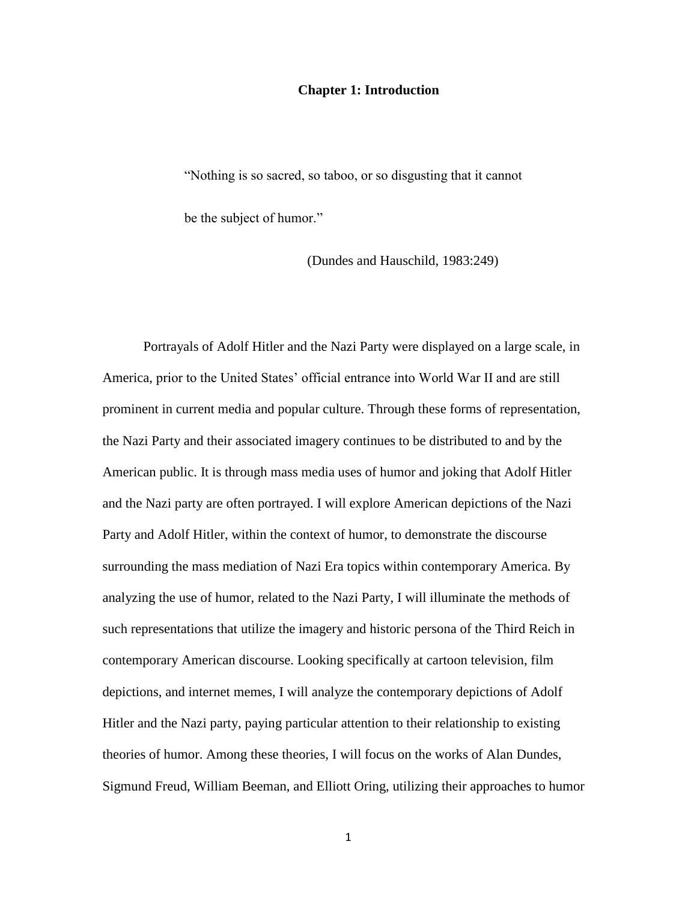### **Chapter 1: Introduction**

"Nothing is so sacred, so taboo, or so disgusting that it cannot be the subject of humor."

(Dundes and Hauschild, 1983:249)

Portrayals of Adolf Hitler and the Nazi Party were displayed on a large scale, in America, prior to the United States' official entrance into World War II and are still prominent in current media and popular culture. Through these forms of representation, the Nazi Party and their associated imagery continues to be distributed to and by the American public. It is through mass media uses of humor and joking that Adolf Hitler and the Nazi party are often portrayed. I will explore American depictions of the Nazi Party and Adolf Hitler, within the context of humor, to demonstrate the discourse surrounding the mass mediation of Nazi Era topics within contemporary America. By analyzing the use of humor, related to the Nazi Party, I will illuminate the methods of such representations that utilize the imagery and historic persona of the Third Reich in contemporary American discourse. Looking specifically at cartoon television, film depictions, and internet memes, I will analyze the contemporary depictions of Adolf Hitler and the Nazi party, paying particular attention to their relationship to existing theories of humor. Among these theories, I will focus on the works of Alan Dundes, Sigmund Freud, William Beeman, and Elliott Oring, utilizing their approaches to humor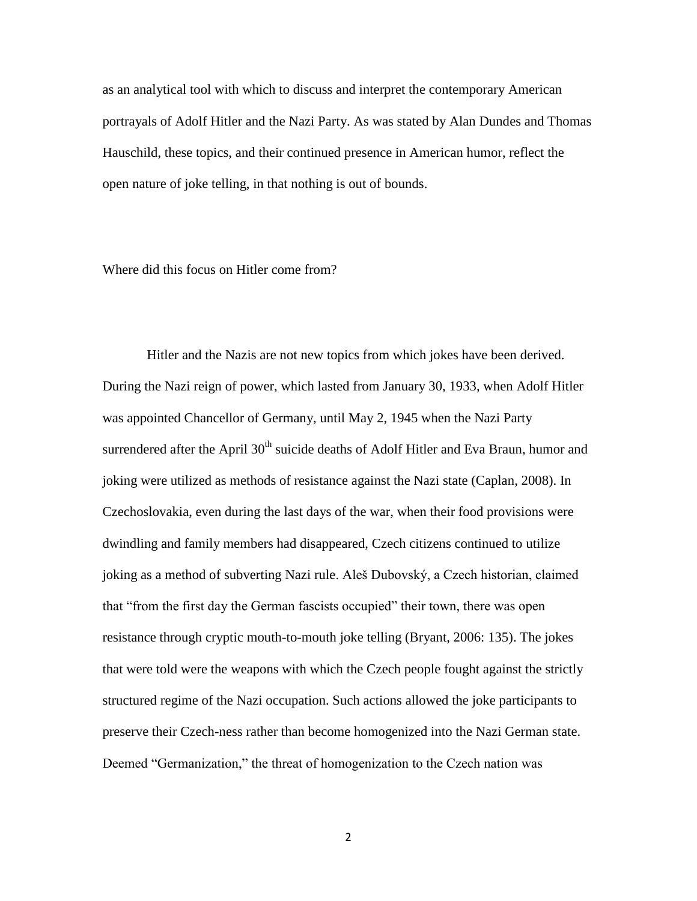as an analytical tool with which to discuss and interpret the contemporary American portrayals of Adolf Hitler and the Nazi Party. As was stated by Alan Dundes and Thomas Hauschild, these topics, and their continued presence in American humor, reflect the open nature of joke telling, in that nothing is out of bounds.

Where did this focus on Hitler come from?

 Hitler and the Nazis are not new topics from which jokes have been derived. During the Nazi reign of power, which lasted from January 30, 1933, when Adolf Hitler was appointed Chancellor of Germany, until May 2, 1945 when the Nazi Party surrendered after the April 30<sup>th</sup> suicide deaths of Adolf Hitler and Eva Braun, humor and joking were utilized as methods of resistance against the Nazi state (Caplan, 2008). In Czechoslovakia, even during the last days of the war, when their food provisions were dwindling and family members had disappeared, Czech citizens continued to utilize joking as a method of subverting Nazi rule. Aleš Dubovský, a Czech historian, claimed that "from the first day the German fascists occupied" their town, there was open resistance through cryptic mouth-to-mouth joke telling (Bryant, 2006: 135). The jokes that were told were the weapons with which the Czech people fought against the strictly structured regime of the Nazi occupation. Such actions allowed the joke participants to preserve their Czech-ness rather than become homogenized into the Nazi German state. Deemed "Germanization," the threat of homogenization to the Czech nation was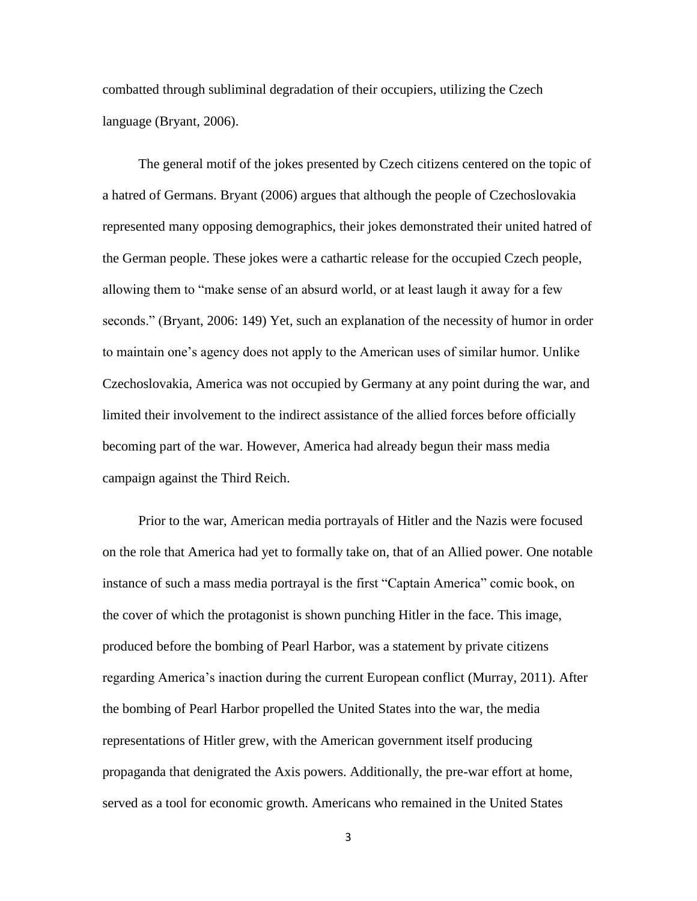combatted through subliminal degradation of their occupiers, utilizing the Czech language (Bryant, 2006).

The general motif of the jokes presented by Czech citizens centered on the topic of a hatred of Germans. Bryant (2006) argues that although the people of Czechoslovakia represented many opposing demographics, their jokes demonstrated their united hatred of the German people. These jokes were a cathartic release for the occupied Czech people, allowing them to "make sense of an absurd world, or at least laugh it away for a few seconds." (Bryant, 2006: 149) Yet, such an explanation of the necessity of humor in order to maintain one's agency does not apply to the American uses of similar humor. Unlike Czechoslovakia, America was not occupied by Germany at any point during the war, and limited their involvement to the indirect assistance of the allied forces before officially becoming part of the war. However, America had already begun their mass media campaign against the Third Reich.

Prior to the war, American media portrayals of Hitler and the Nazis were focused on the role that America had yet to formally take on, that of an Allied power. One notable instance of such a mass media portrayal is the first "Captain America" comic book, on the cover of which the protagonist is shown punching Hitler in the face. This image, produced before the bombing of Pearl Harbor, was a statement by private citizens regarding America's inaction during the current European conflict (Murray, 2011). After the bombing of Pearl Harbor propelled the United States into the war, the media representations of Hitler grew, with the American government itself producing propaganda that denigrated the Axis powers. Additionally, the pre-war effort at home, served as a tool for economic growth. Americans who remained in the United States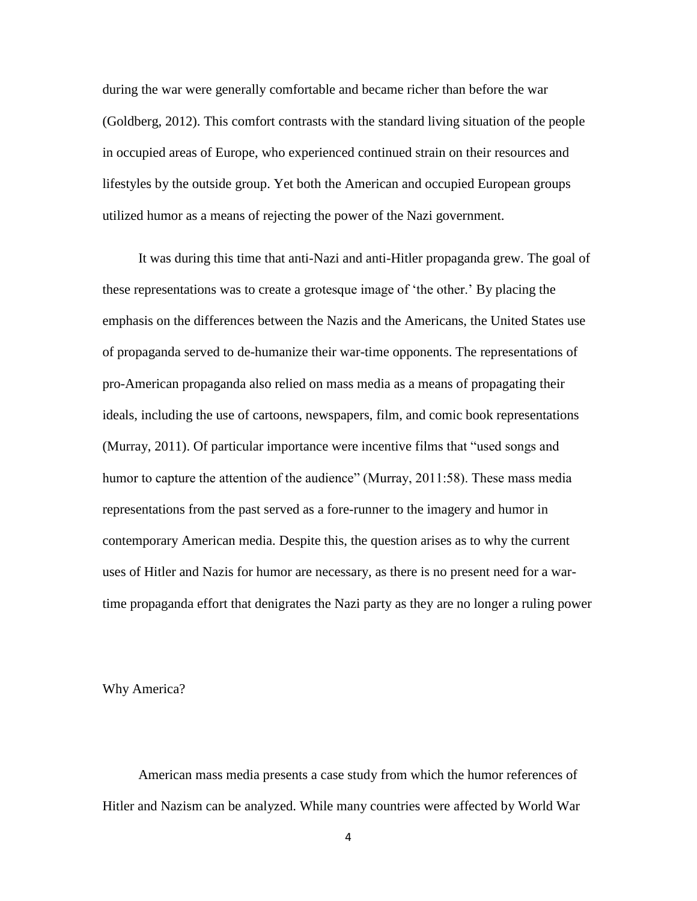during the war were generally comfortable and became richer than before the war (Goldberg, 2012). This comfort contrasts with the standard living situation of the people in occupied areas of Europe, who experienced continued strain on their resources and lifestyles by the outside group. Yet both the American and occupied European groups utilized humor as a means of rejecting the power of the Nazi government.

It was during this time that anti-Nazi and anti-Hitler propaganda grew. The goal of these representations was to create a grotesque image of 'the other.' By placing the emphasis on the differences between the Nazis and the Americans, the United States use of propaganda served to de-humanize their war-time opponents. The representations of pro-American propaganda also relied on mass media as a means of propagating their ideals, including the use of cartoons, newspapers, film, and comic book representations (Murray, 2011). Of particular importance were incentive films that "used songs and humor to capture the attention of the audience" (Murray, 2011:58). These mass media representations from the past served as a fore-runner to the imagery and humor in contemporary American media. Despite this, the question arises as to why the current uses of Hitler and Nazis for humor are necessary, as there is no present need for a wartime propaganda effort that denigrates the Nazi party as they are no longer a ruling power

Why America?

American mass media presents a case study from which the humor references of Hitler and Nazism can be analyzed. While many countries were affected by World War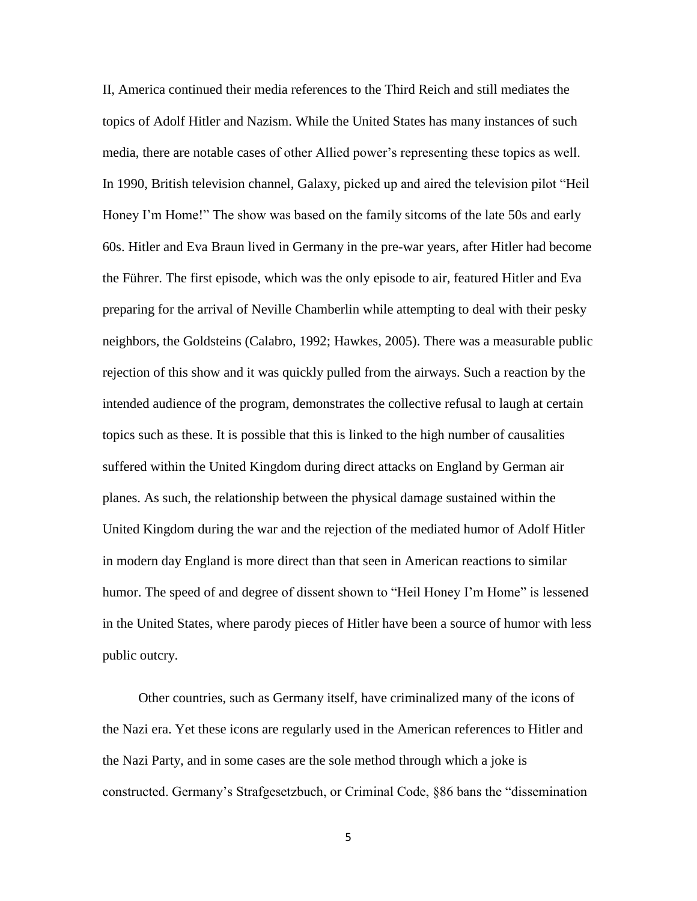II, America continued their media references to the Third Reich and still mediates the topics of Adolf Hitler and Nazism. While the United States has many instances of such media, there are notable cases of other Allied power's representing these topics as well. In 1990, British television channel, Galaxy, picked up and aired the television pilot "Heil Honey I'm Home!" The show was based on the family sitcoms of the late 50s and early 60s. Hitler and Eva Braun lived in Germany in the pre-war years, after Hitler had become the Führer. The first episode, which was the only episode to air, featured Hitler and Eva preparing for the arrival of Neville Chamberlin while attempting to deal with their pesky neighbors, the Goldsteins (Calabro, 1992; Hawkes, 2005). There was a measurable public rejection of this show and it was quickly pulled from the airways. Such a reaction by the intended audience of the program, demonstrates the collective refusal to laugh at certain topics such as these. It is possible that this is linked to the high number of causalities suffered within the United Kingdom during direct attacks on England by German air planes. As such, the relationship between the physical damage sustained within the United Kingdom during the war and the rejection of the mediated humor of Adolf Hitler in modern day England is more direct than that seen in American reactions to similar humor. The speed of and degree of dissent shown to "Heil Honey I'm Home" is lessened in the United States, where parody pieces of Hitler have been a source of humor with less public outcry.

Other countries, such as Germany itself, have criminalized many of the icons of the Nazi era. Yet these icons are regularly used in the American references to Hitler and the Nazi Party, and in some cases are the sole method through which a joke is constructed. Germany's Strafgesetzbuch, or Criminal Code, §86 bans the "dissemination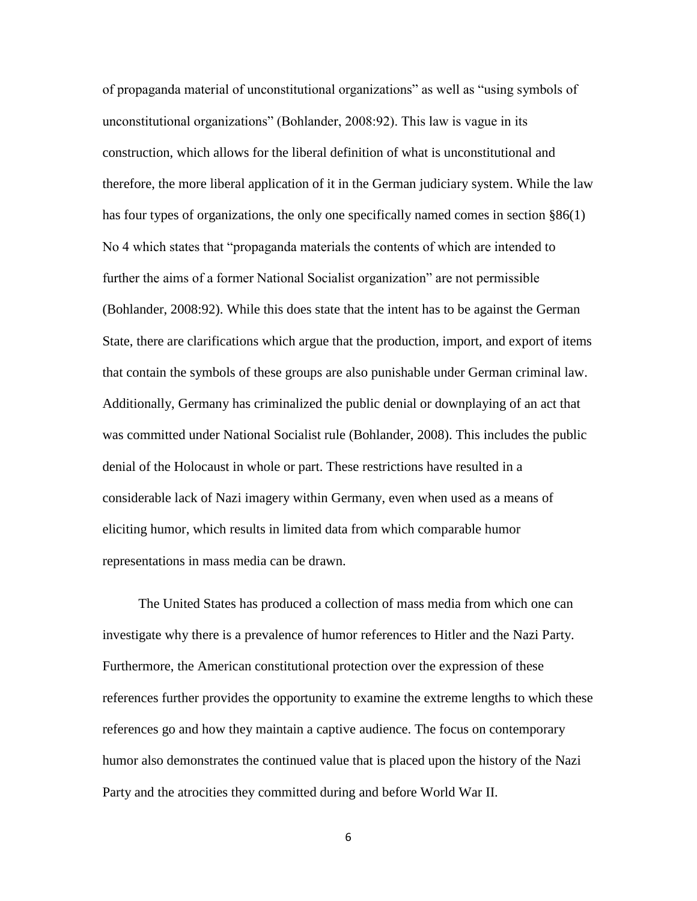of propaganda material of unconstitutional organizations" as well as "using symbols of unconstitutional organizations" (Bohlander, 2008:92). This law is vague in its construction, which allows for the liberal definition of what is unconstitutional and therefore, the more liberal application of it in the German judiciary system. While the law has four types of organizations, the only one specifically named comes in section §86(1) No 4 which states that "propaganda materials the contents of which are intended to further the aims of a former National Socialist organization" are not permissible (Bohlander, 2008:92). While this does state that the intent has to be against the German State, there are clarifications which argue that the production, import, and export of items that contain the symbols of these groups are also punishable under German criminal law. Additionally, Germany has criminalized the public denial or downplaying of an act that was committed under National Socialist rule (Bohlander, 2008). This includes the public denial of the Holocaust in whole or part. These restrictions have resulted in a considerable lack of Nazi imagery within Germany, even when used as a means of eliciting humor, which results in limited data from which comparable humor representations in mass media can be drawn.

The United States has produced a collection of mass media from which one can investigate why there is a prevalence of humor references to Hitler and the Nazi Party. Furthermore, the American constitutional protection over the expression of these references further provides the opportunity to examine the extreme lengths to which these references go and how they maintain a captive audience. The focus on contemporary humor also demonstrates the continued value that is placed upon the history of the Nazi Party and the atrocities they committed during and before World War II.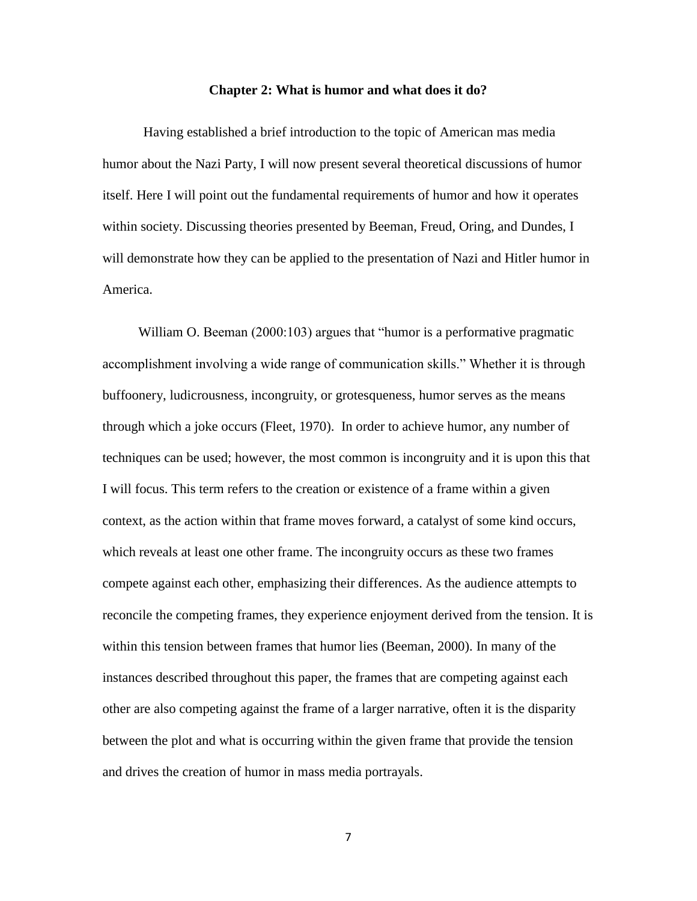#### **Chapter 2: What is humor and what does it do?**

Having established a brief introduction to the topic of American mas media humor about the Nazi Party, I will now present several theoretical discussions of humor itself. Here I will point out the fundamental requirements of humor and how it operates within society. Discussing theories presented by Beeman, Freud, Oring, and Dundes, I will demonstrate how they can be applied to the presentation of Nazi and Hitler humor in America.

William O. Beeman (2000:103) argues that "humor is a performative pragmatic accomplishment involving a wide range of communication skills." Whether it is through buffoonery, ludicrousness, incongruity, or grotesqueness, humor serves as the means through which a joke occurs (Fleet, 1970). In order to achieve humor, any number of techniques can be used; however, the most common is incongruity and it is upon this that I will focus. This term refers to the creation or existence of a frame within a given context, as the action within that frame moves forward, a catalyst of some kind occurs, which reveals at least one other frame. The incongruity occurs as these two frames compete against each other, emphasizing their differences. As the audience attempts to reconcile the competing frames, they experience enjoyment derived from the tension. It is within this tension between frames that humor lies (Beeman, 2000). In many of the instances described throughout this paper, the frames that are competing against each other are also competing against the frame of a larger narrative, often it is the disparity between the plot and what is occurring within the given frame that provide the tension and drives the creation of humor in mass media portrayals.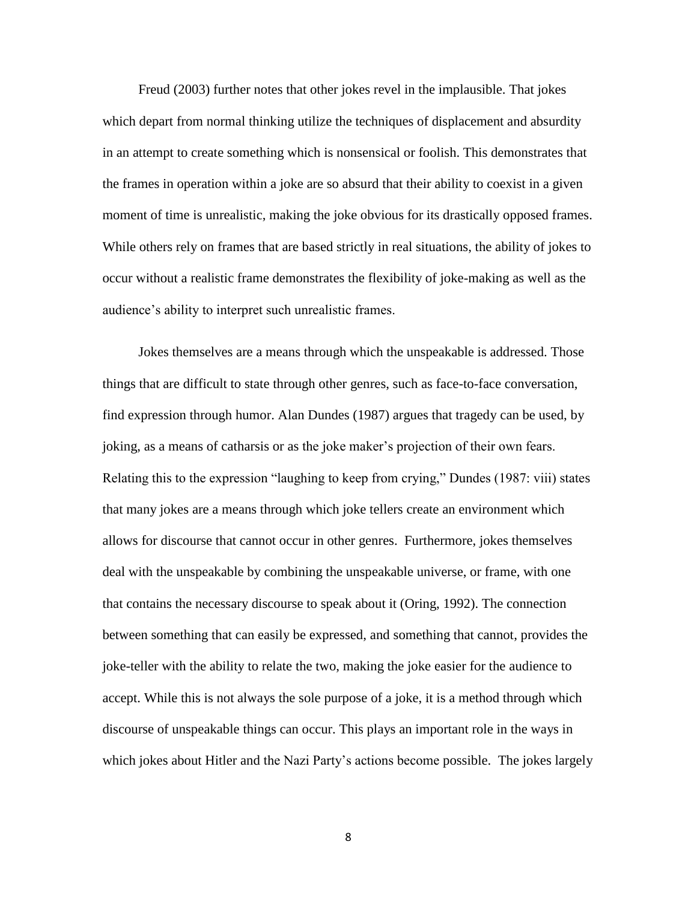Freud (2003) further notes that other jokes revel in the implausible. That jokes which depart from normal thinking utilize the techniques of displacement and absurdity in an attempt to create something which is nonsensical or foolish. This demonstrates that the frames in operation within a joke are so absurd that their ability to coexist in a given moment of time is unrealistic, making the joke obvious for its drastically opposed frames. While others rely on frames that are based strictly in real situations, the ability of jokes to occur without a realistic frame demonstrates the flexibility of joke-making as well as the audience's ability to interpret such unrealistic frames.

Jokes themselves are a means through which the unspeakable is addressed. Those things that are difficult to state through other genres, such as face-to-face conversation, find expression through humor. Alan Dundes (1987) argues that tragedy can be used, by joking, as a means of catharsis or as the joke maker's projection of their own fears. Relating this to the expression "laughing to keep from crying," Dundes (1987: viii) states that many jokes are a means through which joke tellers create an environment which allows for discourse that cannot occur in other genres. Furthermore, jokes themselves deal with the unspeakable by combining the unspeakable universe, or frame, with one that contains the necessary discourse to speak about it (Oring, 1992). The connection between something that can easily be expressed, and something that cannot, provides the joke-teller with the ability to relate the two, making the joke easier for the audience to accept. While this is not always the sole purpose of a joke, it is a method through which discourse of unspeakable things can occur. This plays an important role in the ways in which jokes about Hitler and the Nazi Party's actions become possible. The jokes largely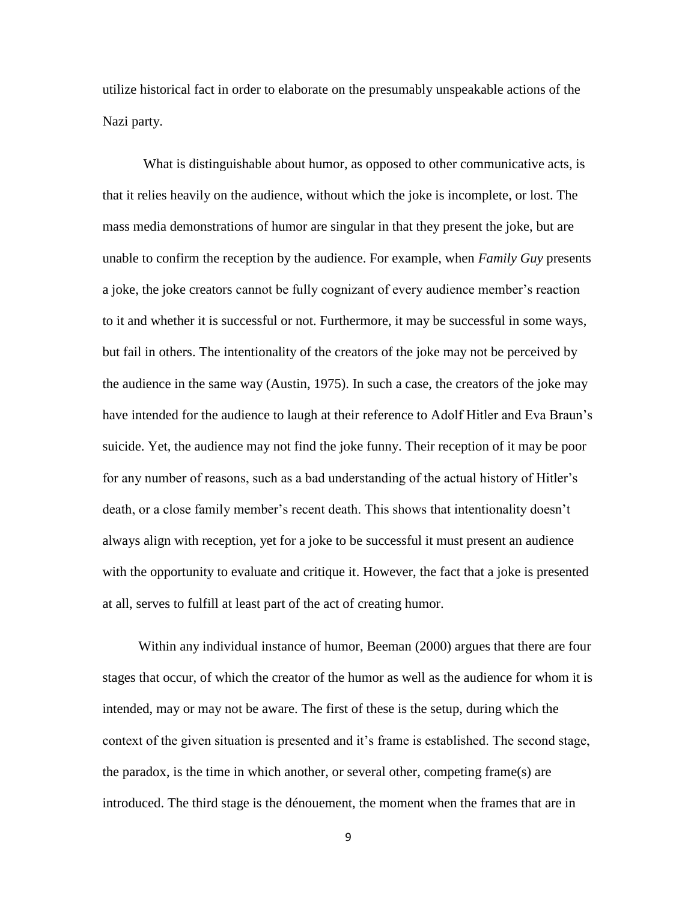utilize historical fact in order to elaborate on the presumably unspeakable actions of the Nazi party.

What is distinguishable about humor, as opposed to other communicative acts, is that it relies heavily on the audience, without which the joke is incomplete, or lost. The mass media demonstrations of humor are singular in that they present the joke, but are unable to confirm the reception by the audience. For example, when *Family Guy* presents a joke, the joke creators cannot be fully cognizant of every audience member's reaction to it and whether it is successful or not. Furthermore, it may be successful in some ways, but fail in others. The intentionality of the creators of the joke may not be perceived by the audience in the same way (Austin, 1975). In such a case, the creators of the joke may have intended for the audience to laugh at their reference to Adolf Hitler and Eva Braun's suicide. Yet, the audience may not find the joke funny. Their reception of it may be poor for any number of reasons, such as a bad understanding of the actual history of Hitler's death, or a close family member's recent death. This shows that intentionality doesn't always align with reception, yet for a joke to be successful it must present an audience with the opportunity to evaluate and critique it. However, the fact that a joke is presented at all, serves to fulfill at least part of the act of creating humor.

Within any individual instance of humor, Beeman (2000) argues that there are four stages that occur, of which the creator of the humor as well as the audience for whom it is intended, may or may not be aware. The first of these is the setup, during which the context of the given situation is presented and it's frame is established. The second stage, the paradox, is the time in which another, or several other, competing frame(s) are introduced. The third stage is the dénouement, the moment when the frames that are in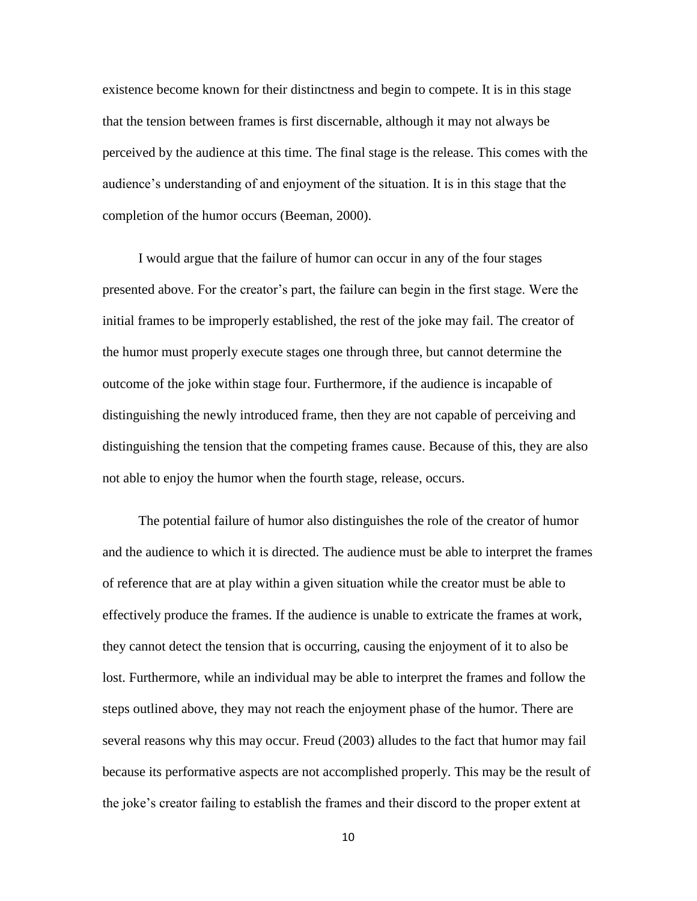existence become known for their distinctness and begin to compete. It is in this stage that the tension between frames is first discernable, although it may not always be perceived by the audience at this time. The final stage is the release. This comes with the audience's understanding of and enjoyment of the situation. It is in this stage that the completion of the humor occurs (Beeman, 2000).

I would argue that the failure of humor can occur in any of the four stages presented above. For the creator's part, the failure can begin in the first stage. Were the initial frames to be improperly established, the rest of the joke may fail. The creator of the humor must properly execute stages one through three, but cannot determine the outcome of the joke within stage four. Furthermore, if the audience is incapable of distinguishing the newly introduced frame, then they are not capable of perceiving and distinguishing the tension that the competing frames cause. Because of this, they are also not able to enjoy the humor when the fourth stage, release, occurs.

The potential failure of humor also distinguishes the role of the creator of humor and the audience to which it is directed. The audience must be able to interpret the frames of reference that are at play within a given situation while the creator must be able to effectively produce the frames. If the audience is unable to extricate the frames at work, they cannot detect the tension that is occurring, causing the enjoyment of it to also be lost. Furthermore, while an individual may be able to interpret the frames and follow the steps outlined above, they may not reach the enjoyment phase of the humor. There are several reasons why this may occur. Freud (2003) alludes to the fact that humor may fail because its performative aspects are not accomplished properly. This may be the result of the joke's creator failing to establish the frames and their discord to the proper extent at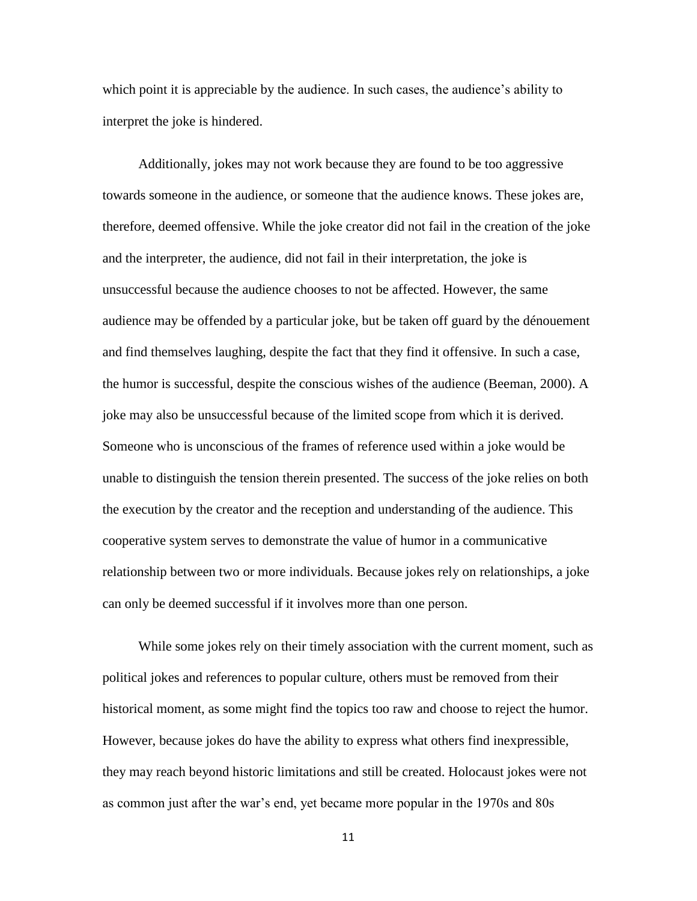which point it is appreciable by the audience. In such cases, the audience's ability to interpret the joke is hindered.

Additionally, jokes may not work because they are found to be too aggressive towards someone in the audience, or someone that the audience knows. These jokes are, therefore, deemed offensive. While the joke creator did not fail in the creation of the joke and the interpreter, the audience, did not fail in their interpretation, the joke is unsuccessful because the audience chooses to not be affected. However, the same audience may be offended by a particular joke, but be taken off guard by the dénouement and find themselves laughing, despite the fact that they find it offensive. In such a case, the humor is successful, despite the conscious wishes of the audience (Beeman, 2000). A joke may also be unsuccessful because of the limited scope from which it is derived. Someone who is unconscious of the frames of reference used within a joke would be unable to distinguish the tension therein presented. The success of the joke relies on both the execution by the creator and the reception and understanding of the audience. This cooperative system serves to demonstrate the value of humor in a communicative relationship between two or more individuals. Because jokes rely on relationships, a joke can only be deemed successful if it involves more than one person.

While some jokes rely on their timely association with the current moment, such as political jokes and references to popular culture, others must be removed from their historical moment, as some might find the topics too raw and choose to reject the humor. However, because jokes do have the ability to express what others find inexpressible, they may reach beyond historic limitations and still be created. Holocaust jokes were not as common just after the war's end, yet became more popular in the 1970s and 80s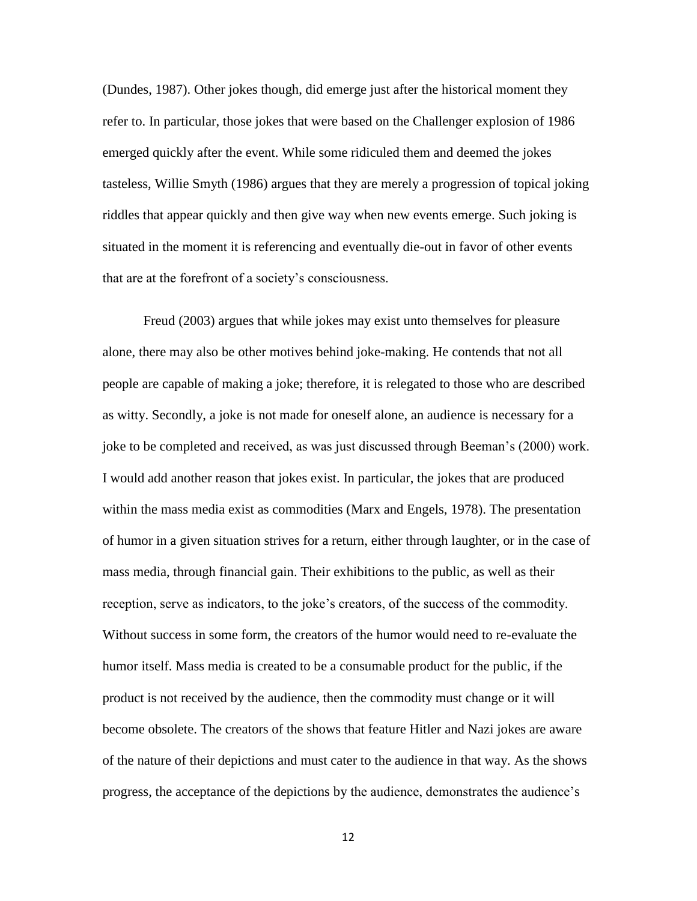(Dundes, 1987). Other jokes though, did emerge just after the historical moment they refer to. In particular, those jokes that were based on the Challenger explosion of 1986 emerged quickly after the event. While some ridiculed them and deemed the jokes tasteless, Willie Smyth (1986) argues that they are merely a progression of topical joking riddles that appear quickly and then give way when new events emerge. Such joking is situated in the moment it is referencing and eventually die-out in favor of other events that are at the forefront of a society's consciousness.

Freud (2003) argues that while jokes may exist unto themselves for pleasure alone, there may also be other motives behind joke-making. He contends that not all people are capable of making a joke; therefore, it is relegated to those who are described as witty. Secondly, a joke is not made for oneself alone, an audience is necessary for a joke to be completed and received, as was just discussed through Beeman's (2000) work. I would add another reason that jokes exist. In particular, the jokes that are produced within the mass media exist as commodities (Marx and Engels, 1978). The presentation of humor in a given situation strives for a return, either through laughter, or in the case of mass media, through financial gain. Their exhibitions to the public, as well as their reception, serve as indicators, to the joke's creators, of the success of the commodity. Without success in some form, the creators of the humor would need to re-evaluate the humor itself. Mass media is created to be a consumable product for the public, if the product is not received by the audience, then the commodity must change or it will become obsolete. The creators of the shows that feature Hitler and Nazi jokes are aware of the nature of their depictions and must cater to the audience in that way. As the shows progress, the acceptance of the depictions by the audience, demonstrates the audience's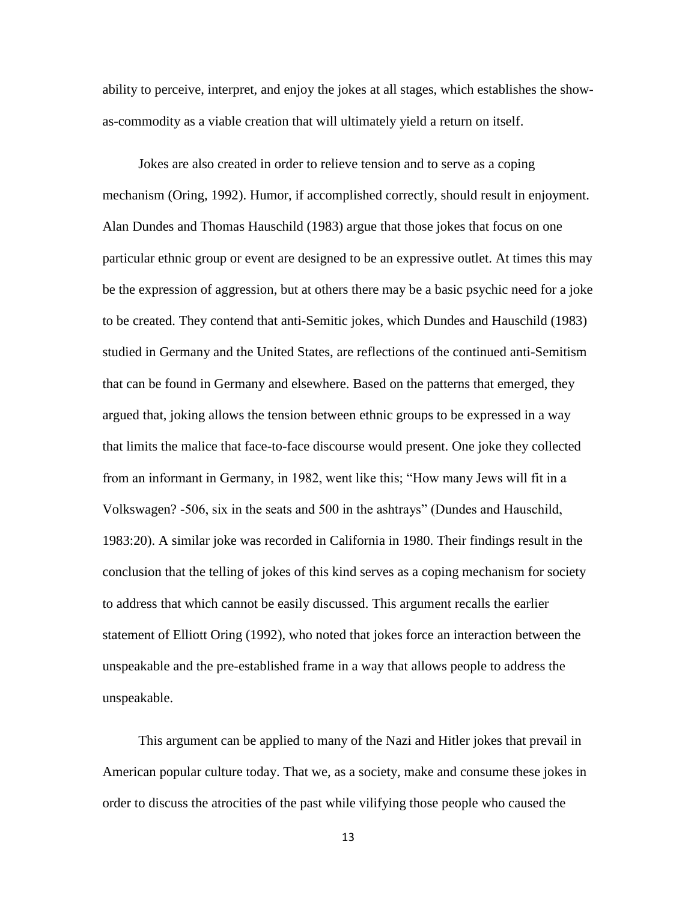ability to perceive, interpret, and enjoy the jokes at all stages, which establishes the showas-commodity as a viable creation that will ultimately yield a return on itself.

Jokes are also created in order to relieve tension and to serve as a coping mechanism (Oring, 1992). Humor, if accomplished correctly, should result in enjoyment. Alan Dundes and Thomas Hauschild (1983) argue that those jokes that focus on one particular ethnic group or event are designed to be an expressive outlet. At times this may be the expression of aggression, but at others there may be a basic psychic need for a joke to be created. They contend that anti-Semitic jokes, which Dundes and Hauschild (1983) studied in Germany and the United States, are reflections of the continued anti-Semitism that can be found in Germany and elsewhere. Based on the patterns that emerged, they argued that, joking allows the tension between ethnic groups to be expressed in a way that limits the malice that face-to-face discourse would present. One joke they collected from an informant in Germany, in 1982, went like this; "How many Jews will fit in a Volkswagen? -506, six in the seats and 500 in the ashtrays" (Dundes and Hauschild, 1983:20). A similar joke was recorded in California in 1980. Their findings result in the conclusion that the telling of jokes of this kind serves as a coping mechanism for society to address that which cannot be easily discussed. This argument recalls the earlier statement of Elliott Oring (1992), who noted that jokes force an interaction between the unspeakable and the pre-established frame in a way that allows people to address the unspeakable.

This argument can be applied to many of the Nazi and Hitler jokes that prevail in American popular culture today. That we, as a society, make and consume these jokes in order to discuss the atrocities of the past while vilifying those people who caused the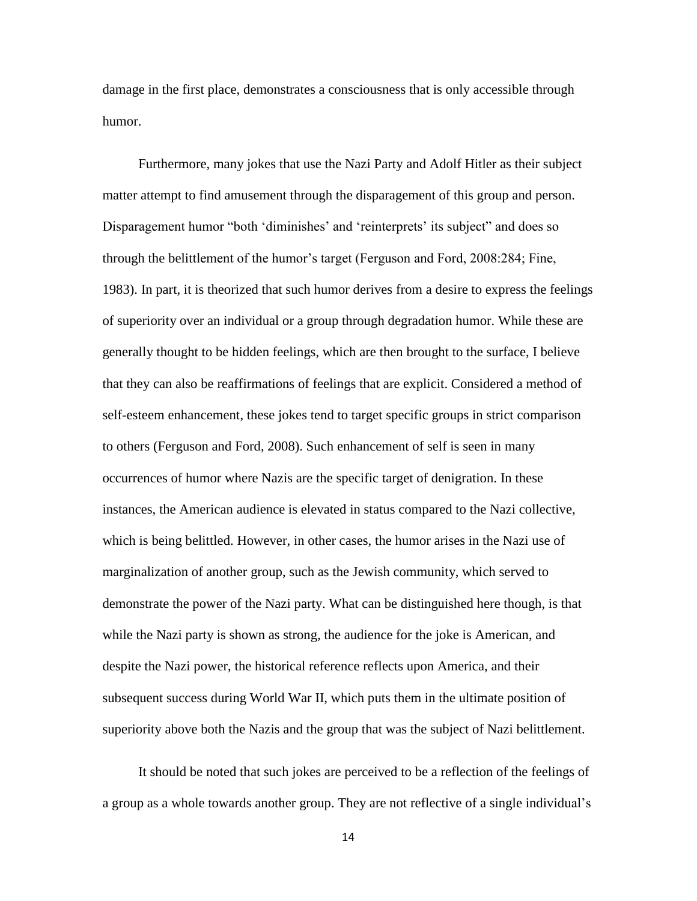damage in the first place, demonstrates a consciousness that is only accessible through humor.

Furthermore, many jokes that use the Nazi Party and Adolf Hitler as their subject matter attempt to find amusement through the disparagement of this group and person. Disparagement humor "both 'diminishes' and 'reinterprets' its subject" and does so through the belittlement of the humor's target (Ferguson and Ford, 2008:284; Fine, 1983). In part, it is theorized that such humor derives from a desire to express the feelings of superiority over an individual or a group through degradation humor. While these are generally thought to be hidden feelings, which are then brought to the surface, I believe that they can also be reaffirmations of feelings that are explicit. Considered a method of self-esteem enhancement, these jokes tend to target specific groups in strict comparison to others (Ferguson and Ford, 2008). Such enhancement of self is seen in many occurrences of humor where Nazis are the specific target of denigration. In these instances, the American audience is elevated in status compared to the Nazi collective, which is being belittled. However, in other cases, the humor arises in the Nazi use of marginalization of another group, such as the Jewish community, which served to demonstrate the power of the Nazi party. What can be distinguished here though, is that while the Nazi party is shown as strong, the audience for the joke is American, and despite the Nazi power, the historical reference reflects upon America, and their subsequent success during World War II, which puts them in the ultimate position of superiority above both the Nazis and the group that was the subject of Nazi belittlement.

It should be noted that such jokes are perceived to be a reflection of the feelings of a group as a whole towards another group. They are not reflective of a single individual's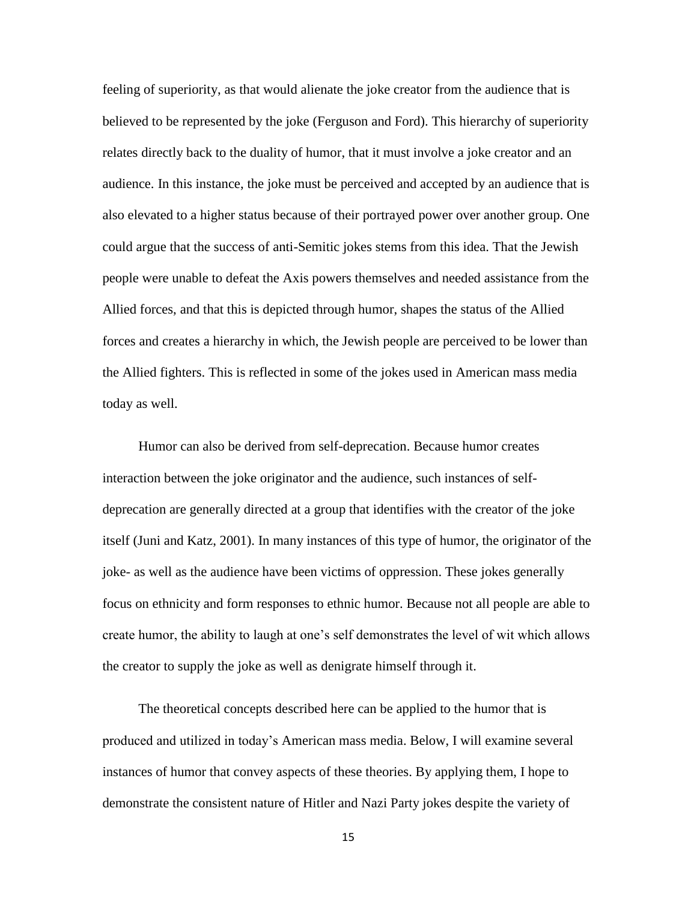feeling of superiority, as that would alienate the joke creator from the audience that is believed to be represented by the joke (Ferguson and Ford). This hierarchy of superiority relates directly back to the duality of humor, that it must involve a joke creator and an audience. In this instance, the joke must be perceived and accepted by an audience that is also elevated to a higher status because of their portrayed power over another group. One could argue that the success of anti-Semitic jokes stems from this idea. That the Jewish people were unable to defeat the Axis powers themselves and needed assistance from the Allied forces, and that this is depicted through humor, shapes the status of the Allied forces and creates a hierarchy in which, the Jewish people are perceived to be lower than the Allied fighters. This is reflected in some of the jokes used in American mass media today as well.

Humor can also be derived from self-deprecation. Because humor creates interaction between the joke originator and the audience, such instances of selfdeprecation are generally directed at a group that identifies with the creator of the joke itself (Juni and Katz, 2001). In many instances of this type of humor, the originator of the joke- as well as the audience have been victims of oppression. These jokes generally focus on ethnicity and form responses to ethnic humor. Because not all people are able to create humor, the ability to laugh at one's self demonstrates the level of wit which allows the creator to supply the joke as well as denigrate himself through it.

The theoretical concepts described here can be applied to the humor that is produced and utilized in today's American mass media. Below, I will examine several instances of humor that convey aspects of these theories. By applying them, I hope to demonstrate the consistent nature of Hitler and Nazi Party jokes despite the variety of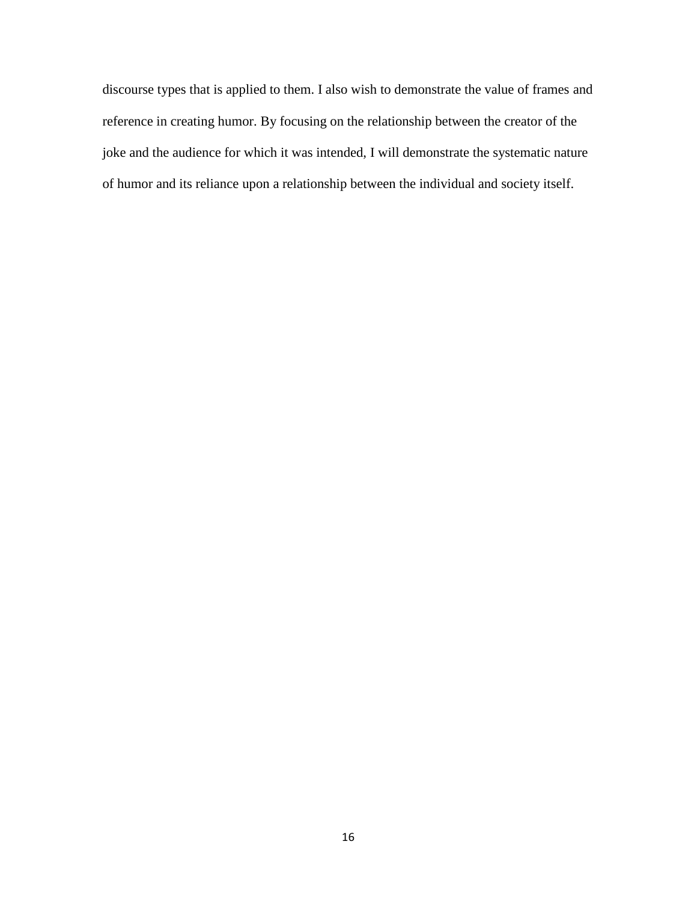discourse types that is applied to them. I also wish to demonstrate the value of frames and reference in creating humor. By focusing on the relationship between the creator of the joke and the audience for which it was intended, I will demonstrate the systematic nature of humor and its reliance upon a relationship between the individual and society itself.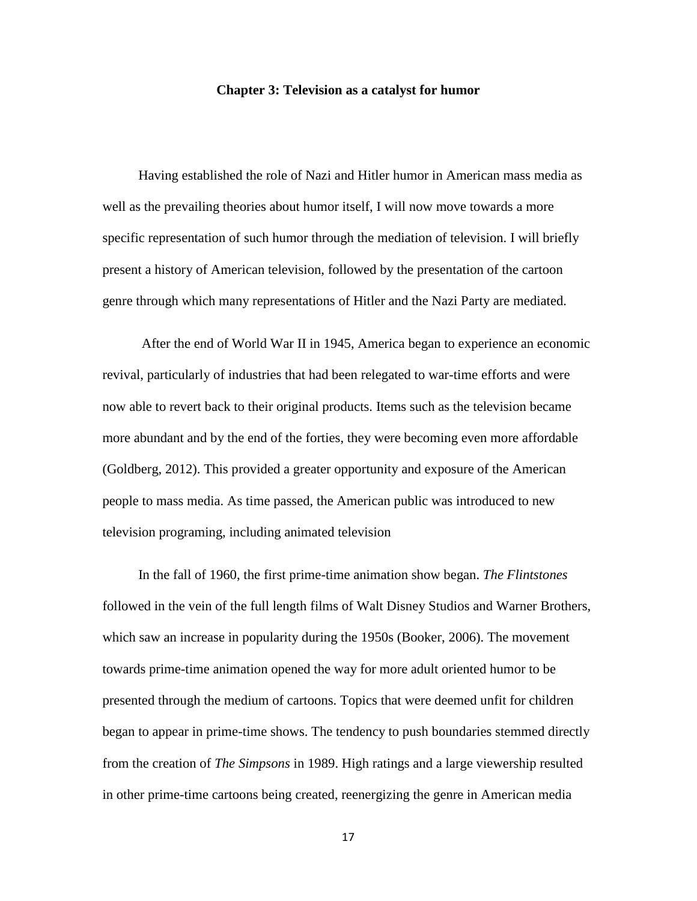## **Chapter 3: Television as a catalyst for humor**

Having established the role of Nazi and Hitler humor in American mass media as well as the prevailing theories about humor itself, I will now move towards a more specific representation of such humor through the mediation of television. I will briefly present a history of American television, followed by the presentation of the cartoon genre through which many representations of Hitler and the Nazi Party are mediated.

After the end of World War II in 1945, America began to experience an economic revival, particularly of industries that had been relegated to war-time efforts and were now able to revert back to their original products. Items such as the television became more abundant and by the end of the forties, they were becoming even more affordable (Goldberg, 2012). This provided a greater opportunity and exposure of the American people to mass media. As time passed, the American public was introduced to new television programing, including animated television

In the fall of 1960, the first prime-time animation show began. *The Flintstones* followed in the vein of the full length films of Walt Disney Studios and Warner Brothers, which saw an increase in popularity during the 1950s (Booker, 2006). The movement towards prime-time animation opened the way for more adult oriented humor to be presented through the medium of cartoons. Topics that were deemed unfit for children began to appear in prime-time shows. The tendency to push boundaries stemmed directly from the creation of *The Simpsons* in 1989. High ratings and a large viewership resulted in other prime-time cartoons being created, reenergizing the genre in American media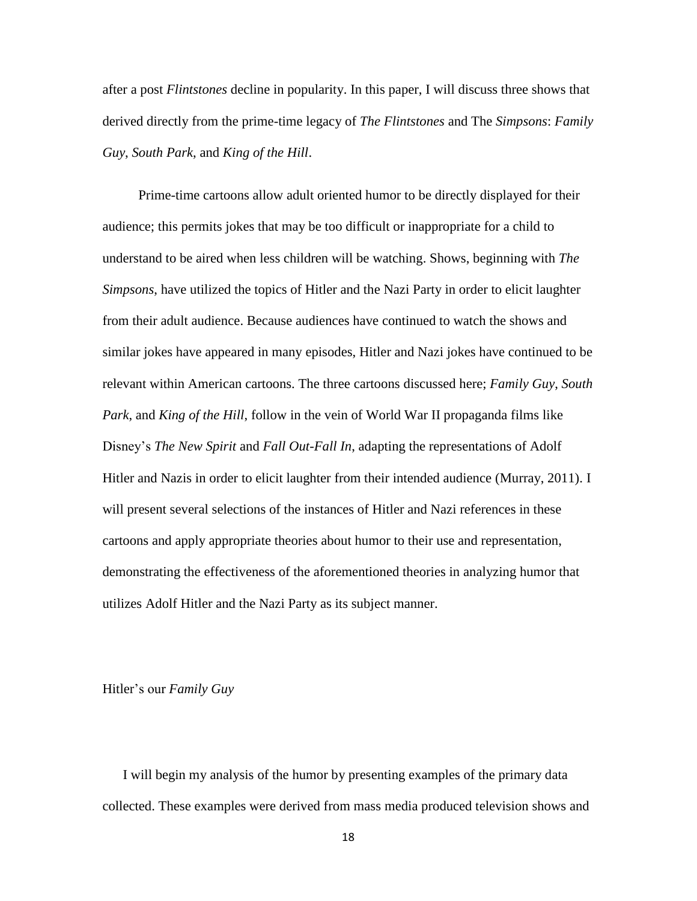after a post *Flintstones* decline in popularity. In this paper, I will discuss three shows that derived directly from the prime-time legacy of *The Flintstones* and The *Simpsons*: *Family Guy*, *South Park*, and *King of the Hill*.

Prime-time cartoons allow adult oriented humor to be directly displayed for their audience; this permits jokes that may be too difficult or inappropriate for a child to understand to be aired when less children will be watching. Shows, beginning with *The Simpsons*, have utilized the topics of Hitler and the Nazi Party in order to elicit laughter from their adult audience. Because audiences have continued to watch the shows and similar jokes have appeared in many episodes, Hitler and Nazi jokes have continued to be relevant within American cartoons. The three cartoons discussed here; *Family Guy*, *South Park*, and *King of the Hill*, follow in the vein of World War II propaganda films like Disney's *The New Spirit* and *Fall Out-Fall In*, adapting the representations of Adolf Hitler and Nazis in order to elicit laughter from their intended audience (Murray, 2011). I will present several selections of the instances of Hitler and Nazi references in these cartoons and apply appropriate theories about humor to their use and representation, demonstrating the effectiveness of the aforementioned theories in analyzing humor that utilizes Adolf Hitler and the Nazi Party as its subject manner.

Hitler's our *Family Guy*

I will begin my analysis of the humor by presenting examples of the primary data collected. These examples were derived from mass media produced television shows and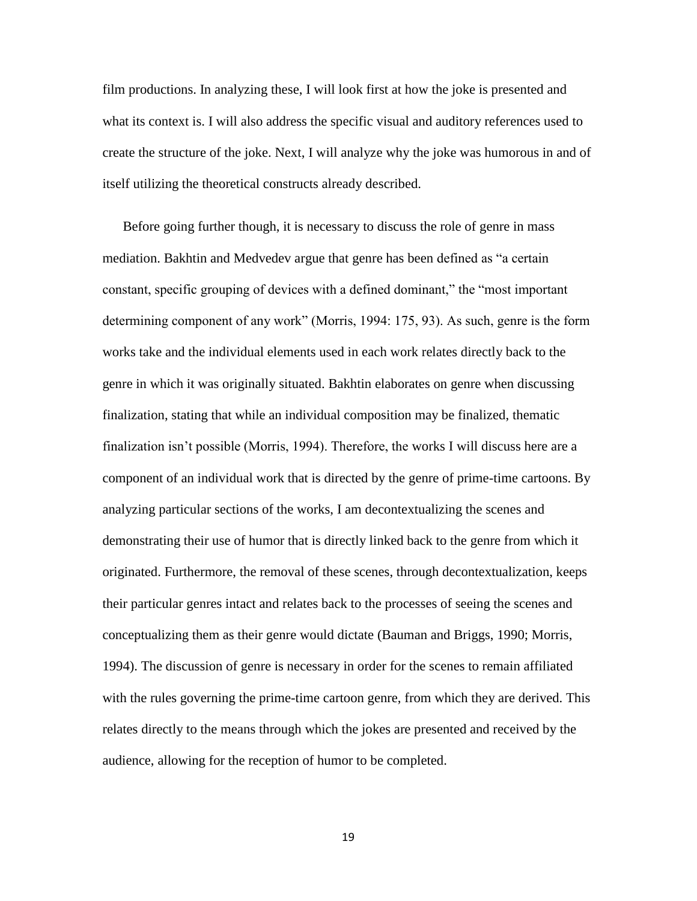film productions. In analyzing these, I will look first at how the joke is presented and what its context is. I will also address the specific visual and auditory references used to create the structure of the joke. Next, I will analyze why the joke was humorous in and of itself utilizing the theoretical constructs already described.

Before going further though, it is necessary to discuss the role of genre in mass mediation. Bakhtin and Medvedev argue that genre has been defined as "a certain constant, specific grouping of devices with a defined dominant," the "most important determining component of any work" (Morris, 1994: 175, 93). As such, genre is the form works take and the individual elements used in each work relates directly back to the genre in which it was originally situated. Bakhtin elaborates on genre when discussing finalization, stating that while an individual composition may be finalized, thematic finalization isn't possible (Morris, 1994). Therefore, the works I will discuss here are a component of an individual work that is directed by the genre of prime-time cartoons. By analyzing particular sections of the works, I am decontextualizing the scenes and demonstrating their use of humor that is directly linked back to the genre from which it originated. Furthermore, the removal of these scenes, through decontextualization, keeps their particular genres intact and relates back to the processes of seeing the scenes and conceptualizing them as their genre would dictate (Bauman and Briggs, 1990; Morris, 1994). The discussion of genre is necessary in order for the scenes to remain affiliated with the rules governing the prime-time cartoon genre, from which they are derived. This relates directly to the means through which the jokes are presented and received by the audience, allowing for the reception of humor to be completed.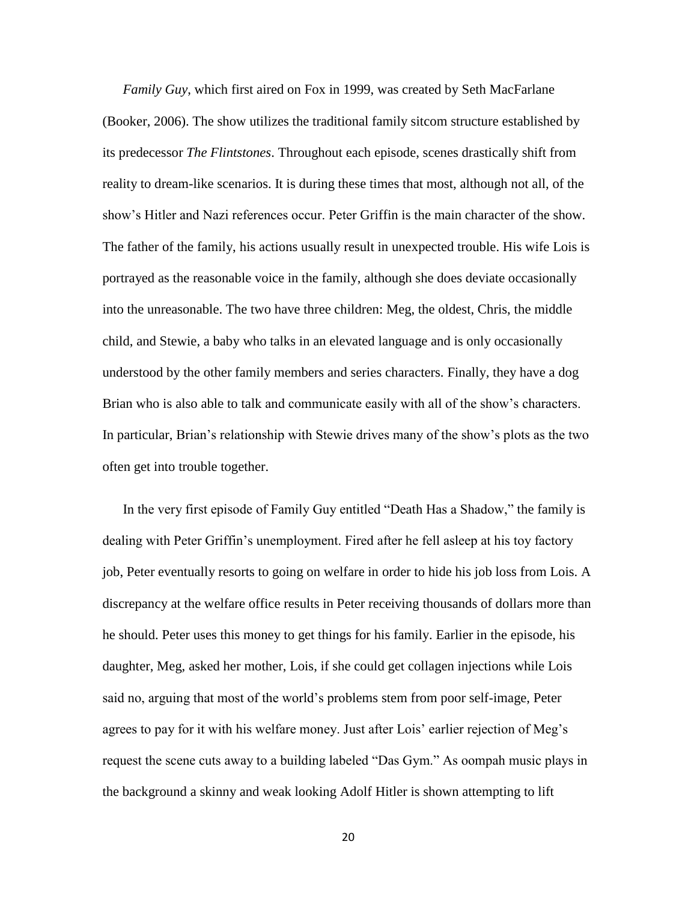*Family Guy*, which first aired on Fox in 1999, was created by Seth MacFarlane (Booker, 2006). The show utilizes the traditional family sitcom structure established by its predecessor *The Flintstones*. Throughout each episode, scenes drastically shift from reality to dream-like scenarios. It is during these times that most, although not all, of the show's Hitler and Nazi references occur. Peter Griffin is the main character of the show. The father of the family, his actions usually result in unexpected trouble. His wife Lois is portrayed as the reasonable voice in the family, although she does deviate occasionally into the unreasonable. The two have three children: Meg, the oldest, Chris, the middle child, and Stewie, a baby who talks in an elevated language and is only occasionally understood by the other family members and series characters. Finally, they have a dog Brian who is also able to talk and communicate easily with all of the show's characters. In particular, Brian's relationship with Stewie drives many of the show's plots as the two often get into trouble together.

In the very first episode of Family Guy entitled "Death Has a Shadow," the family is dealing with Peter Griffin's unemployment. Fired after he fell asleep at his toy factory job, Peter eventually resorts to going on welfare in order to hide his job loss from Lois. A discrepancy at the welfare office results in Peter receiving thousands of dollars more than he should. Peter uses this money to get things for his family. Earlier in the episode, his daughter, Meg, asked her mother, Lois, if she could get collagen injections while Lois said no, arguing that most of the world's problems stem from poor self-image, Peter agrees to pay for it with his welfare money. Just after Lois' earlier rejection of Meg's request the scene cuts away to a building labeled "Das Gym." As oompah music plays in the background a skinny and weak looking Adolf Hitler is shown attempting to lift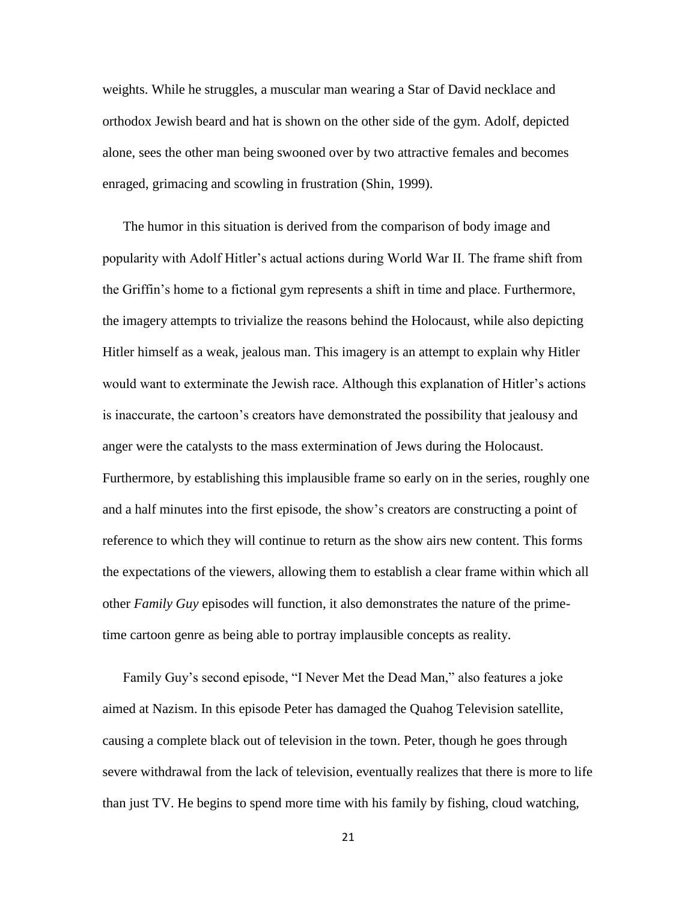weights. While he struggles, a muscular man wearing a Star of David necklace and orthodox Jewish beard and hat is shown on the other side of the gym. Adolf, depicted alone, sees the other man being swooned over by two attractive females and becomes enraged, grimacing and scowling in frustration (Shin, 1999).

The humor in this situation is derived from the comparison of body image and popularity with Adolf Hitler's actual actions during World War II. The frame shift from the Griffin's home to a fictional gym represents a shift in time and place. Furthermore, the imagery attempts to trivialize the reasons behind the Holocaust, while also depicting Hitler himself as a weak, jealous man. This imagery is an attempt to explain why Hitler would want to exterminate the Jewish race. Although this explanation of Hitler's actions is inaccurate, the cartoon's creators have demonstrated the possibility that jealousy and anger were the catalysts to the mass extermination of Jews during the Holocaust. Furthermore, by establishing this implausible frame so early on in the series, roughly one and a half minutes into the first episode, the show's creators are constructing a point of reference to which they will continue to return as the show airs new content. This forms the expectations of the viewers, allowing them to establish a clear frame within which all other *Family Guy* episodes will function, it also demonstrates the nature of the primetime cartoon genre as being able to portray implausible concepts as reality.

Family Guy's second episode, "I Never Met the Dead Man," also features a joke aimed at Nazism. In this episode Peter has damaged the Quahog Television satellite, causing a complete black out of television in the town. Peter, though he goes through severe withdrawal from the lack of television, eventually realizes that there is more to life than just TV. He begins to spend more time with his family by fishing, cloud watching,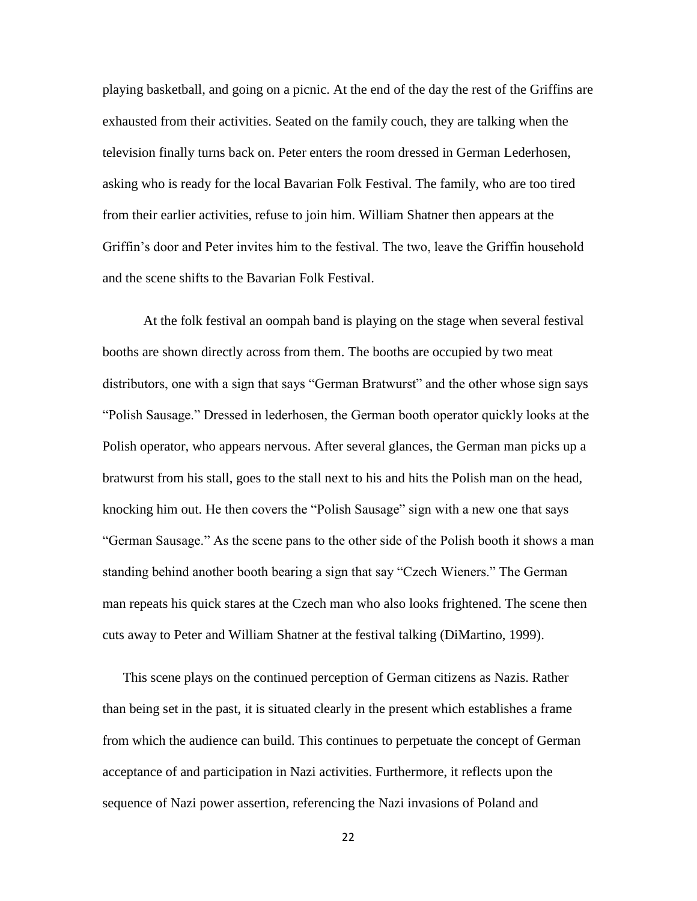playing basketball, and going on a picnic. At the end of the day the rest of the Griffins are exhausted from their activities. Seated on the family couch, they are talking when the television finally turns back on. Peter enters the room dressed in German Lederhosen, asking who is ready for the local Bavarian Folk Festival. The family, who are too tired from their earlier activities, refuse to join him. William Shatner then appears at the Griffin's door and Peter invites him to the festival. The two, leave the Griffin household and the scene shifts to the Bavarian Folk Festival.

At the folk festival an oompah band is playing on the stage when several festival booths are shown directly across from them. The booths are occupied by two meat distributors, one with a sign that says "German Bratwurst" and the other whose sign says "Polish Sausage." Dressed in lederhosen, the German booth operator quickly looks at the Polish operator, who appears nervous. After several glances, the German man picks up a bratwurst from his stall, goes to the stall next to his and hits the Polish man on the head, knocking him out. He then covers the "Polish Sausage" sign with a new one that says "German Sausage." As the scene pans to the other side of the Polish booth it shows a man standing behind another booth bearing a sign that say "Czech Wieners." The German man repeats his quick stares at the Czech man who also looks frightened. The scene then cuts away to Peter and William Shatner at the festival talking (DiMartino, 1999).

This scene plays on the continued perception of German citizens as Nazis. Rather than being set in the past, it is situated clearly in the present which establishes a frame from which the audience can build. This continues to perpetuate the concept of German acceptance of and participation in Nazi activities. Furthermore, it reflects upon the sequence of Nazi power assertion, referencing the Nazi invasions of Poland and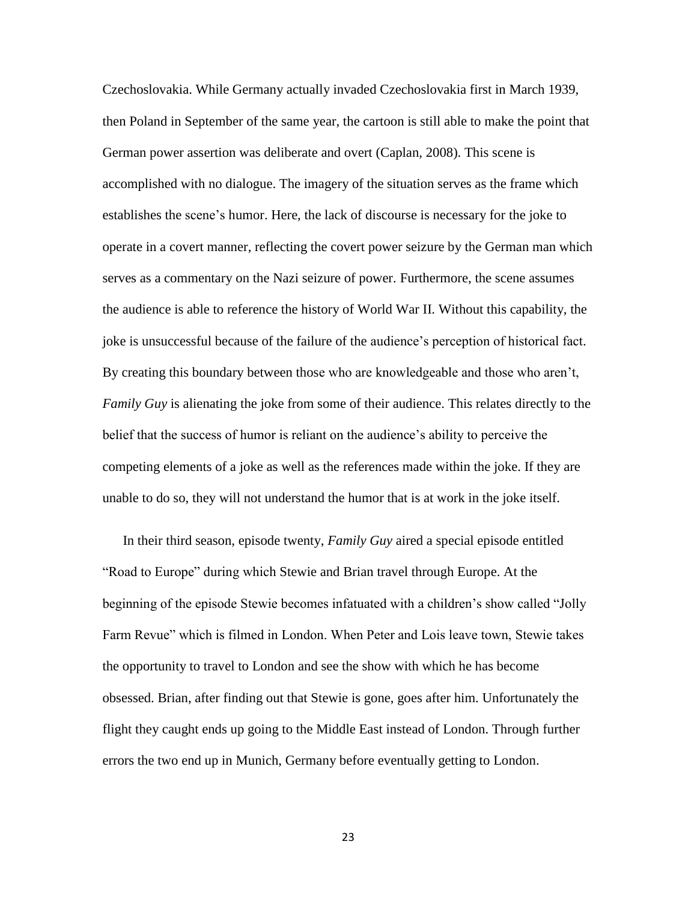Czechoslovakia. While Germany actually invaded Czechoslovakia first in March 1939, then Poland in September of the same year, the cartoon is still able to make the point that German power assertion was deliberate and overt (Caplan, 2008). This scene is accomplished with no dialogue. The imagery of the situation serves as the frame which establishes the scene's humor. Here, the lack of discourse is necessary for the joke to operate in a covert manner, reflecting the covert power seizure by the German man which serves as a commentary on the Nazi seizure of power. Furthermore, the scene assumes the audience is able to reference the history of World War II. Without this capability, the joke is unsuccessful because of the failure of the audience's perception of historical fact. By creating this boundary between those who are knowledgeable and those who aren't, *Family Guy* is alienating the joke from some of their audience. This relates directly to the belief that the success of humor is reliant on the audience's ability to perceive the competing elements of a joke as well as the references made within the joke. If they are unable to do so, they will not understand the humor that is at work in the joke itself.

In their third season, episode twenty, *Family Guy* aired a special episode entitled "Road to Europe" during which Stewie and Brian travel through Europe. At the beginning of the episode Stewie becomes infatuated with a children's show called "Jolly Farm Revue" which is filmed in London. When Peter and Lois leave town, Stewie takes the opportunity to travel to London and see the show with which he has become obsessed. Brian, after finding out that Stewie is gone, goes after him. Unfortunately the flight they caught ends up going to the Middle East instead of London. Through further errors the two end up in Munich, Germany before eventually getting to London.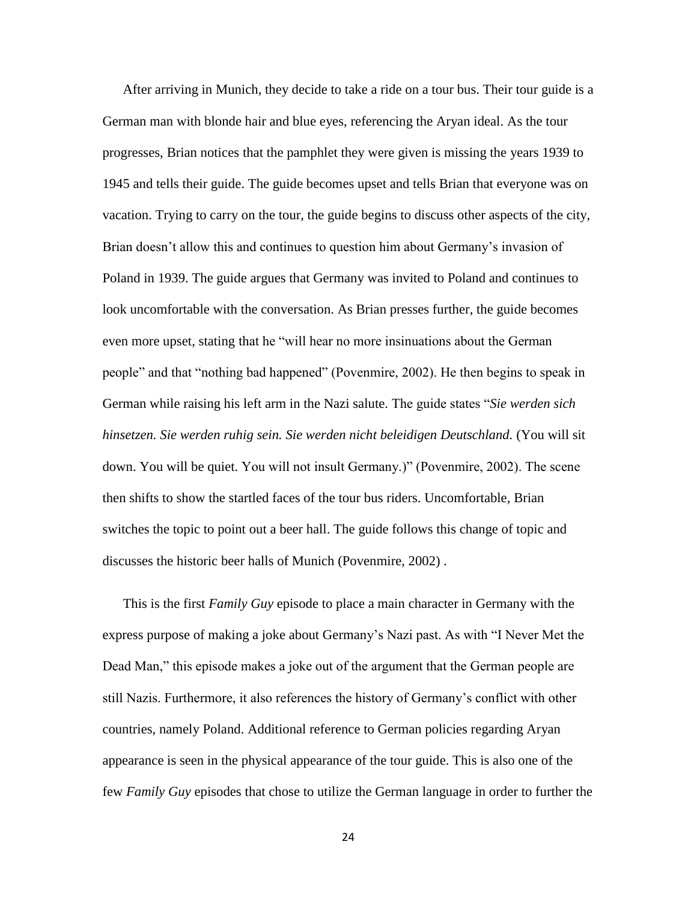After arriving in Munich, they decide to take a ride on a tour bus. Their tour guide is a German man with blonde hair and blue eyes, referencing the Aryan ideal. As the tour progresses, Brian notices that the pamphlet they were given is missing the years 1939 to 1945 and tells their guide. The guide becomes upset and tells Brian that everyone was on vacation. Trying to carry on the tour, the guide begins to discuss other aspects of the city, Brian doesn't allow this and continues to question him about Germany's invasion of Poland in 1939. The guide argues that Germany was invited to Poland and continues to look uncomfortable with the conversation. As Brian presses further, the guide becomes even more upset, stating that he "will hear no more insinuations about the German people" and that "nothing bad happened" (Povenmire, 2002). He then begins to speak in German while raising his left arm in the Nazi salute. The guide states "*Sie werden sich hinsetzen. Sie werden ruhig sein. Sie werden nicht beleidigen Deutschland.* (You will sit down. You will be quiet. You will not insult Germany.)" (Povenmire, 2002). The scene then shifts to show the startled faces of the tour bus riders. Uncomfortable, Brian switches the topic to point out a beer hall. The guide follows this change of topic and discusses the historic beer halls of Munich (Povenmire, 2002) .

This is the first *Family Guy* episode to place a main character in Germany with the express purpose of making a joke about Germany's Nazi past. As with "I Never Met the Dead Man," this episode makes a joke out of the argument that the German people are still Nazis. Furthermore, it also references the history of Germany's conflict with other countries, namely Poland. Additional reference to German policies regarding Aryan appearance is seen in the physical appearance of the tour guide. This is also one of the few *Family Guy* episodes that chose to utilize the German language in order to further the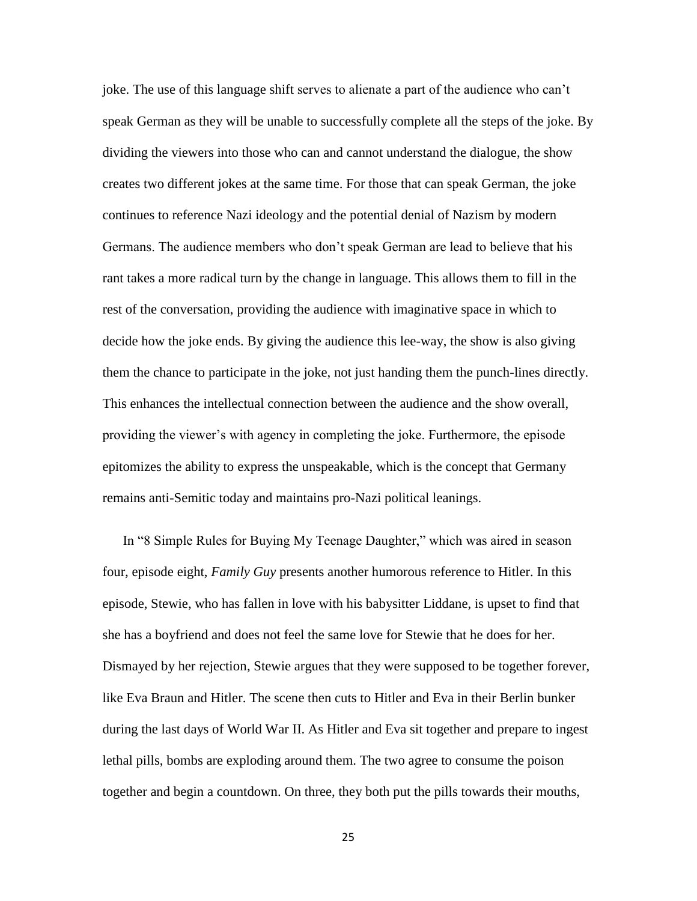joke. The use of this language shift serves to alienate a part of the audience who can't speak German as they will be unable to successfully complete all the steps of the joke. By dividing the viewers into those who can and cannot understand the dialogue, the show creates two different jokes at the same time. For those that can speak German, the joke continues to reference Nazi ideology and the potential denial of Nazism by modern Germans. The audience members who don't speak German are lead to believe that his rant takes a more radical turn by the change in language. This allows them to fill in the rest of the conversation, providing the audience with imaginative space in which to decide how the joke ends. By giving the audience this lee-way, the show is also giving them the chance to participate in the joke, not just handing them the punch-lines directly. This enhances the intellectual connection between the audience and the show overall, providing the viewer's with agency in completing the joke. Furthermore, the episode epitomizes the ability to express the unspeakable, which is the concept that Germany remains anti-Semitic today and maintains pro-Nazi political leanings.

In "8 Simple Rules for Buying My Teenage Daughter," which was aired in season four, episode eight, *Family Guy* presents another humorous reference to Hitler. In this episode, Stewie, who has fallen in love with his babysitter Liddane, is upset to find that she has a boyfriend and does not feel the same love for Stewie that he does for her. Dismayed by her rejection, Stewie argues that they were supposed to be together forever, like Eva Braun and Hitler. The scene then cuts to Hitler and Eva in their Berlin bunker during the last days of World War II. As Hitler and Eva sit together and prepare to ingest lethal pills, bombs are exploding around them. The two agree to consume the poison together and begin a countdown. On three, they both put the pills towards their mouths,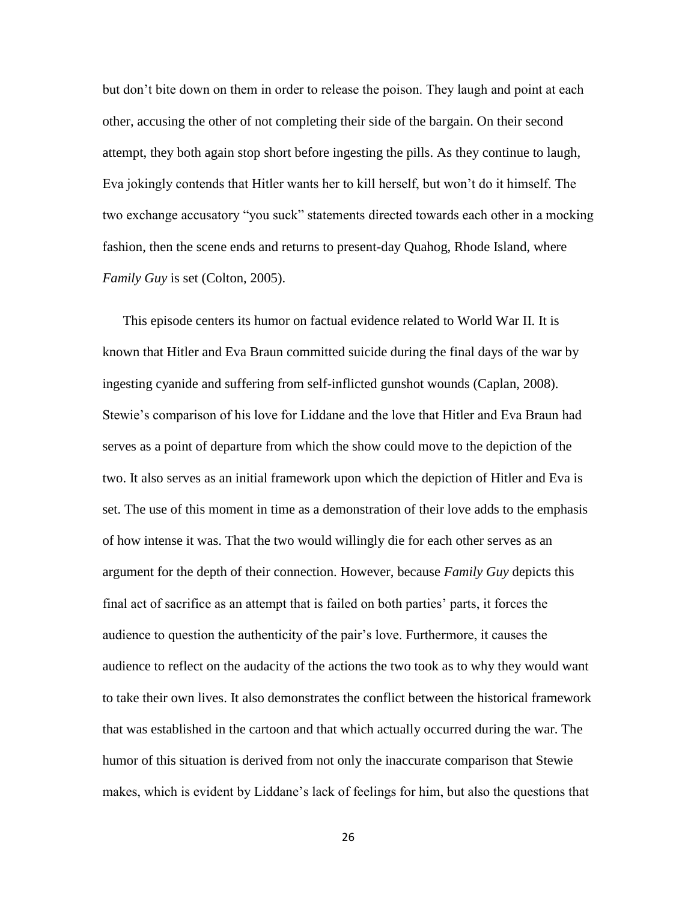but don't bite down on them in order to release the poison. They laugh and point at each other, accusing the other of not completing their side of the bargain. On their second attempt, they both again stop short before ingesting the pills. As they continue to laugh, Eva jokingly contends that Hitler wants her to kill herself, but won't do it himself. The two exchange accusatory "you suck" statements directed towards each other in a mocking fashion, then the scene ends and returns to present-day Quahog, Rhode Island, where *Family Guy* is set (Colton, 2005).

This episode centers its humor on factual evidence related to World War II. It is known that Hitler and Eva Braun committed suicide during the final days of the war by ingesting cyanide and suffering from self-inflicted gunshot wounds (Caplan, 2008). Stewie's comparison of his love for Liddane and the love that Hitler and Eva Braun had serves as a point of departure from which the show could move to the depiction of the two. It also serves as an initial framework upon which the depiction of Hitler and Eva is set. The use of this moment in time as a demonstration of their love adds to the emphasis of how intense it was. That the two would willingly die for each other serves as an argument for the depth of their connection. However, because *Family Guy* depicts this final act of sacrifice as an attempt that is failed on both parties' parts, it forces the audience to question the authenticity of the pair's love. Furthermore, it causes the audience to reflect on the audacity of the actions the two took as to why they would want to take their own lives. It also demonstrates the conflict between the historical framework that was established in the cartoon and that which actually occurred during the war. The humor of this situation is derived from not only the inaccurate comparison that Stewie makes, which is evident by Liddane's lack of feelings for him, but also the questions that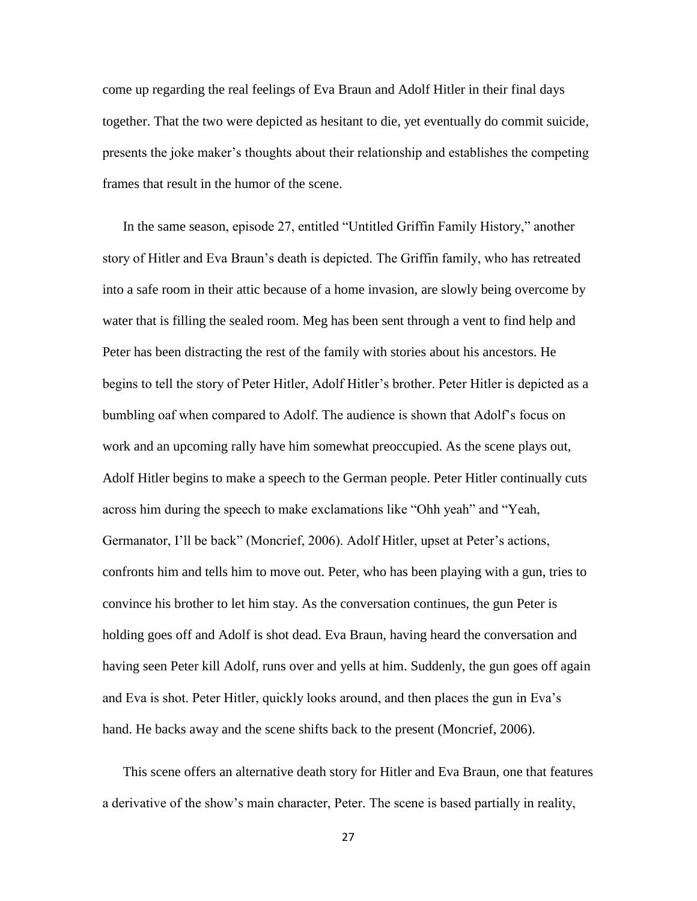come up regarding the real feelings of Eva Braun and Adolf Hitler in their final days together. That the two were depicted as hesitant to die, yet eventually do commit suicide, presents the joke maker's thoughts about their relationship and establishes the competing frames that result in the humor of the scene.

In the same season, episode 27, entitled "Untitled Griffin Family History," another story of Hitler and Eva Braun's death is depicted. The Griffin family, who has retreated into a safe room in their attic because of a home invasion, are slowly being overcome by water that is filling the sealed room. Meg has been sent through a vent to find help and Peter has been distracting the rest of the family with stories about his ancestors. He begins to tell the story of Peter Hitler, Adolf Hitler's brother. Peter Hitler is depicted as a bumbling oaf when compared to Adolf. The audience is shown that Adolf's focus on work and an upcoming rally have him somewhat preoccupied. As the scene plays out, Adolf Hitler begins to make a speech to the German people. Peter Hitler continually cuts across him during the speech to make exclamations like "Ohh yeah" and "Yeah, Germanator, I'll be back" (Moncrief, 2006). Adolf Hitler, upset at Peter's actions, confronts him and tells him to move out. Peter, who has been playing with a gun, tries to convince his brother to let him stay. As the conversation continues, the gun Peter is holding goes off and Adolf is shot dead. Eva Braun, having heard the conversation and having seen Peter kill Adolf, runs over and yells at him. Suddenly, the gun goes off again and Eva is shot. Peter Hitler, quickly looks around, and then places the gun in Eva's hand. He backs away and the scene shifts back to the present (Moncrief, 2006).

This scene offers an alternative death story for Hitler and Eva Braun, one that features a derivative of the show's main character, Peter. The scene is based partially in reality,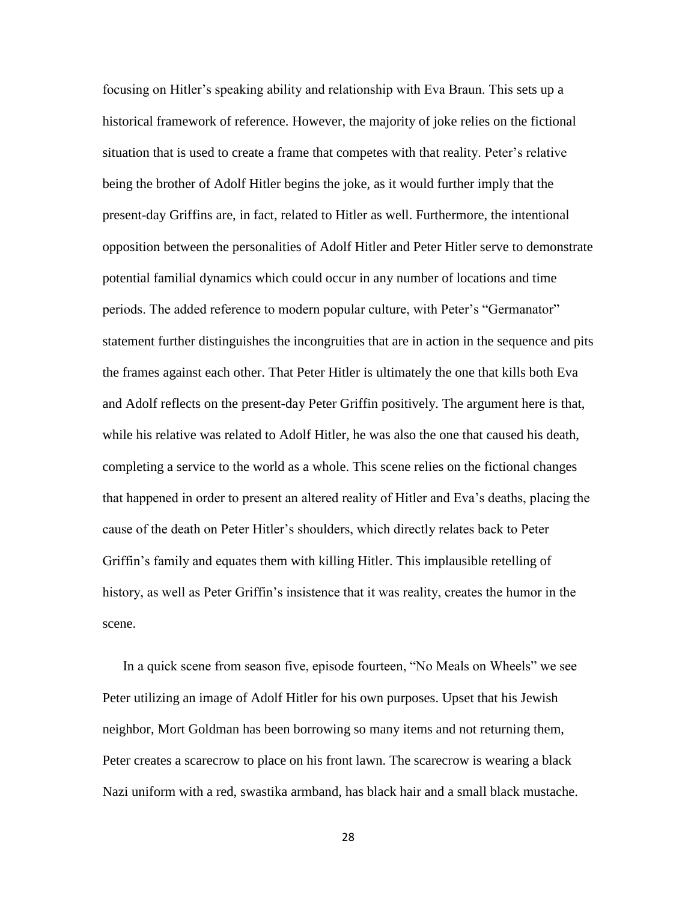focusing on Hitler's speaking ability and relationship with Eva Braun. This sets up a historical framework of reference. However, the majority of joke relies on the fictional situation that is used to create a frame that competes with that reality. Peter's relative being the brother of Adolf Hitler begins the joke, as it would further imply that the present-day Griffins are, in fact, related to Hitler as well. Furthermore, the intentional opposition between the personalities of Adolf Hitler and Peter Hitler serve to demonstrate potential familial dynamics which could occur in any number of locations and time periods. The added reference to modern popular culture, with Peter's "Germanator" statement further distinguishes the incongruities that are in action in the sequence and pits the frames against each other. That Peter Hitler is ultimately the one that kills both Eva and Adolf reflects on the present-day Peter Griffin positively. The argument here is that, while his relative was related to Adolf Hitler, he was also the one that caused his death, completing a service to the world as a whole. This scene relies on the fictional changes that happened in order to present an altered reality of Hitler and Eva's deaths, placing the cause of the death on Peter Hitler's shoulders, which directly relates back to Peter Griffin's family and equates them with killing Hitler. This implausible retelling of history, as well as Peter Griffin's insistence that it was reality, creates the humor in the scene.

In a quick scene from season five, episode fourteen, "No Meals on Wheels" we see Peter utilizing an image of Adolf Hitler for his own purposes. Upset that his Jewish neighbor, Mort Goldman has been borrowing so many items and not returning them, Peter creates a scarecrow to place on his front lawn. The scarecrow is wearing a black Nazi uniform with a red, swastika armband, has black hair and a small black mustache.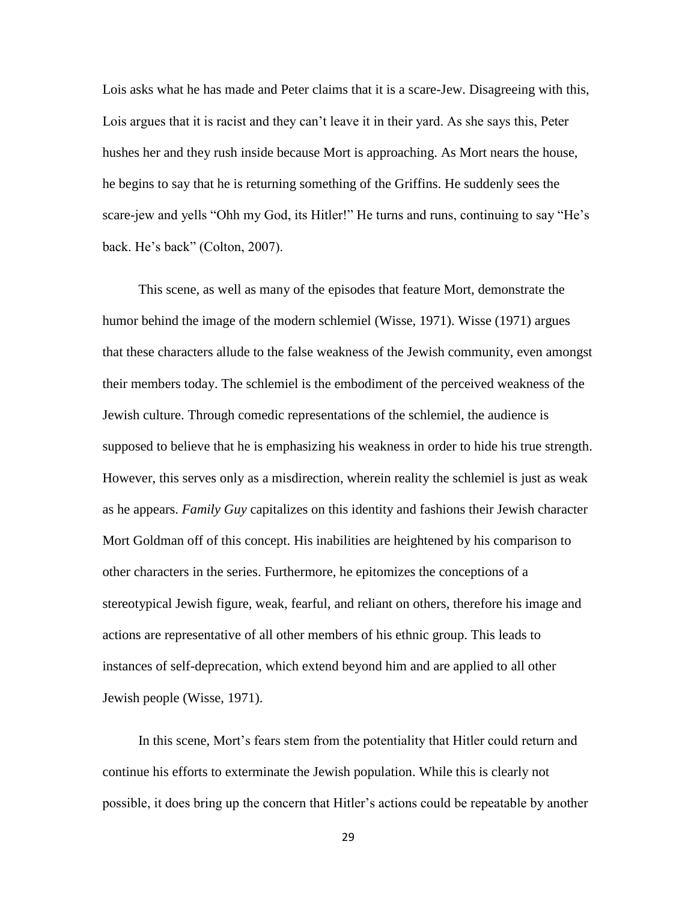Lois asks what he has made and Peter claims that it is a scare-Jew. Disagreeing with this, Lois argues that it is racist and they can't leave it in their yard. As she says this, Peter hushes her and they rush inside because Mort is approaching. As Mort nears the house, he begins to say that he is returning something of the Griffins. He suddenly sees the scare-jew and yells "Ohh my God, its Hitler!" He turns and runs, continuing to say "He's back. He's back" (Colton, 2007).

This scene, as well as many of the episodes that feature Mort, demonstrate the humor behind the image of the modern schlemiel (Wisse, 1971). Wisse (1971) argues that these characters allude to the false weakness of the Jewish community, even amongst their members today. The schlemiel is the embodiment of the perceived weakness of the Jewish culture. Through comedic representations of the schlemiel, the audience is supposed to believe that he is emphasizing his weakness in order to hide his true strength. However, this serves only as a misdirection, wherein reality the schlemiel is just as weak as he appears. *Family Guy* capitalizes on this identity and fashions their Jewish character Mort Goldman off of this concept. His inabilities are heightened by his comparison to other characters in the series. Furthermore, he epitomizes the conceptions of a stereotypical Jewish figure, weak, fearful, and reliant on others, therefore his image and actions are representative of all other members of his ethnic group. This leads to instances of self-deprecation, which extend beyond him and are applied to all other Jewish people (Wisse, 1971).

In this scene, Mort's fears stem from the potentiality that Hitler could return and continue his efforts to exterminate the Jewish population. While this is clearly not possible, it does bring up the concern that Hitler's actions could be repeatable by another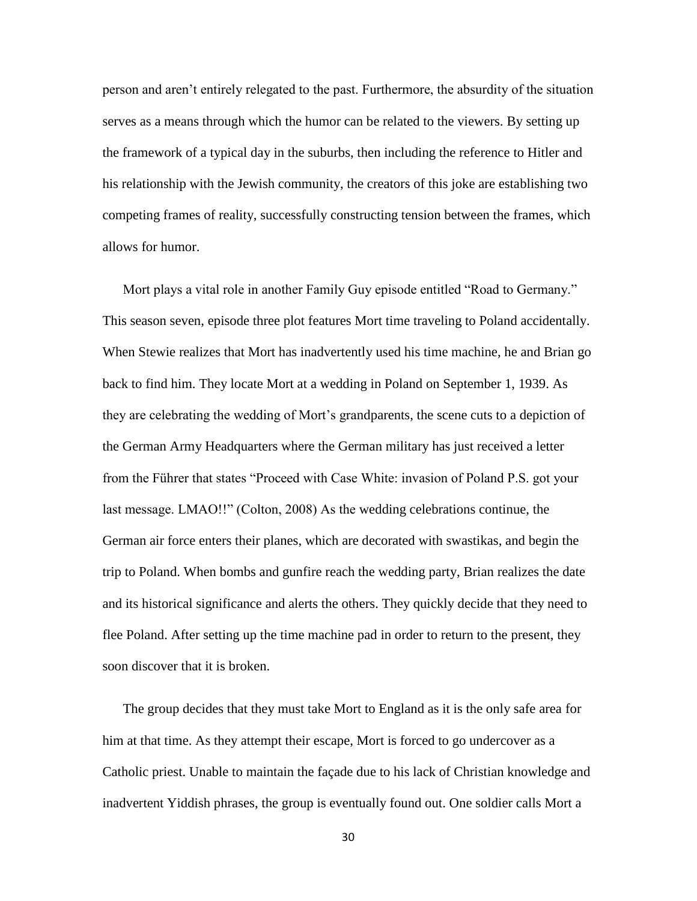person and aren't entirely relegated to the past. Furthermore, the absurdity of the situation serves as a means through which the humor can be related to the viewers. By setting up the framework of a typical day in the suburbs, then including the reference to Hitler and his relationship with the Jewish community, the creators of this joke are establishing two competing frames of reality, successfully constructing tension between the frames, which allows for humor.

Mort plays a vital role in another Family Guy episode entitled "Road to Germany." This season seven, episode three plot features Mort time traveling to Poland accidentally. When Stewie realizes that Mort has inadvertently used his time machine, he and Brian go back to find him. They locate Mort at a wedding in Poland on September 1, 1939. As they are celebrating the wedding of Mort's grandparents, the scene cuts to a depiction of the German Army Headquarters where the German military has just received a letter from the Führer that states "Proceed with Case White: invasion of Poland P.S. got your last message. LMAO!!" (Colton, 2008) As the wedding celebrations continue, the German air force enters their planes, which are decorated with swastikas, and begin the trip to Poland. When bombs and gunfire reach the wedding party, Brian realizes the date and its historical significance and alerts the others. They quickly decide that they need to flee Poland. After setting up the time machine pad in order to return to the present, they soon discover that it is broken.

The group decides that they must take Mort to England as it is the only safe area for him at that time. As they attempt their escape, Mort is forced to go undercover as a Catholic priest. Unable to maintain the façade due to his lack of Christian knowledge and inadvertent Yiddish phrases, the group is eventually found out. One soldier calls Mort a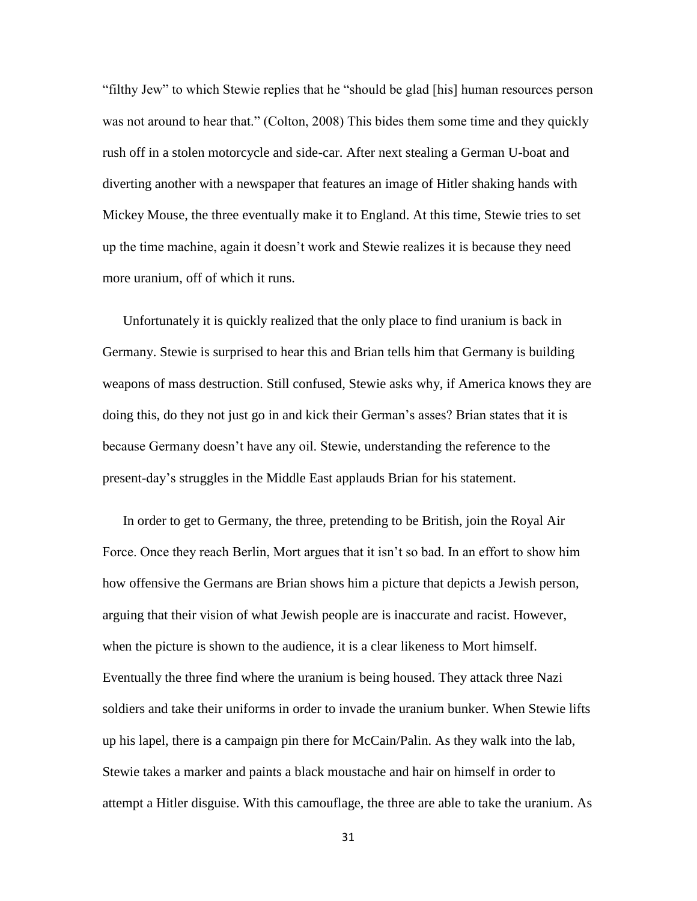"filthy Jew" to which Stewie replies that he "should be glad [his] human resources person was not around to hear that." (Colton, 2008) This bides them some time and they quickly rush off in a stolen motorcycle and side-car. After next stealing a German U-boat and diverting another with a newspaper that features an image of Hitler shaking hands with Mickey Mouse, the three eventually make it to England. At this time, Stewie tries to set up the time machine, again it doesn't work and Stewie realizes it is because they need more uranium, off of which it runs.

Unfortunately it is quickly realized that the only place to find uranium is back in Germany. Stewie is surprised to hear this and Brian tells him that Germany is building weapons of mass destruction. Still confused, Stewie asks why, if America knows they are doing this, do they not just go in and kick their German's asses? Brian states that it is because Germany doesn't have any oil. Stewie, understanding the reference to the present-day's struggles in the Middle East applauds Brian for his statement.

In order to get to Germany, the three, pretending to be British, join the Royal Air Force. Once they reach Berlin, Mort argues that it isn't so bad. In an effort to show him how offensive the Germans are Brian shows him a picture that depicts a Jewish person, arguing that their vision of what Jewish people are is inaccurate and racist. However, when the picture is shown to the audience, it is a clear likeness to Mort himself. Eventually the three find where the uranium is being housed. They attack three Nazi soldiers and take their uniforms in order to invade the uranium bunker. When Stewie lifts up his lapel, there is a campaign pin there for McCain/Palin. As they walk into the lab, Stewie takes a marker and paints a black moustache and hair on himself in order to attempt a Hitler disguise. With this camouflage, the three are able to take the uranium. As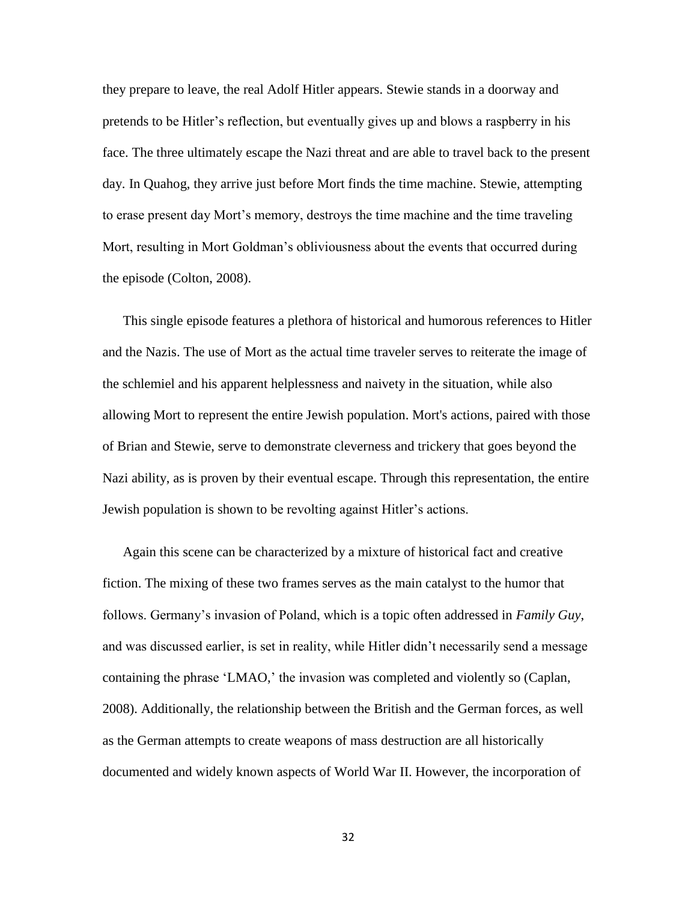they prepare to leave, the real Adolf Hitler appears. Stewie stands in a doorway and pretends to be Hitler's reflection, but eventually gives up and blows a raspberry in his face. The three ultimately escape the Nazi threat and are able to travel back to the present day. In Quahog, they arrive just before Mort finds the time machine. Stewie, attempting to erase present day Mort's memory, destroys the time machine and the time traveling Mort, resulting in Mort Goldman's obliviousness about the events that occurred during the episode (Colton, 2008).

This single episode features a plethora of historical and humorous references to Hitler and the Nazis. The use of Mort as the actual time traveler serves to reiterate the image of the schlemiel and his apparent helplessness and naivety in the situation, while also allowing Mort to represent the entire Jewish population. Mort's actions, paired with those of Brian and Stewie, serve to demonstrate cleverness and trickery that goes beyond the Nazi ability, as is proven by their eventual escape. Through this representation, the entire Jewish population is shown to be revolting against Hitler's actions.

Again this scene can be characterized by a mixture of historical fact and creative fiction. The mixing of these two frames serves as the main catalyst to the humor that follows. Germany's invasion of Poland, which is a topic often addressed in *Family Guy*, and was discussed earlier, is set in reality, while Hitler didn't necessarily send a message containing the phrase 'LMAO,' the invasion was completed and violently so (Caplan, 2008). Additionally, the relationship between the British and the German forces, as well as the German attempts to create weapons of mass destruction are all historically documented and widely known aspects of World War II. However, the incorporation of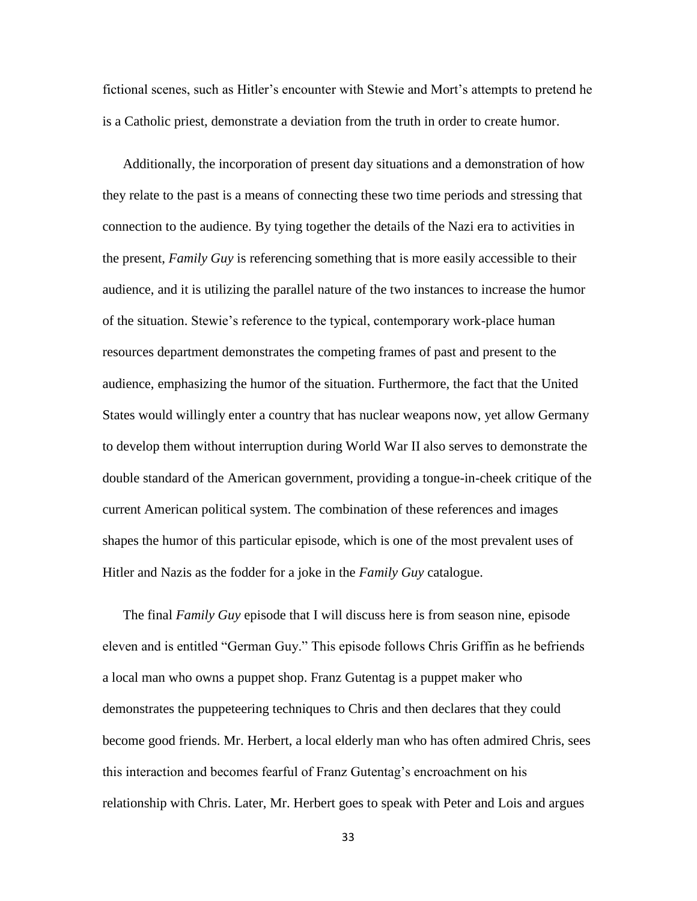fictional scenes, such as Hitler's encounter with Stewie and Mort's attempts to pretend he is a Catholic priest, demonstrate a deviation from the truth in order to create humor.

Additionally, the incorporation of present day situations and a demonstration of how they relate to the past is a means of connecting these two time periods and stressing that connection to the audience. By tying together the details of the Nazi era to activities in the present, *Family Guy* is referencing something that is more easily accessible to their audience, and it is utilizing the parallel nature of the two instances to increase the humor of the situation. Stewie's reference to the typical, contemporary work-place human resources department demonstrates the competing frames of past and present to the audience, emphasizing the humor of the situation. Furthermore, the fact that the United States would willingly enter a country that has nuclear weapons now, yet allow Germany to develop them without interruption during World War II also serves to demonstrate the double standard of the American government, providing a tongue-in-cheek critique of the current American political system. The combination of these references and images shapes the humor of this particular episode, which is one of the most prevalent uses of Hitler and Nazis as the fodder for a joke in the *Family Guy* catalogue.

The final *Family Guy* episode that I will discuss here is from season nine, episode eleven and is entitled "German Guy." This episode follows Chris Griffin as he befriends a local man who owns a puppet shop. Franz Gutentag is a puppet maker who demonstrates the puppeteering techniques to Chris and then declares that they could become good friends. Mr. Herbert, a local elderly man who has often admired Chris, sees this interaction and becomes fearful of Franz Gutentag's encroachment on his relationship with Chris. Later, Mr. Herbert goes to speak with Peter and Lois and argues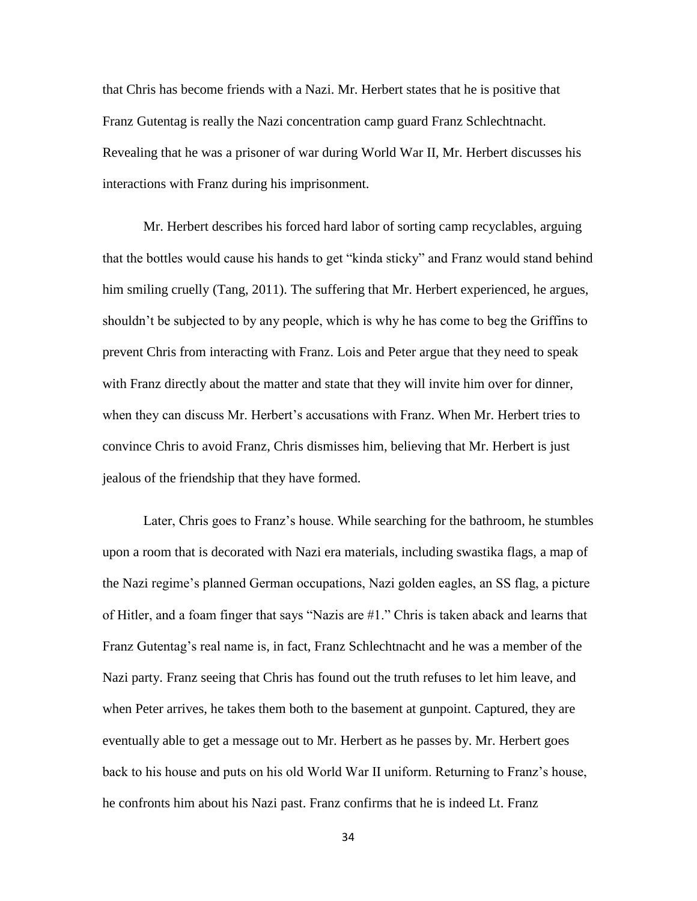that Chris has become friends with a Nazi. Mr. Herbert states that he is positive that Franz Gutentag is really the Nazi concentration camp guard Franz Schlechtnacht. Revealing that he was a prisoner of war during World War II, Mr. Herbert discusses his interactions with Franz during his imprisonment.

Mr. Herbert describes his forced hard labor of sorting camp recyclables, arguing that the bottles would cause his hands to get "kinda sticky" and Franz would stand behind him smiling cruelly (Tang, 2011). The suffering that Mr. Herbert experienced, he argues, shouldn't be subjected to by any people, which is why he has come to beg the Griffins to prevent Chris from interacting with Franz. Lois and Peter argue that they need to speak with Franz directly about the matter and state that they will invite him over for dinner, when they can discuss Mr. Herbert's accusations with Franz. When Mr. Herbert tries to convince Chris to avoid Franz, Chris dismisses him, believing that Mr. Herbert is just jealous of the friendship that they have formed.

Later, Chris goes to Franz's house. While searching for the bathroom, he stumbles upon a room that is decorated with Nazi era materials, including swastika flags, a map of the Nazi regime's planned German occupations, Nazi golden eagles, an SS flag, a picture of Hitler, and a foam finger that says "Nazis are #1." Chris is taken aback and learns that Franz Gutentag's real name is, in fact, Franz Schlechtnacht and he was a member of the Nazi party. Franz seeing that Chris has found out the truth refuses to let him leave, and when Peter arrives, he takes them both to the basement at gunpoint. Captured, they are eventually able to get a message out to Mr. Herbert as he passes by. Mr. Herbert goes back to his house and puts on his old World War II uniform. Returning to Franz's house, he confronts him about his Nazi past. Franz confirms that he is indeed Lt. Franz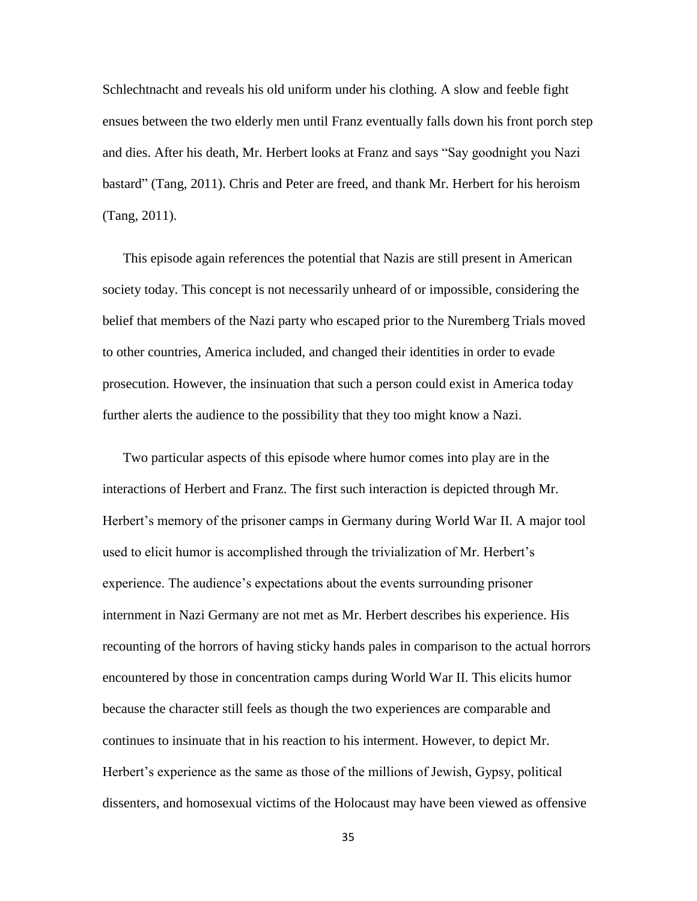Schlechtnacht and reveals his old uniform under his clothing. A slow and feeble fight ensues between the two elderly men until Franz eventually falls down his front porch step and dies. After his death, Mr. Herbert looks at Franz and says "Say goodnight you Nazi bastard" (Tang, 2011). Chris and Peter are freed, and thank Mr. Herbert for his heroism (Tang, 2011).

This episode again references the potential that Nazis are still present in American society today. This concept is not necessarily unheard of or impossible, considering the belief that members of the Nazi party who escaped prior to the Nuremberg Trials moved to other countries, America included, and changed their identities in order to evade prosecution. However, the insinuation that such a person could exist in America today further alerts the audience to the possibility that they too might know a Nazi.

Two particular aspects of this episode where humor comes into play are in the interactions of Herbert and Franz. The first such interaction is depicted through Mr. Herbert's memory of the prisoner camps in Germany during World War II. A major tool used to elicit humor is accomplished through the trivialization of Mr. Herbert's experience. The audience's expectations about the events surrounding prisoner internment in Nazi Germany are not met as Mr. Herbert describes his experience. His recounting of the horrors of having sticky hands pales in comparison to the actual horrors encountered by those in concentration camps during World War II. This elicits humor because the character still feels as though the two experiences are comparable and continues to insinuate that in his reaction to his interment. However, to depict Mr. Herbert's experience as the same as those of the millions of Jewish, Gypsy, political dissenters, and homosexual victims of the Holocaust may have been viewed as offensive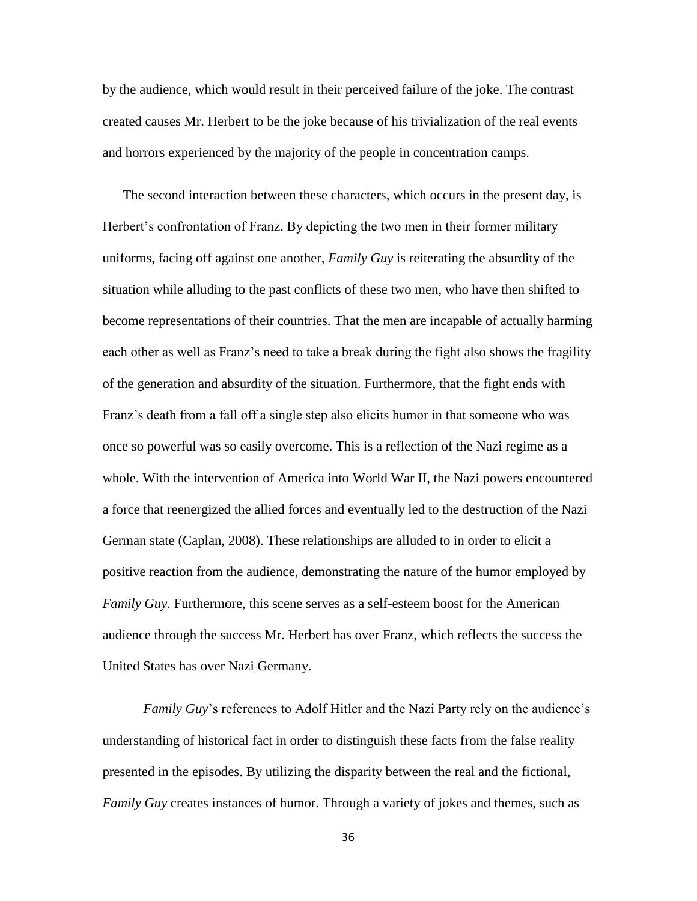by the audience, which would result in their perceived failure of the joke. The contrast created causes Mr. Herbert to be the joke because of his trivialization of the real events and horrors experienced by the majority of the people in concentration camps.

The second interaction between these characters, which occurs in the present day, is Herbert's confrontation of Franz. By depicting the two men in their former military uniforms, facing off against one another, *Family Guy* is reiterating the absurdity of the situation while alluding to the past conflicts of these two men, who have then shifted to become representations of their countries. That the men are incapable of actually harming each other as well as Franz's need to take a break during the fight also shows the fragility of the generation and absurdity of the situation. Furthermore, that the fight ends with Franz's death from a fall off a single step also elicits humor in that someone who was once so powerful was so easily overcome. This is a reflection of the Nazi regime as a whole. With the intervention of America into World War II, the Nazi powers encountered a force that reenergized the allied forces and eventually led to the destruction of the Nazi German state (Caplan, 2008). These relationships are alluded to in order to elicit a positive reaction from the audience, demonstrating the nature of the humor employed by *Family Guy*. Furthermore, this scene serves as a self-esteem boost for the American audience through the success Mr. Herbert has over Franz, which reflects the success the United States has over Nazi Germany.

*Family Guy*'s references to Adolf Hitler and the Nazi Party rely on the audience's understanding of historical fact in order to distinguish these facts from the false reality presented in the episodes. By utilizing the disparity between the real and the fictional, *Family Guy* creates instances of humor. Through a variety of jokes and themes, such as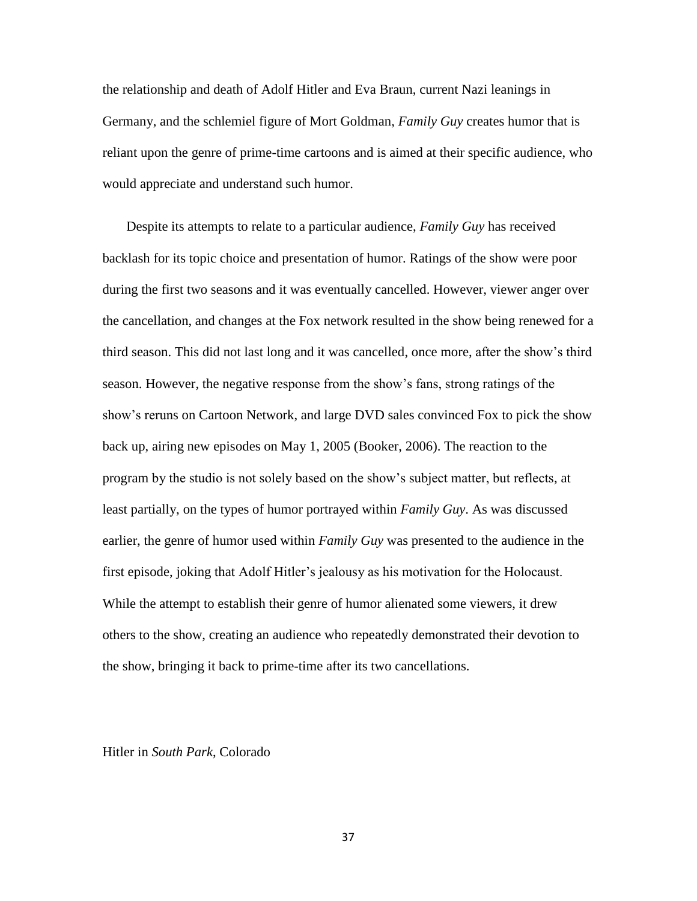the relationship and death of Adolf Hitler and Eva Braun, current Nazi leanings in Germany, and the schlemiel figure of Mort Goldman, *Family Guy* creates humor that is reliant upon the genre of prime-time cartoons and is aimed at their specific audience, who would appreciate and understand such humor.

Despite its attempts to relate to a particular audience, *Family Guy* has received backlash for its topic choice and presentation of humor. Ratings of the show were poor during the first two seasons and it was eventually cancelled. However, viewer anger over the cancellation, and changes at the Fox network resulted in the show being renewed for a third season. This did not last long and it was cancelled, once more, after the show's third season. However, the negative response from the show's fans, strong ratings of the show's reruns on Cartoon Network, and large DVD sales convinced Fox to pick the show back up, airing new episodes on May 1, 2005 (Booker, 2006). The reaction to the program by the studio is not solely based on the show's subject matter, but reflects, at least partially, on the types of humor portrayed within *Family Guy*. As was discussed earlier, the genre of humor used within *Family Guy* was presented to the audience in the first episode, joking that Adolf Hitler's jealousy as his motivation for the Holocaust. While the attempt to establish their genre of humor alienated some viewers, it drew others to the show, creating an audience who repeatedly demonstrated their devotion to the show, bringing it back to prime-time after its two cancellations.

## Hitler in *South Park*, Colorado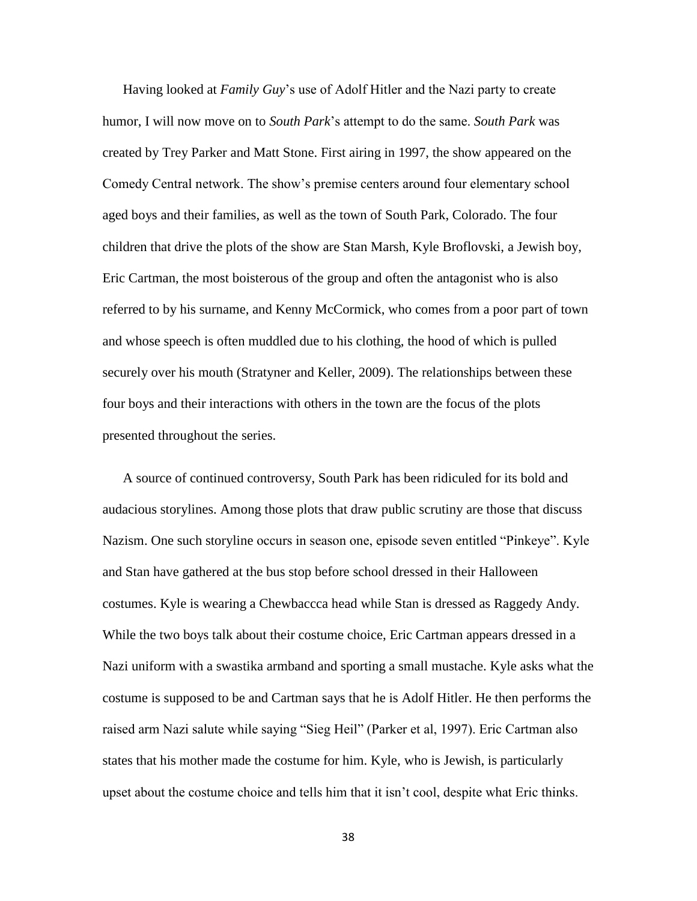Having looked at *Family Guy*'s use of Adolf Hitler and the Nazi party to create humor, I will now move on to *South Park*'s attempt to do the same. *South Park* was created by Trey Parker and Matt Stone. First airing in 1997, the show appeared on the Comedy Central network. The show's premise centers around four elementary school aged boys and their families, as well as the town of South Park, Colorado. The four children that drive the plots of the show are Stan Marsh, Kyle Broflovski, a Jewish boy, Eric Cartman, the most boisterous of the group and often the antagonist who is also referred to by his surname, and Kenny McCormick, who comes from a poor part of town and whose speech is often muddled due to his clothing, the hood of which is pulled securely over his mouth (Stratyner and Keller, 2009). The relationships between these four boys and their interactions with others in the town are the focus of the plots presented throughout the series.

A source of continued controversy, South Park has been ridiculed for its bold and audacious storylines. Among those plots that draw public scrutiny are those that discuss Nazism. One such storyline occurs in season one, episode seven entitled "Pinkeye". Kyle and Stan have gathered at the bus stop before school dressed in their Halloween costumes. Kyle is wearing a Chewbaccca head while Stan is dressed as Raggedy Andy. While the two boys talk about their costume choice, Eric Cartman appears dressed in a Nazi uniform with a swastika armband and sporting a small mustache. Kyle asks what the costume is supposed to be and Cartman says that he is Adolf Hitler. He then performs the raised arm Nazi salute while saying "Sieg Heil" (Parker et al, 1997). Eric Cartman also states that his mother made the costume for him. Kyle, who is Jewish, is particularly upset about the costume choice and tells him that it isn't cool, despite what Eric thinks.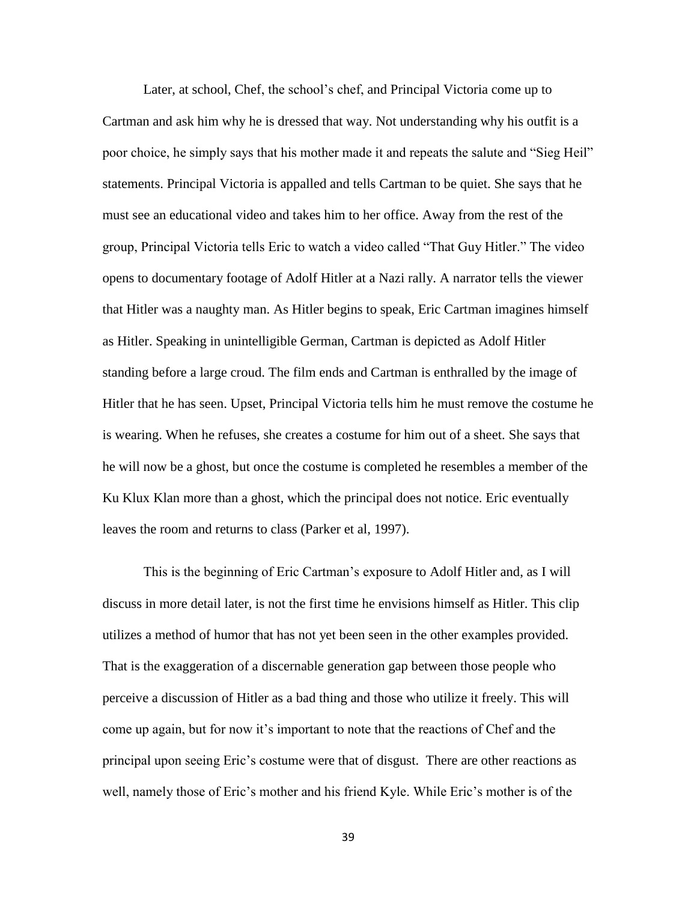Later, at school, Chef, the school's chef, and Principal Victoria come up to Cartman and ask him why he is dressed that way. Not understanding why his outfit is a poor choice, he simply says that his mother made it and repeats the salute and "Sieg Heil" statements. Principal Victoria is appalled and tells Cartman to be quiet. She says that he must see an educational video and takes him to her office. Away from the rest of the group, Principal Victoria tells Eric to watch a video called "That Guy Hitler." The video opens to documentary footage of Adolf Hitler at a Nazi rally. A narrator tells the viewer that Hitler was a naughty man. As Hitler begins to speak, Eric Cartman imagines himself as Hitler. Speaking in unintelligible German, Cartman is depicted as Adolf Hitler standing before a large croud. The film ends and Cartman is enthralled by the image of Hitler that he has seen. Upset, Principal Victoria tells him he must remove the costume he is wearing. When he refuses, she creates a costume for him out of a sheet. She says that he will now be a ghost, but once the costume is completed he resembles a member of the Ku Klux Klan more than a ghost, which the principal does not notice. Eric eventually leaves the room and returns to class (Parker et al, 1997).

This is the beginning of Eric Cartman's exposure to Adolf Hitler and, as I will discuss in more detail later, is not the first time he envisions himself as Hitler. This clip utilizes a method of humor that has not yet been seen in the other examples provided. That is the exaggeration of a discernable generation gap between those people who perceive a discussion of Hitler as a bad thing and those who utilize it freely. This will come up again, but for now it's important to note that the reactions of Chef and the principal upon seeing Eric's costume were that of disgust. There are other reactions as well, namely those of Eric's mother and his friend Kyle. While Eric's mother is of the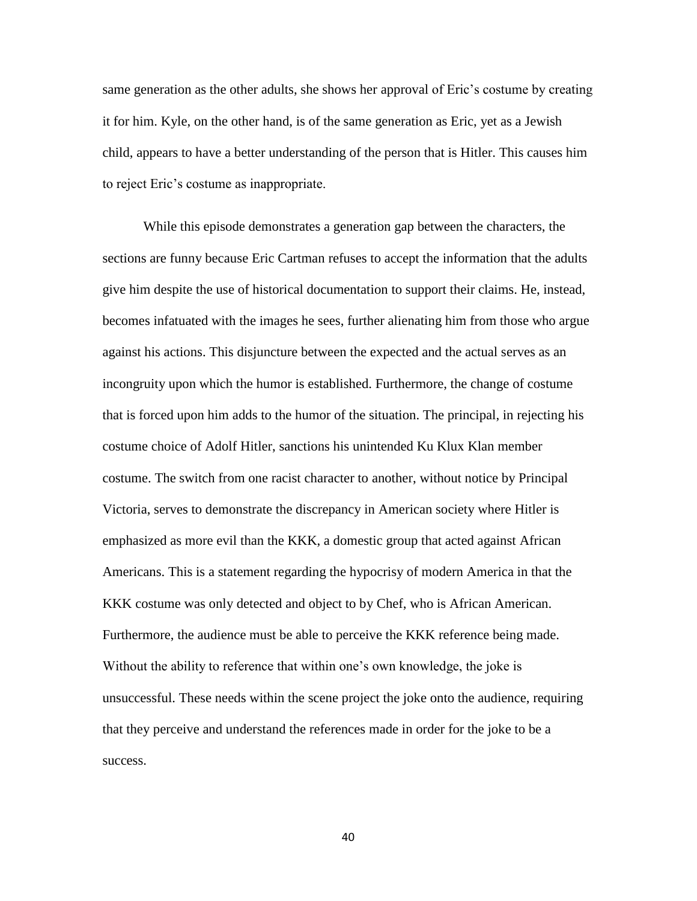same generation as the other adults, she shows her approval of Eric's costume by creating it for him. Kyle, on the other hand, is of the same generation as Eric, yet as a Jewish child, appears to have a better understanding of the person that is Hitler. This causes him to reject Eric's costume as inappropriate.

While this episode demonstrates a generation gap between the characters, the sections are funny because Eric Cartman refuses to accept the information that the adults give him despite the use of historical documentation to support their claims. He, instead, becomes infatuated with the images he sees, further alienating him from those who argue against his actions. This disjuncture between the expected and the actual serves as an incongruity upon which the humor is established. Furthermore, the change of costume that is forced upon him adds to the humor of the situation. The principal, in rejecting his costume choice of Adolf Hitler, sanctions his unintended Ku Klux Klan member costume. The switch from one racist character to another, without notice by Principal Victoria, serves to demonstrate the discrepancy in American society where Hitler is emphasized as more evil than the KKK, a domestic group that acted against African Americans. This is a statement regarding the hypocrisy of modern America in that the KKK costume was only detected and object to by Chef, who is African American. Furthermore, the audience must be able to perceive the KKK reference being made. Without the ability to reference that within one's own knowledge, the joke is unsuccessful. These needs within the scene project the joke onto the audience, requiring that they perceive and understand the references made in order for the joke to be a success.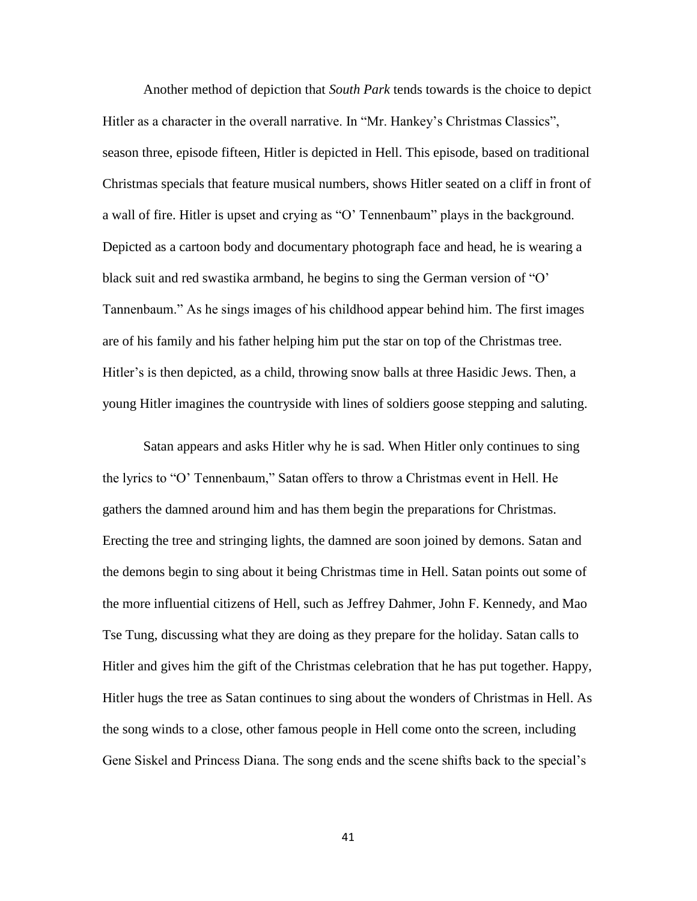Another method of depiction that *South Park* tends towards is the choice to depict Hitler as a character in the overall narrative. In "Mr. Hankey's Christmas Classics", season three, episode fifteen, Hitler is depicted in Hell. This episode, based on traditional Christmas specials that feature musical numbers, shows Hitler seated on a cliff in front of a wall of fire. Hitler is upset and crying as "O' Tennenbaum" plays in the background. Depicted as a cartoon body and documentary photograph face and head, he is wearing a black suit and red swastika armband, he begins to sing the German version of "O' Tannenbaum." As he sings images of his childhood appear behind him. The first images are of his family and his father helping him put the star on top of the Christmas tree. Hitler's is then depicted, as a child, throwing snow balls at three Hasidic Jews. Then, a young Hitler imagines the countryside with lines of soldiers goose stepping and saluting.

Satan appears and asks Hitler why he is sad. When Hitler only continues to sing the lyrics to "O' Tennenbaum," Satan offers to throw a Christmas event in Hell. He gathers the damned around him and has them begin the preparations for Christmas. Erecting the tree and stringing lights, the damned are soon joined by demons. Satan and the demons begin to sing about it being Christmas time in Hell. Satan points out some of the more influential citizens of Hell, such as Jeffrey Dahmer, John F. Kennedy, and Mao Tse Tung, discussing what they are doing as they prepare for the holiday. Satan calls to Hitler and gives him the gift of the Christmas celebration that he has put together. Happy, Hitler hugs the tree as Satan continues to sing about the wonders of Christmas in Hell. As the song winds to a close, other famous people in Hell come onto the screen, including Gene Siskel and Princess Diana. The song ends and the scene shifts back to the special's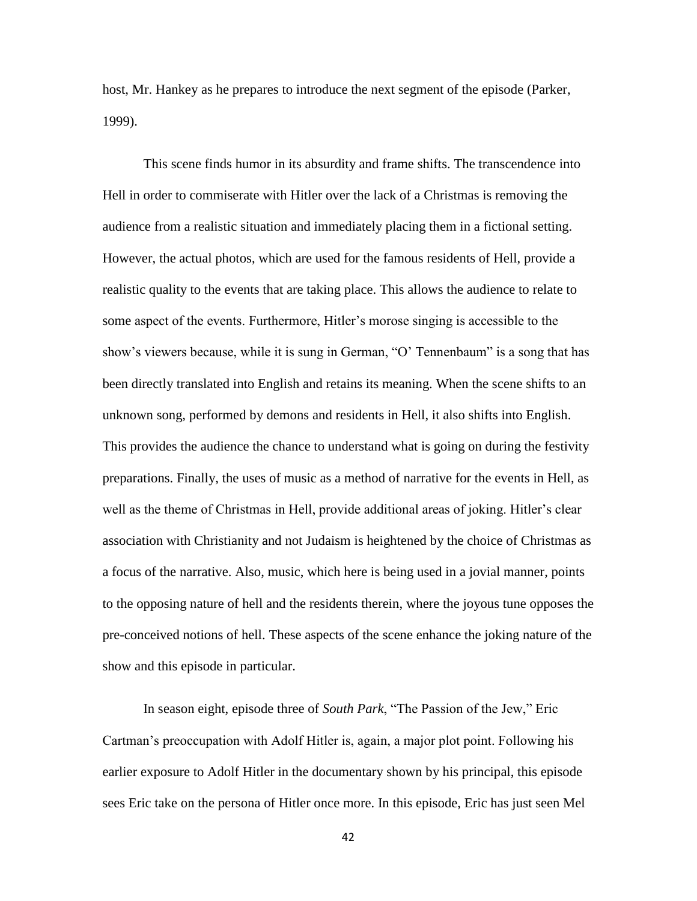host, Mr. Hankey as he prepares to introduce the next segment of the episode (Parker, 1999).

This scene finds humor in its absurdity and frame shifts. The transcendence into Hell in order to commiserate with Hitler over the lack of a Christmas is removing the audience from a realistic situation and immediately placing them in a fictional setting. However, the actual photos, which are used for the famous residents of Hell, provide a realistic quality to the events that are taking place. This allows the audience to relate to some aspect of the events. Furthermore, Hitler's morose singing is accessible to the show's viewers because, while it is sung in German, "O' Tennenbaum" is a song that has been directly translated into English and retains its meaning. When the scene shifts to an unknown song, performed by demons and residents in Hell, it also shifts into English. This provides the audience the chance to understand what is going on during the festivity preparations. Finally, the uses of music as a method of narrative for the events in Hell, as well as the theme of Christmas in Hell, provide additional areas of joking. Hitler's clear association with Christianity and not Judaism is heightened by the choice of Christmas as a focus of the narrative. Also, music, which here is being used in a jovial manner, points to the opposing nature of hell and the residents therein, where the joyous tune opposes the pre-conceived notions of hell. These aspects of the scene enhance the joking nature of the show and this episode in particular.

In season eight, episode three of *South Park*, "The Passion of the Jew," Eric Cartman's preoccupation with Adolf Hitler is, again, a major plot point. Following his earlier exposure to Adolf Hitler in the documentary shown by his principal, this episode sees Eric take on the persona of Hitler once more. In this episode, Eric has just seen Mel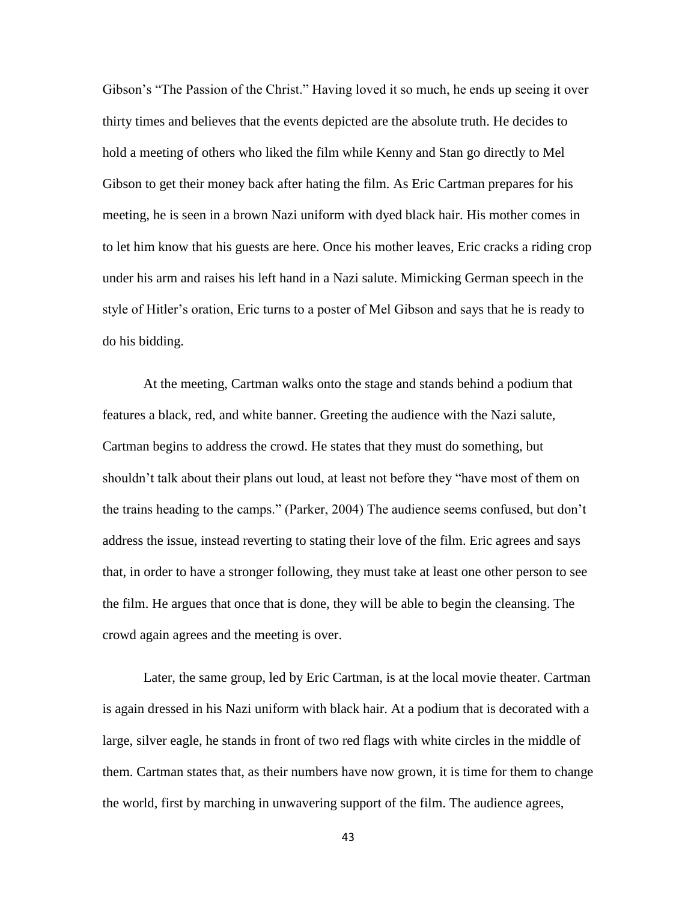Gibson's "The Passion of the Christ." Having loved it so much, he ends up seeing it over thirty times and believes that the events depicted are the absolute truth. He decides to hold a meeting of others who liked the film while Kenny and Stan go directly to Mel Gibson to get their money back after hating the film. As Eric Cartman prepares for his meeting, he is seen in a brown Nazi uniform with dyed black hair. His mother comes in to let him know that his guests are here. Once his mother leaves, Eric cracks a riding crop under his arm and raises his left hand in a Nazi salute. Mimicking German speech in the style of Hitler's oration, Eric turns to a poster of Mel Gibson and says that he is ready to do his bidding.

At the meeting, Cartman walks onto the stage and stands behind a podium that features a black, red, and white banner. Greeting the audience with the Nazi salute, Cartman begins to address the crowd. He states that they must do something, but shouldn't talk about their plans out loud, at least not before they "have most of them on the trains heading to the camps." (Parker, 2004) The audience seems confused, but don't address the issue, instead reverting to stating their love of the film. Eric agrees and says that, in order to have a stronger following, they must take at least one other person to see the film. He argues that once that is done, they will be able to begin the cleansing. The crowd again agrees and the meeting is over.

Later, the same group, led by Eric Cartman, is at the local movie theater. Cartman is again dressed in his Nazi uniform with black hair. At a podium that is decorated with a large, silver eagle, he stands in front of two red flags with white circles in the middle of them. Cartman states that, as their numbers have now grown, it is time for them to change the world, first by marching in unwavering support of the film. The audience agrees,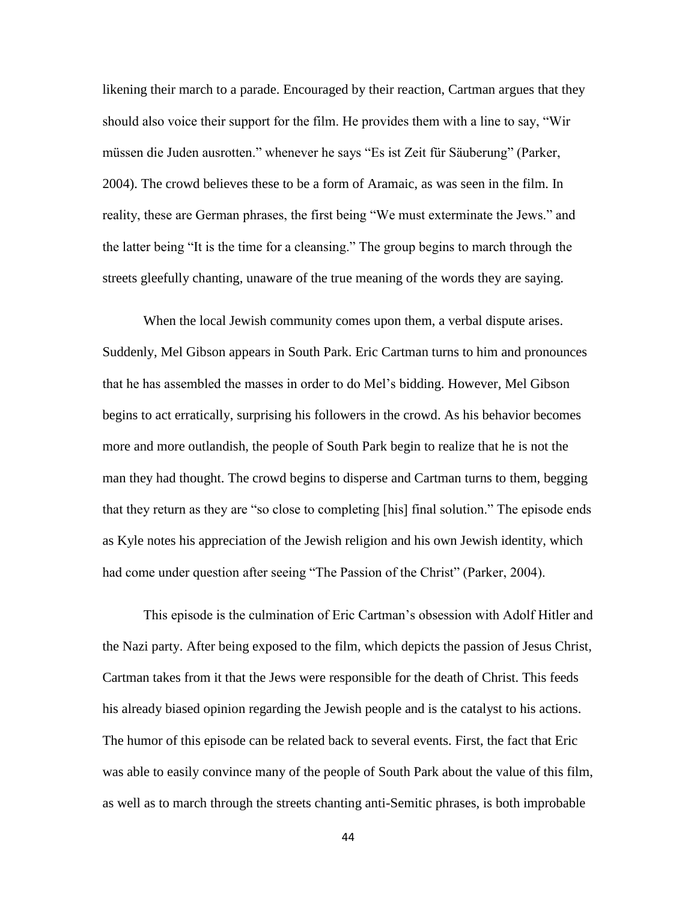likening their march to a parade. Encouraged by their reaction, Cartman argues that they should also voice their support for the film. He provides them with a line to say, "Wir müssen die Juden ausrotten." whenever he says "Es ist Zeit für Säuberung" (Parker, 2004). The crowd believes these to be a form of Aramaic, as was seen in the film. In reality, these are German phrases, the first being "We must exterminate the Jews." and the latter being "It is the time for a cleansing." The group begins to march through the streets gleefully chanting, unaware of the true meaning of the words they are saying.

When the local Jewish community comes upon them, a verbal dispute arises. Suddenly, Mel Gibson appears in South Park. Eric Cartman turns to him and pronounces that he has assembled the masses in order to do Mel's bidding. However, Mel Gibson begins to act erratically, surprising his followers in the crowd. As his behavior becomes more and more outlandish, the people of South Park begin to realize that he is not the man they had thought. The crowd begins to disperse and Cartman turns to them, begging that they return as they are "so close to completing [his] final solution." The episode ends as Kyle notes his appreciation of the Jewish religion and his own Jewish identity, which had come under question after seeing "The Passion of the Christ" (Parker, 2004).

This episode is the culmination of Eric Cartman's obsession with Adolf Hitler and the Nazi party. After being exposed to the film, which depicts the passion of Jesus Christ, Cartman takes from it that the Jews were responsible for the death of Christ. This feeds his already biased opinion regarding the Jewish people and is the catalyst to his actions. The humor of this episode can be related back to several events. First, the fact that Eric was able to easily convince many of the people of South Park about the value of this film, as well as to march through the streets chanting anti-Semitic phrases, is both improbable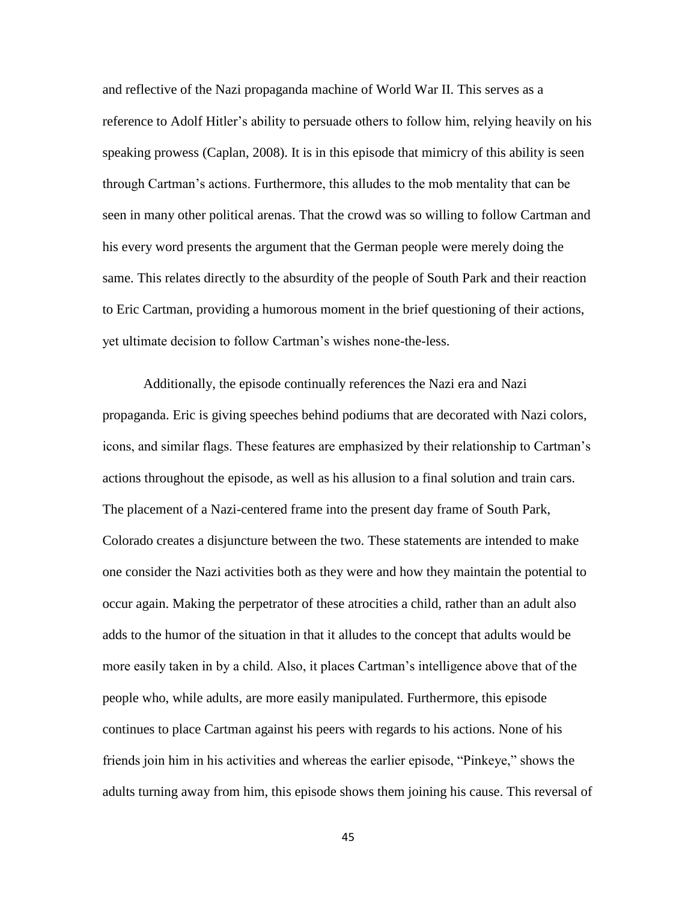and reflective of the Nazi propaganda machine of World War II. This serves as a reference to Adolf Hitler's ability to persuade others to follow him, relying heavily on his speaking prowess (Caplan, 2008). It is in this episode that mimicry of this ability is seen through Cartman's actions. Furthermore, this alludes to the mob mentality that can be seen in many other political arenas. That the crowd was so willing to follow Cartman and his every word presents the argument that the German people were merely doing the same. This relates directly to the absurdity of the people of South Park and their reaction to Eric Cartman, providing a humorous moment in the brief questioning of their actions, yet ultimate decision to follow Cartman's wishes none-the-less.

Additionally, the episode continually references the Nazi era and Nazi propaganda. Eric is giving speeches behind podiums that are decorated with Nazi colors, icons, and similar flags. These features are emphasized by their relationship to Cartman's actions throughout the episode, as well as his allusion to a final solution and train cars. The placement of a Nazi-centered frame into the present day frame of South Park, Colorado creates a disjuncture between the two. These statements are intended to make one consider the Nazi activities both as they were and how they maintain the potential to occur again. Making the perpetrator of these atrocities a child, rather than an adult also adds to the humor of the situation in that it alludes to the concept that adults would be more easily taken in by a child. Also, it places Cartman's intelligence above that of the people who, while adults, are more easily manipulated. Furthermore, this episode continues to place Cartman against his peers with regards to his actions. None of his friends join him in his activities and whereas the earlier episode, "Pinkeye," shows the adults turning away from him, this episode shows them joining his cause. This reversal of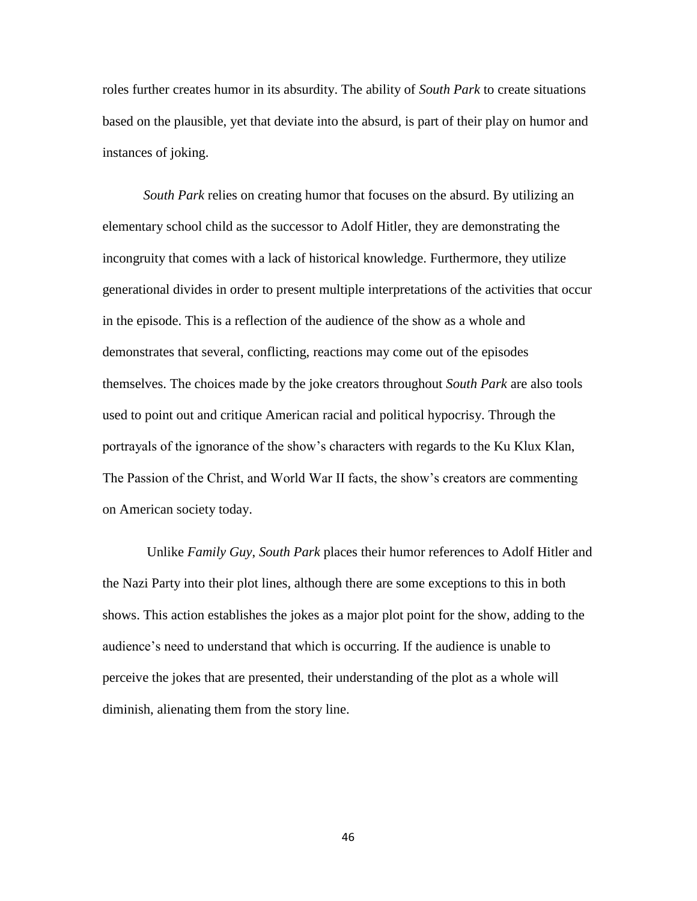roles further creates humor in its absurdity. The ability of *South Park* to create situations based on the plausible, yet that deviate into the absurd, is part of their play on humor and instances of joking.

*South Park* relies on creating humor that focuses on the absurd. By utilizing an elementary school child as the successor to Adolf Hitler, they are demonstrating the incongruity that comes with a lack of historical knowledge. Furthermore, they utilize generational divides in order to present multiple interpretations of the activities that occur in the episode. This is a reflection of the audience of the show as a whole and demonstrates that several, conflicting, reactions may come out of the episodes themselves. The choices made by the joke creators throughout *South Park* are also tools used to point out and critique American racial and political hypocrisy. Through the portrayals of the ignorance of the show's characters with regards to the Ku Klux Klan, The Passion of the Christ, and World War II facts, the show's creators are commenting on American society today.

Unlike *Family Guy*, *South Park* places their humor references to Adolf Hitler and the Nazi Party into their plot lines, although there are some exceptions to this in both shows. This action establishes the jokes as a major plot point for the show, adding to the audience's need to understand that which is occurring. If the audience is unable to perceive the jokes that are presented, their understanding of the plot as a whole will diminish, alienating them from the story line.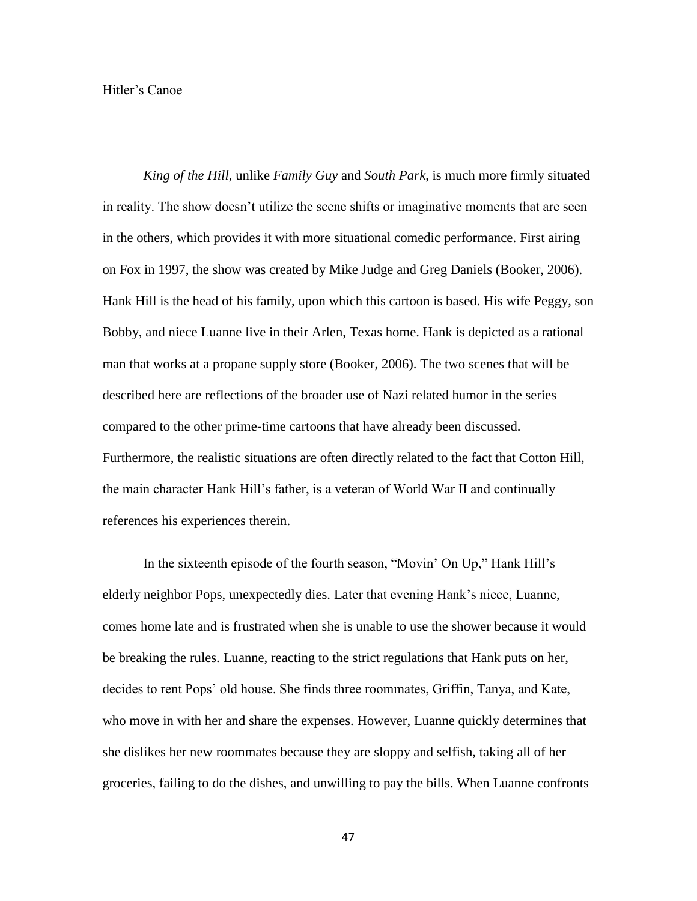## Hitler's Canoe

*King of the Hill*, unlike *Family Guy* and *South Park*, is much more firmly situated in reality. The show doesn't utilize the scene shifts or imaginative moments that are seen in the others, which provides it with more situational comedic performance. First airing on Fox in 1997, the show was created by Mike Judge and Greg Daniels (Booker, 2006). Hank Hill is the head of his family, upon which this cartoon is based. His wife Peggy, son Bobby, and niece Luanne live in their Arlen, Texas home. Hank is depicted as a rational man that works at a propane supply store (Booker, 2006). The two scenes that will be described here are reflections of the broader use of Nazi related humor in the series compared to the other prime-time cartoons that have already been discussed. Furthermore, the realistic situations are often directly related to the fact that Cotton Hill, the main character Hank Hill's father, is a veteran of World War II and continually references his experiences therein.

In the sixteenth episode of the fourth season, "Movin' On Up," Hank Hill's elderly neighbor Pops, unexpectedly dies. Later that evening Hank's niece, Luanne, comes home late and is frustrated when she is unable to use the shower because it would be breaking the rules. Luanne, reacting to the strict regulations that Hank puts on her, decides to rent Pops' old house. She finds three roommates, Griffin, Tanya, and Kate, who move in with her and share the expenses. However, Luanne quickly determines that she dislikes her new roommates because they are sloppy and selfish, taking all of her groceries, failing to do the dishes, and unwilling to pay the bills. When Luanne confronts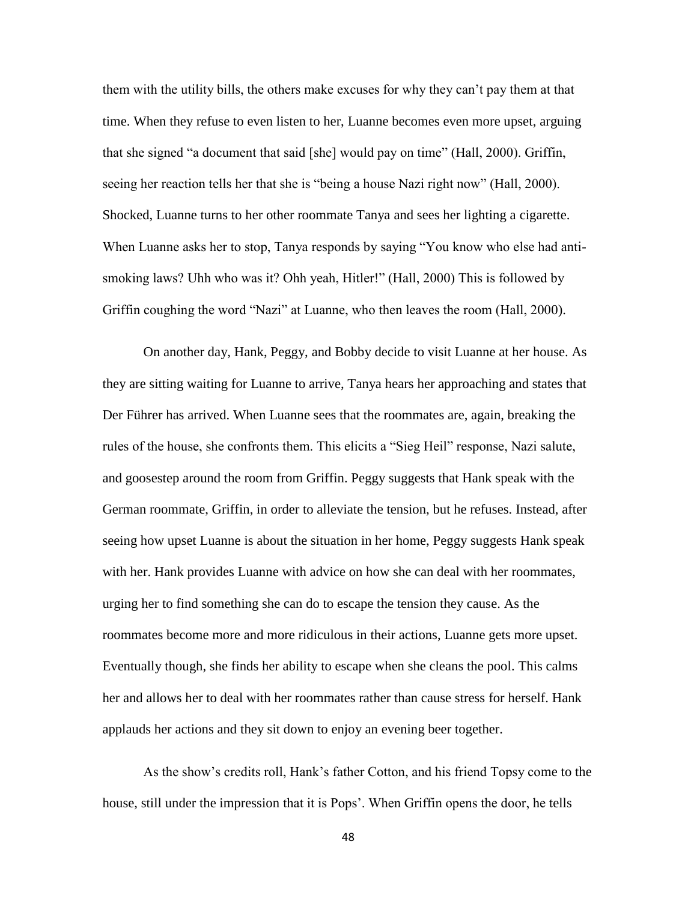them with the utility bills, the others make excuses for why they can't pay them at that time. When they refuse to even listen to her, Luanne becomes even more upset, arguing that she signed "a document that said [she] would pay on time" (Hall, 2000). Griffin, seeing her reaction tells her that she is "being a house Nazi right now" (Hall, 2000). Shocked, Luanne turns to her other roommate Tanya and sees her lighting a cigarette. When Luanne asks her to stop, Tanya responds by saying "You know who else had antismoking laws? Uhh who was it? Ohh yeah, Hitler!" (Hall, 2000) This is followed by Griffin coughing the word "Nazi" at Luanne, who then leaves the room (Hall, 2000).

On another day, Hank, Peggy, and Bobby decide to visit Luanne at her house. As they are sitting waiting for Luanne to arrive, Tanya hears her approaching and states that Der Führer has arrived. When Luanne sees that the roommates are, again, breaking the rules of the house, she confronts them. This elicits a "Sieg Heil" response, Nazi salute, and goosestep around the room from Griffin. Peggy suggests that Hank speak with the German roommate, Griffin, in order to alleviate the tension, but he refuses. Instead, after seeing how upset Luanne is about the situation in her home, Peggy suggests Hank speak with her. Hank provides Luanne with advice on how she can deal with her roommates, urging her to find something she can do to escape the tension they cause. As the roommates become more and more ridiculous in their actions, Luanne gets more upset. Eventually though, she finds her ability to escape when she cleans the pool. This calms her and allows her to deal with her roommates rather than cause stress for herself. Hank applauds her actions and they sit down to enjoy an evening beer together.

As the show's credits roll, Hank's father Cotton, and his friend Topsy come to the house, still under the impression that it is Pops'. When Griffin opens the door, he tells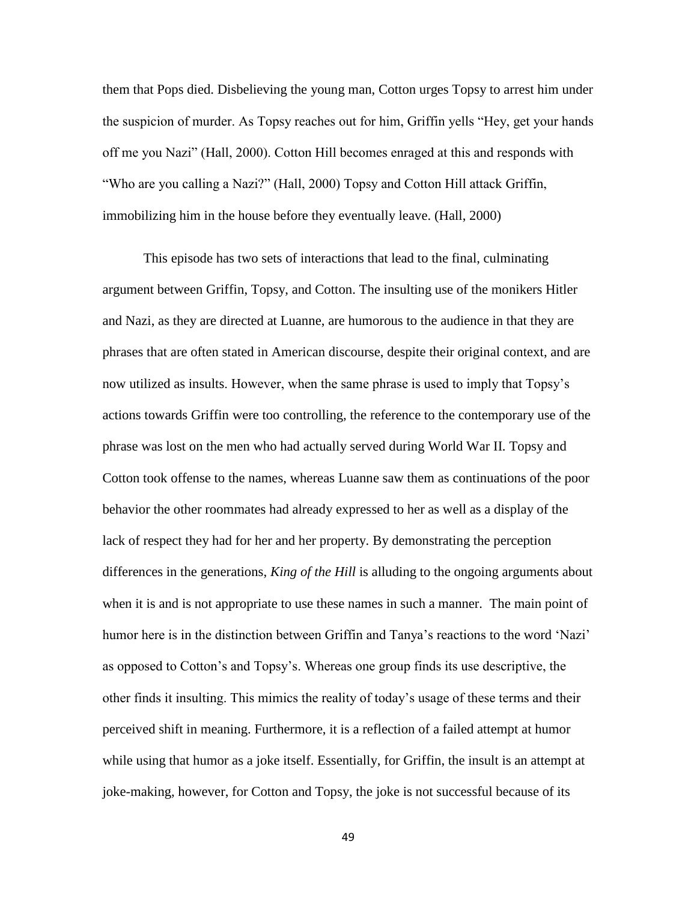them that Pops died. Disbelieving the young man, Cotton urges Topsy to arrest him under the suspicion of murder. As Topsy reaches out for him, Griffin yells "Hey, get your hands off me you Nazi" (Hall, 2000). Cotton Hill becomes enraged at this and responds with "Who are you calling a Nazi?" (Hall, 2000) Topsy and Cotton Hill attack Griffin, immobilizing him in the house before they eventually leave. (Hall, 2000)

This episode has two sets of interactions that lead to the final, culminating argument between Griffin, Topsy, and Cotton. The insulting use of the monikers Hitler and Nazi, as they are directed at Luanne, are humorous to the audience in that they are phrases that are often stated in American discourse, despite their original context, and are now utilized as insults. However, when the same phrase is used to imply that Topsy's actions towards Griffin were too controlling, the reference to the contemporary use of the phrase was lost on the men who had actually served during World War II. Topsy and Cotton took offense to the names, whereas Luanne saw them as continuations of the poor behavior the other roommates had already expressed to her as well as a display of the lack of respect they had for her and her property. By demonstrating the perception differences in the generations, *King of the Hill* is alluding to the ongoing arguments about when it is and is not appropriate to use these names in such a manner. The main point of humor here is in the distinction between Griffin and Tanya's reactions to the word 'Nazi' as opposed to Cotton's and Topsy's. Whereas one group finds its use descriptive, the other finds it insulting. This mimics the reality of today's usage of these terms and their perceived shift in meaning. Furthermore, it is a reflection of a failed attempt at humor while using that humor as a joke itself. Essentially, for Griffin, the insult is an attempt at joke-making, however, for Cotton and Topsy, the joke is not successful because of its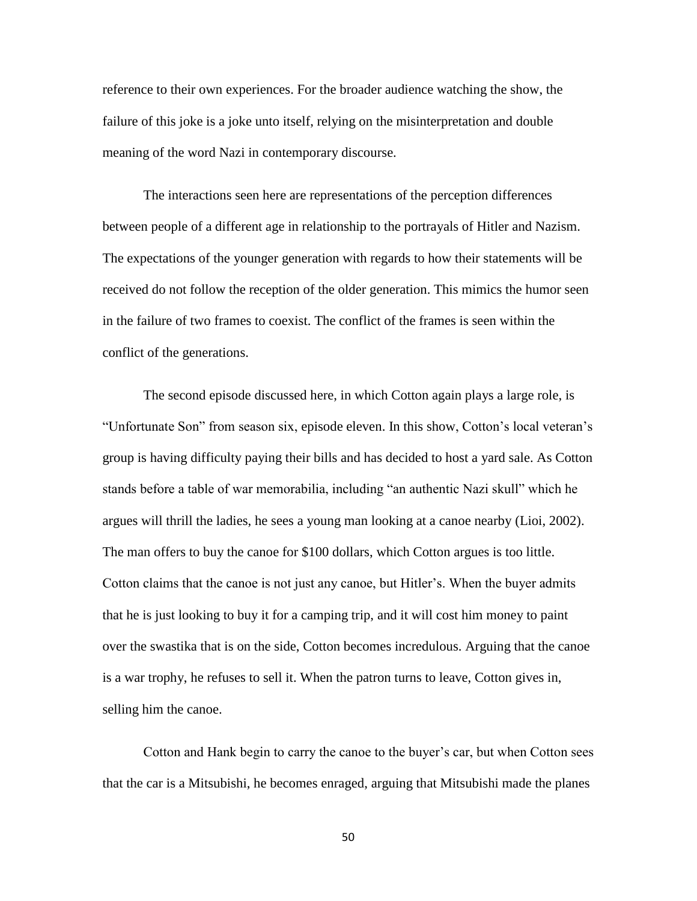reference to their own experiences. For the broader audience watching the show, the failure of this joke is a joke unto itself, relying on the misinterpretation and double meaning of the word Nazi in contemporary discourse.

The interactions seen here are representations of the perception differences between people of a different age in relationship to the portrayals of Hitler and Nazism. The expectations of the younger generation with regards to how their statements will be received do not follow the reception of the older generation. This mimics the humor seen in the failure of two frames to coexist. The conflict of the frames is seen within the conflict of the generations.

The second episode discussed here, in which Cotton again plays a large role, is "Unfortunate Son" from season six, episode eleven. In this show, Cotton's local veteran's group is having difficulty paying their bills and has decided to host a yard sale. As Cotton stands before a table of war memorabilia, including "an authentic Nazi skull" which he argues will thrill the ladies, he sees a young man looking at a canoe nearby (Lioi, 2002). The man offers to buy the canoe for \$100 dollars, which Cotton argues is too little. Cotton claims that the canoe is not just any canoe, but Hitler's. When the buyer admits that he is just looking to buy it for a camping trip, and it will cost him money to paint over the swastika that is on the side, Cotton becomes incredulous. Arguing that the canoe is a war trophy, he refuses to sell it. When the patron turns to leave, Cotton gives in, selling him the canoe.

Cotton and Hank begin to carry the canoe to the buyer's car, but when Cotton sees that the car is a Mitsubishi, he becomes enraged, arguing that Mitsubishi made the planes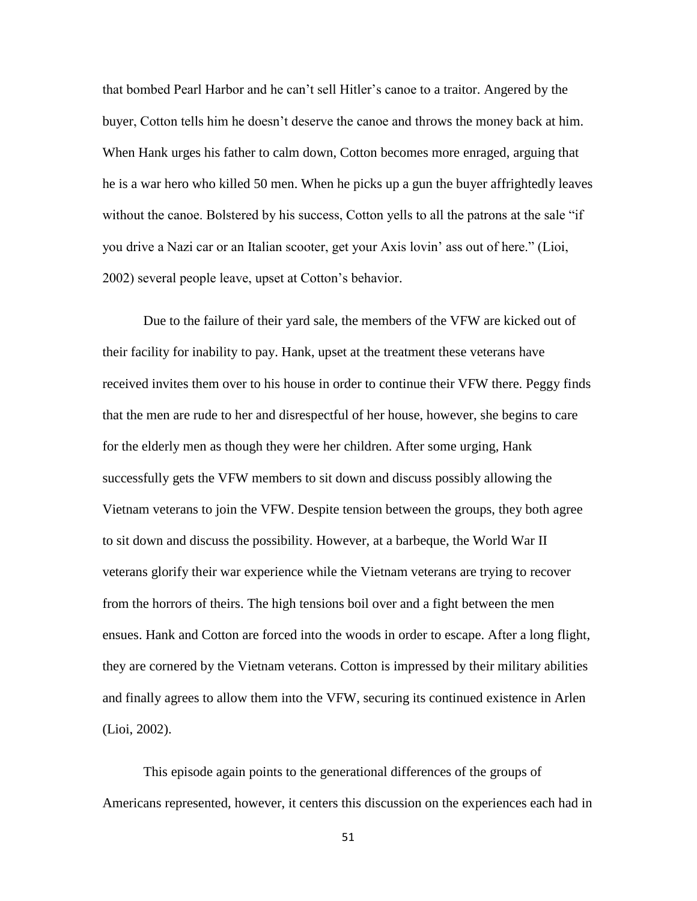that bombed Pearl Harbor and he can't sell Hitler's canoe to a traitor. Angered by the buyer, Cotton tells him he doesn't deserve the canoe and throws the money back at him. When Hank urges his father to calm down, Cotton becomes more enraged, arguing that he is a war hero who killed 50 men. When he picks up a gun the buyer affrightedly leaves without the canoe. Bolstered by his success, Cotton yells to all the patrons at the sale "if you drive a Nazi car or an Italian scooter, get your Axis lovin' ass out of here." (Lioi, 2002) several people leave, upset at Cotton's behavior.

Due to the failure of their yard sale, the members of the VFW are kicked out of their facility for inability to pay. Hank, upset at the treatment these veterans have received invites them over to his house in order to continue their VFW there. Peggy finds that the men are rude to her and disrespectful of her house, however, she begins to care for the elderly men as though they were her children. After some urging, Hank successfully gets the VFW members to sit down and discuss possibly allowing the Vietnam veterans to join the VFW. Despite tension between the groups, they both agree to sit down and discuss the possibility. However, at a barbeque, the World War II veterans glorify their war experience while the Vietnam veterans are trying to recover from the horrors of theirs. The high tensions boil over and a fight between the men ensues. Hank and Cotton are forced into the woods in order to escape. After a long flight, they are cornered by the Vietnam veterans. Cotton is impressed by their military abilities and finally agrees to allow them into the VFW, securing its continued existence in Arlen (Lioi, 2002).

This episode again points to the generational differences of the groups of Americans represented, however, it centers this discussion on the experiences each had in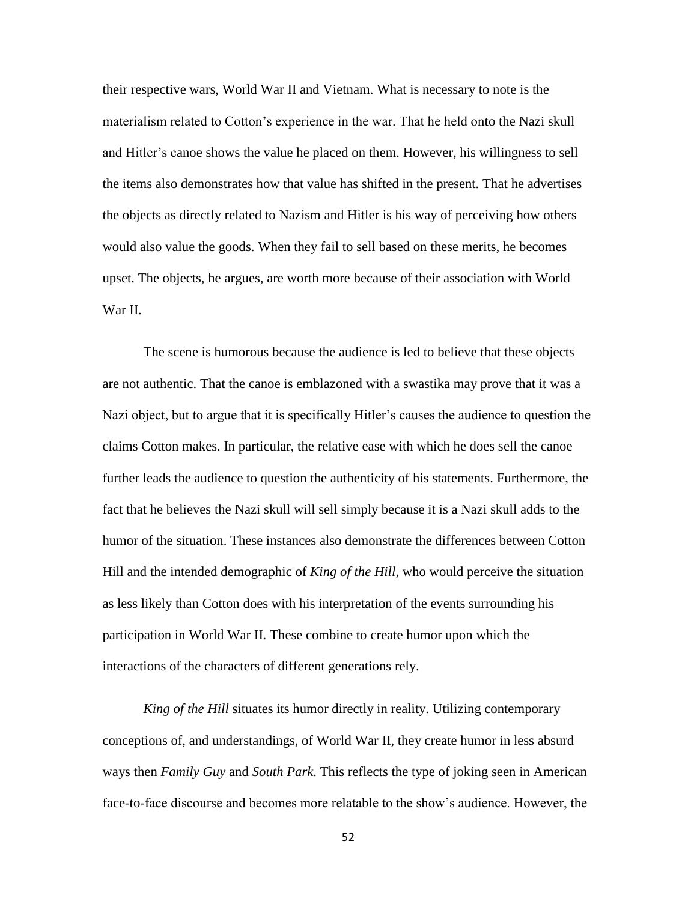their respective wars, World War II and Vietnam. What is necessary to note is the materialism related to Cotton's experience in the war. That he held onto the Nazi skull and Hitler's canoe shows the value he placed on them. However, his willingness to sell the items also demonstrates how that value has shifted in the present. That he advertises the objects as directly related to Nazism and Hitler is his way of perceiving how others would also value the goods. When they fail to sell based on these merits, he becomes upset. The objects, he argues, are worth more because of their association with World War II.

The scene is humorous because the audience is led to believe that these objects are not authentic. That the canoe is emblazoned with a swastika may prove that it was a Nazi object, but to argue that it is specifically Hitler's causes the audience to question the claims Cotton makes. In particular, the relative ease with which he does sell the canoe further leads the audience to question the authenticity of his statements. Furthermore, the fact that he believes the Nazi skull will sell simply because it is a Nazi skull adds to the humor of the situation. These instances also demonstrate the differences between Cotton Hill and the intended demographic of *King of the Hill*, who would perceive the situation as less likely than Cotton does with his interpretation of the events surrounding his participation in World War II. These combine to create humor upon which the interactions of the characters of different generations rely.

*King of the Hill* situates its humor directly in reality. Utilizing contemporary conceptions of, and understandings, of World War II, they create humor in less absurd ways then *Family Guy* and *South Park*. This reflects the type of joking seen in American face-to-face discourse and becomes more relatable to the show's audience. However, the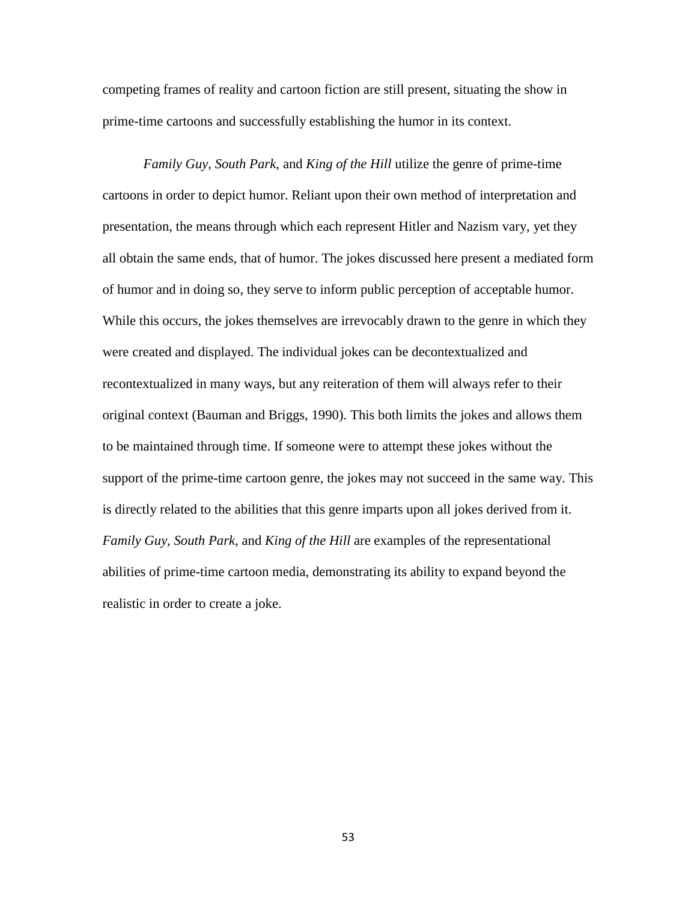competing frames of reality and cartoon fiction are still present, situating the show in prime-time cartoons and successfully establishing the humor in its context.

*Family Guy*, *South Park*, and *King of the Hill* utilize the genre of prime-time cartoons in order to depict humor. Reliant upon their own method of interpretation and presentation, the means through which each represent Hitler and Nazism vary, yet they all obtain the same ends, that of humor. The jokes discussed here present a mediated form of humor and in doing so, they serve to inform public perception of acceptable humor. While this occurs, the jokes themselves are irrevocably drawn to the genre in which they were created and displayed. The individual jokes can be decontextualized and recontextualized in many ways, but any reiteration of them will always refer to their original context (Bauman and Briggs, 1990). This both limits the jokes and allows them to be maintained through time. If someone were to attempt these jokes without the support of the prime-time cartoon genre, the jokes may not succeed in the same way. This is directly related to the abilities that this genre imparts upon all jokes derived from it. *Family Guy*, *South Park*, and *King of the Hill* are examples of the representational abilities of prime-time cartoon media, demonstrating its ability to expand beyond the realistic in order to create a joke.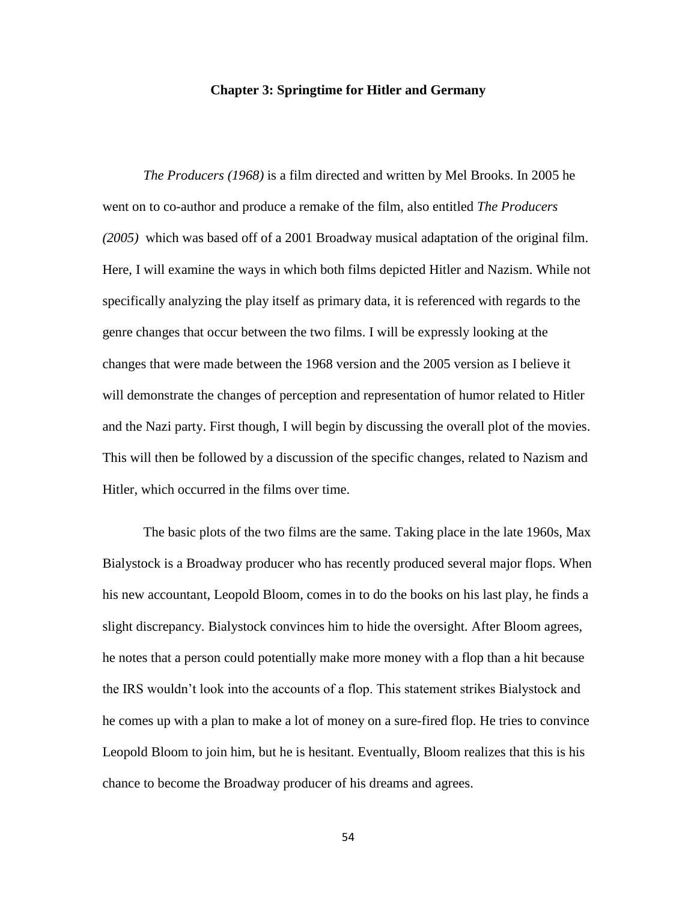## **Chapter 3: Springtime for Hitler and Germany**

*The Producers (1968)* is a film directed and written by Mel Brooks. In 2005 he went on to co-author and produce a remake of the film, also entitled *The Producers (2005)* which was based off of a 2001 Broadway musical adaptation of the original film. Here, I will examine the ways in which both films depicted Hitler and Nazism. While not specifically analyzing the play itself as primary data, it is referenced with regards to the genre changes that occur between the two films. I will be expressly looking at the changes that were made between the 1968 version and the 2005 version as I believe it will demonstrate the changes of perception and representation of humor related to Hitler and the Nazi party. First though, I will begin by discussing the overall plot of the movies. This will then be followed by a discussion of the specific changes, related to Nazism and Hitler, which occurred in the films over time.

The basic plots of the two films are the same. Taking place in the late 1960s, Max Bialystock is a Broadway producer who has recently produced several major flops. When his new accountant, Leopold Bloom, comes in to do the books on his last play, he finds a slight discrepancy. Bialystock convinces him to hide the oversight. After Bloom agrees, he notes that a person could potentially make more money with a flop than a hit because the IRS wouldn't look into the accounts of a flop. This statement strikes Bialystock and he comes up with a plan to make a lot of money on a sure-fired flop. He tries to convince Leopold Bloom to join him, but he is hesitant. Eventually, Bloom realizes that this is his chance to become the Broadway producer of his dreams and agrees.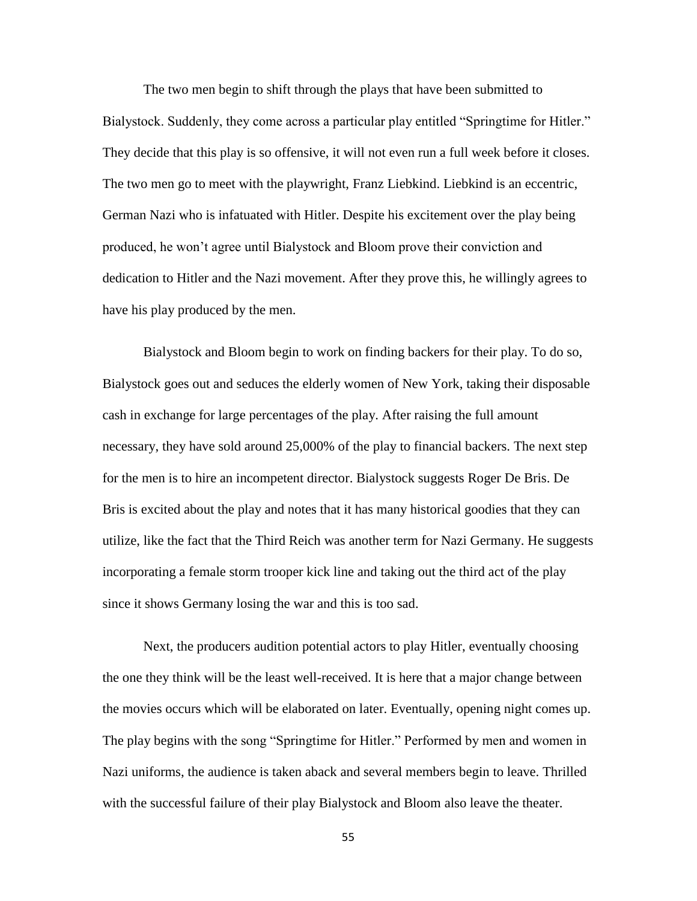The two men begin to shift through the plays that have been submitted to Bialystock. Suddenly, they come across a particular play entitled "Springtime for Hitler." They decide that this play is so offensive, it will not even run a full week before it closes. The two men go to meet with the playwright, Franz Liebkind. Liebkind is an eccentric, German Nazi who is infatuated with Hitler. Despite his excitement over the play being produced, he won't agree until Bialystock and Bloom prove their conviction and dedication to Hitler and the Nazi movement. After they prove this, he willingly agrees to have his play produced by the men.

Bialystock and Bloom begin to work on finding backers for their play. To do so, Bialystock goes out and seduces the elderly women of New York, taking their disposable cash in exchange for large percentages of the play. After raising the full amount necessary, they have sold around 25,000% of the play to financial backers. The next step for the men is to hire an incompetent director. Bialystock suggests Roger De Bris. De Bris is excited about the play and notes that it has many historical goodies that they can utilize, like the fact that the Third Reich was another term for Nazi Germany. He suggests incorporating a female storm trooper kick line and taking out the third act of the play since it shows Germany losing the war and this is too sad.

Next, the producers audition potential actors to play Hitler, eventually choosing the one they think will be the least well-received. It is here that a major change between the movies occurs which will be elaborated on later. Eventually, opening night comes up. The play begins with the song "Springtime for Hitler." Performed by men and women in Nazi uniforms, the audience is taken aback and several members begin to leave. Thrilled with the successful failure of their play Bialystock and Bloom also leave the theater.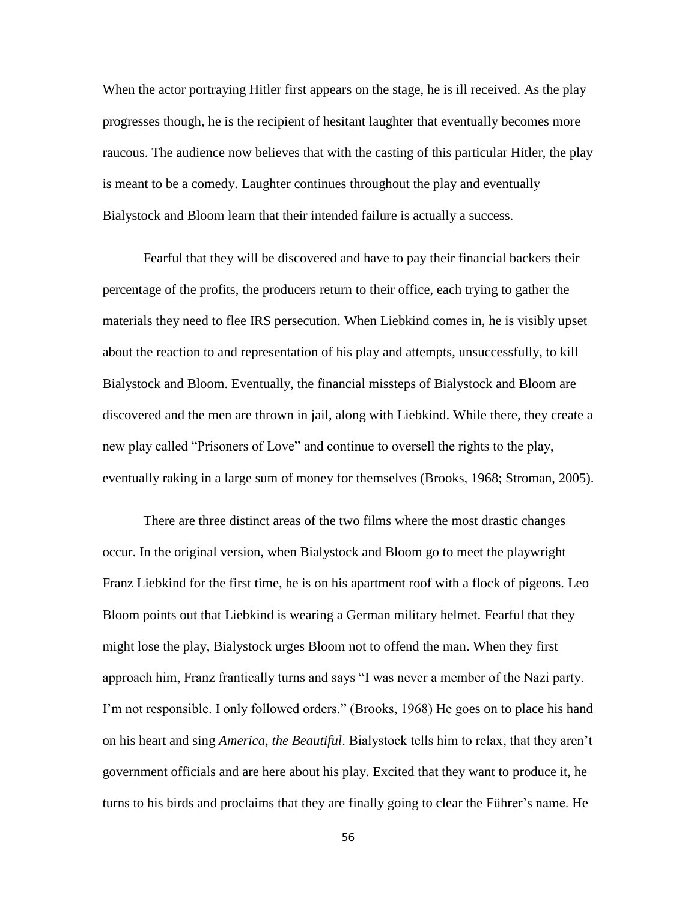When the actor portraying Hitler first appears on the stage, he is ill received. As the play progresses though, he is the recipient of hesitant laughter that eventually becomes more raucous. The audience now believes that with the casting of this particular Hitler, the play is meant to be a comedy. Laughter continues throughout the play and eventually Bialystock and Bloom learn that their intended failure is actually a success.

Fearful that they will be discovered and have to pay their financial backers their percentage of the profits, the producers return to their office, each trying to gather the materials they need to flee IRS persecution. When Liebkind comes in, he is visibly upset about the reaction to and representation of his play and attempts, unsuccessfully, to kill Bialystock and Bloom. Eventually, the financial missteps of Bialystock and Bloom are discovered and the men are thrown in jail, along with Liebkind. While there, they create a new play called "Prisoners of Love" and continue to oversell the rights to the play, eventually raking in a large sum of money for themselves (Brooks, 1968; Stroman, 2005).

There are three distinct areas of the two films where the most drastic changes occur. In the original version, when Bialystock and Bloom go to meet the playwright Franz Liebkind for the first time, he is on his apartment roof with a flock of pigeons. Leo Bloom points out that Liebkind is wearing a German military helmet. Fearful that they might lose the play, Bialystock urges Bloom not to offend the man. When they first approach him, Franz frantically turns and says "I was never a member of the Nazi party. I'm not responsible. I only followed orders." (Brooks, 1968) He goes on to place his hand on his heart and sing *America, the Beautiful*. Bialystock tells him to relax, that they aren't government officials and are here about his play. Excited that they want to produce it, he turns to his birds and proclaims that they are finally going to clear the Führer's name. He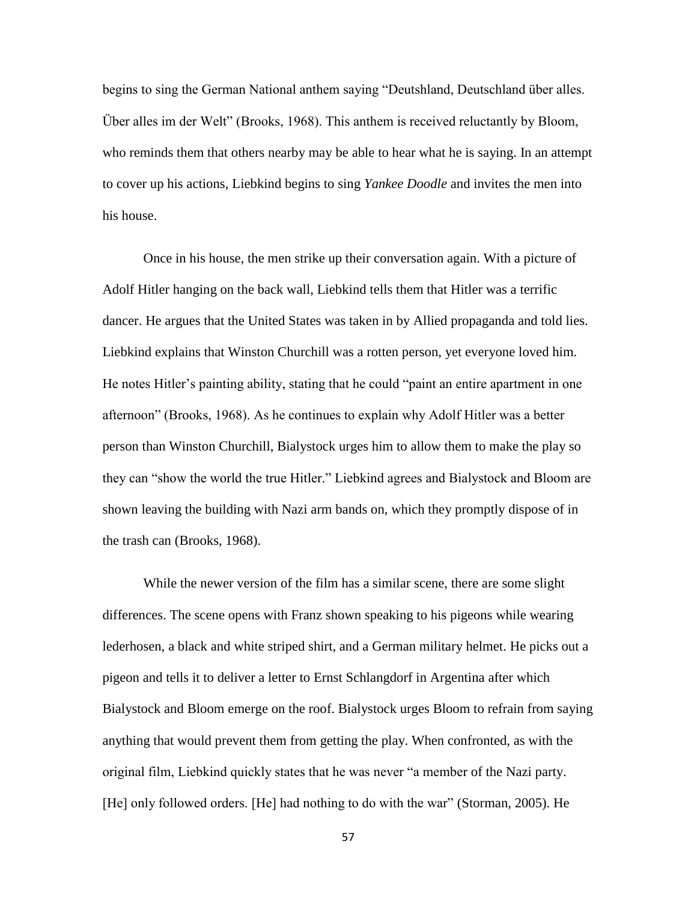begins to sing the German National anthem saying "Deutshland, Deutschland über alles. Über alles im der Welt" (Brooks, 1968). This anthem is received reluctantly by Bloom, who reminds them that others nearby may be able to hear what he is saying. In an attempt to cover up his actions, Liebkind begins to sing *Yankee Doodle* and invites the men into his house.

Once in his house, the men strike up their conversation again. With a picture of Adolf Hitler hanging on the back wall, Liebkind tells them that Hitler was a terrific dancer. He argues that the United States was taken in by Allied propaganda and told lies. Liebkind explains that Winston Churchill was a rotten person, yet everyone loved him. He notes Hitler's painting ability, stating that he could "paint an entire apartment in one afternoon" (Brooks, 1968). As he continues to explain why Adolf Hitler was a better person than Winston Churchill, Bialystock urges him to allow them to make the play so they can "show the world the true Hitler." Liebkind agrees and Bialystock and Bloom are shown leaving the building with Nazi arm bands on, which they promptly dispose of in the trash can (Brooks, 1968).

While the newer version of the film has a similar scene, there are some slight differences. The scene opens with Franz shown speaking to his pigeons while wearing lederhosen, a black and white striped shirt, and a German military helmet. He picks out a pigeon and tells it to deliver a letter to Ernst Schlangdorf in Argentina after which Bialystock and Bloom emerge on the roof. Bialystock urges Bloom to refrain from saying anything that would prevent them from getting the play. When confronted, as with the original film, Liebkind quickly states that he was never "a member of the Nazi party. [He] only followed orders. [He] had nothing to do with the war" (Storman, 2005). He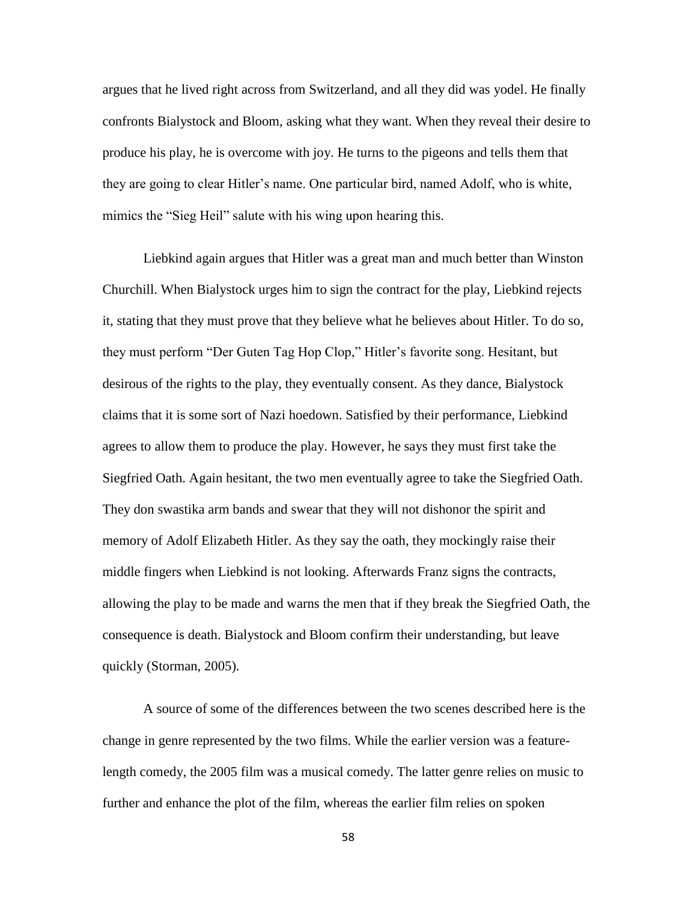argues that he lived right across from Switzerland, and all they did was yodel. He finally confronts Bialystock and Bloom, asking what they want. When they reveal their desire to produce his play, he is overcome with joy. He turns to the pigeons and tells them that they are going to clear Hitler's name. One particular bird, named Adolf, who is white, mimics the "Sieg Heil" salute with his wing upon hearing this.

Liebkind again argues that Hitler was a great man and much better than Winston Churchill. When Bialystock urges him to sign the contract for the play, Liebkind rejects it, stating that they must prove that they believe what he believes about Hitler. To do so, they must perform "Der Guten Tag Hop Clop," Hitler's favorite song. Hesitant, but desirous of the rights to the play, they eventually consent. As they dance, Bialystock claims that it is some sort of Nazi hoedown. Satisfied by their performance, Liebkind agrees to allow them to produce the play. However, he says they must first take the Siegfried Oath. Again hesitant, the two men eventually agree to take the Siegfried Oath. They don swastika arm bands and swear that they will not dishonor the spirit and memory of Adolf Elizabeth Hitler. As they say the oath, they mockingly raise their middle fingers when Liebkind is not looking. Afterwards Franz signs the contracts, allowing the play to be made and warns the men that if they break the Siegfried Oath, the consequence is death. Bialystock and Bloom confirm their understanding, but leave quickly (Storman, 2005).

A source of some of the differences between the two scenes described here is the change in genre represented by the two films. While the earlier version was a featurelength comedy, the 2005 film was a musical comedy. The latter genre relies on music to further and enhance the plot of the film, whereas the earlier film relies on spoken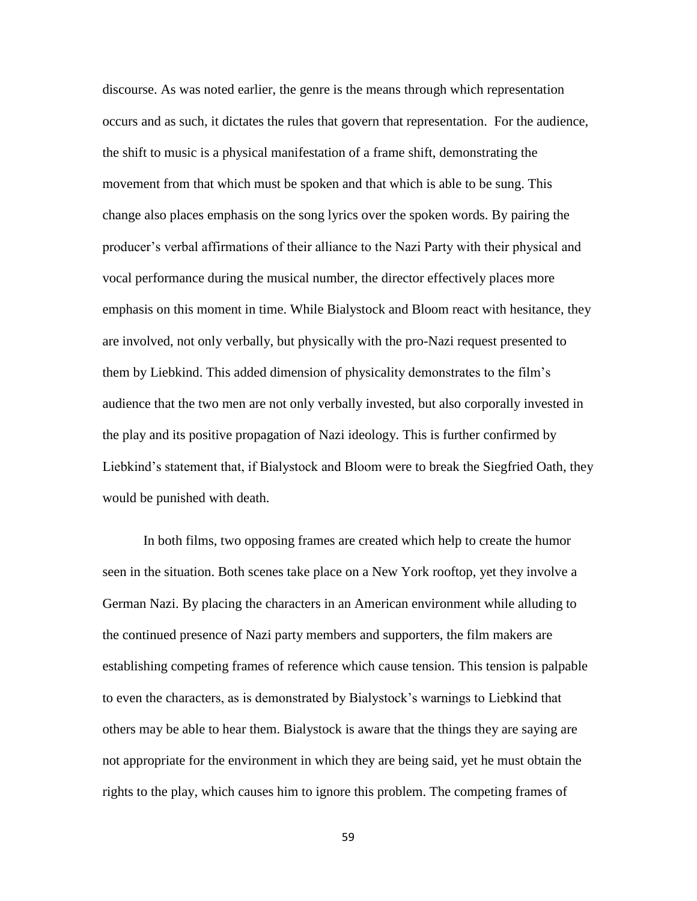discourse. As was noted earlier, the genre is the means through which representation occurs and as such, it dictates the rules that govern that representation. For the audience, the shift to music is a physical manifestation of a frame shift, demonstrating the movement from that which must be spoken and that which is able to be sung. This change also places emphasis on the song lyrics over the spoken words. By pairing the producer's verbal affirmations of their alliance to the Nazi Party with their physical and vocal performance during the musical number, the director effectively places more emphasis on this moment in time. While Bialystock and Bloom react with hesitance, they are involved, not only verbally, but physically with the pro-Nazi request presented to them by Liebkind. This added dimension of physicality demonstrates to the film's audience that the two men are not only verbally invested, but also corporally invested in the play and its positive propagation of Nazi ideology. This is further confirmed by Liebkind's statement that, if Bialystock and Bloom were to break the Siegfried Oath, they would be punished with death.

In both films, two opposing frames are created which help to create the humor seen in the situation. Both scenes take place on a New York rooftop, yet they involve a German Nazi. By placing the characters in an American environment while alluding to the continued presence of Nazi party members and supporters, the film makers are establishing competing frames of reference which cause tension. This tension is palpable to even the characters, as is demonstrated by Bialystock's warnings to Liebkind that others may be able to hear them. Bialystock is aware that the things they are saying are not appropriate for the environment in which they are being said, yet he must obtain the rights to the play, which causes him to ignore this problem. The competing frames of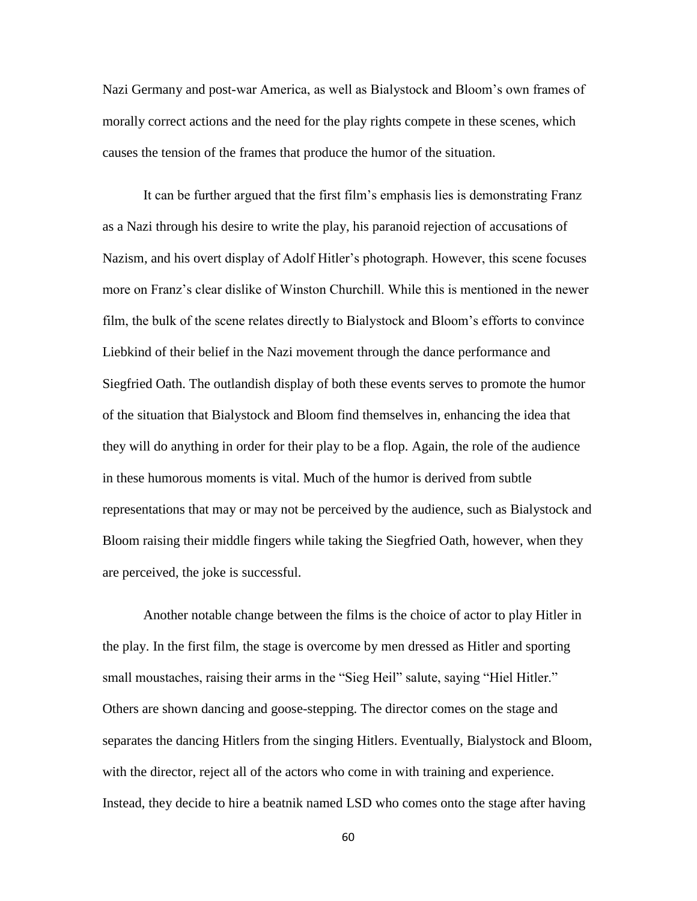Nazi Germany and post-war America, as well as Bialystock and Bloom's own frames of morally correct actions and the need for the play rights compete in these scenes, which causes the tension of the frames that produce the humor of the situation.

It can be further argued that the first film's emphasis lies is demonstrating Franz as a Nazi through his desire to write the play, his paranoid rejection of accusations of Nazism, and his overt display of Adolf Hitler's photograph. However, this scene focuses more on Franz's clear dislike of Winston Churchill. While this is mentioned in the newer film, the bulk of the scene relates directly to Bialystock and Bloom's efforts to convince Liebkind of their belief in the Nazi movement through the dance performance and Siegfried Oath. The outlandish display of both these events serves to promote the humor of the situation that Bialystock and Bloom find themselves in, enhancing the idea that they will do anything in order for their play to be a flop. Again, the role of the audience in these humorous moments is vital. Much of the humor is derived from subtle representations that may or may not be perceived by the audience, such as Bialystock and Bloom raising their middle fingers while taking the Siegfried Oath, however, when they are perceived, the joke is successful.

Another notable change between the films is the choice of actor to play Hitler in the play. In the first film, the stage is overcome by men dressed as Hitler and sporting small moustaches, raising their arms in the "Sieg Heil" salute, saying "Hiel Hitler." Others are shown dancing and goose-stepping. The director comes on the stage and separates the dancing Hitlers from the singing Hitlers. Eventually, Bialystock and Bloom, with the director, reject all of the actors who come in with training and experience. Instead, they decide to hire a beatnik named LSD who comes onto the stage after having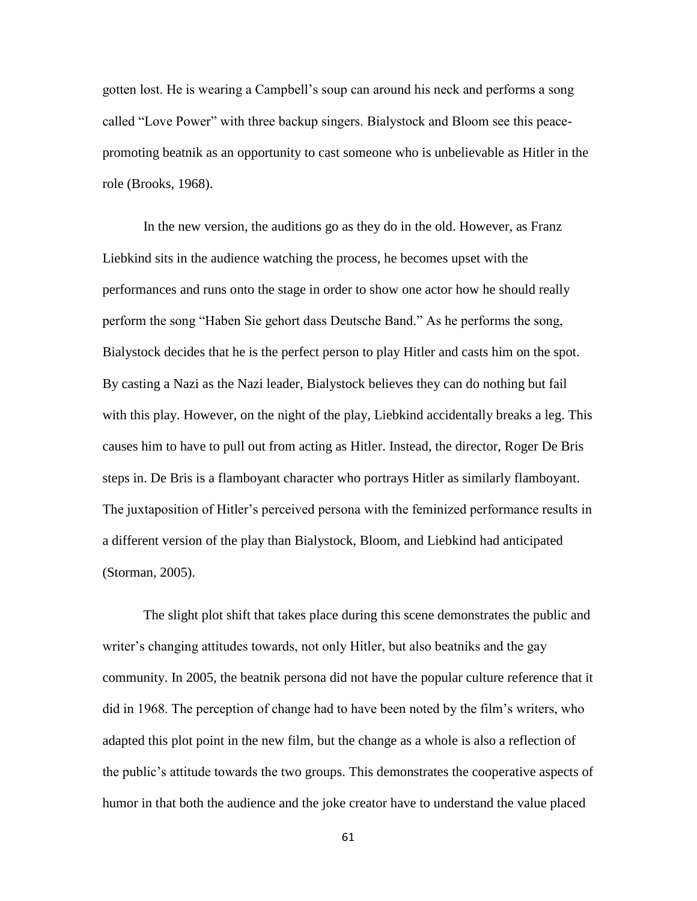gotten lost. He is wearing a Campbell's soup can around his neck and performs a song called "Love Power" with three backup singers. Bialystock and Bloom see this peacepromoting beatnik as an opportunity to cast someone who is unbelievable as Hitler in the role (Brooks, 1968).

In the new version, the auditions go as they do in the old. However, as Franz Liebkind sits in the audience watching the process, he becomes upset with the performances and runs onto the stage in order to show one actor how he should really perform the song "Haben Sie gehort dass Deutsche Band." As he performs the song, Bialystock decides that he is the perfect person to play Hitler and casts him on the spot. By casting a Nazi as the Nazi leader, Bialystock believes they can do nothing but fail with this play. However, on the night of the play, Liebkind accidentally breaks a leg. This causes him to have to pull out from acting as Hitler. Instead, the director, Roger De Bris steps in. De Bris is a flamboyant character who portrays Hitler as similarly flamboyant. The juxtaposition of Hitler's perceived persona with the feminized performance results in a different version of the play than Bialystock, Bloom, and Liebkind had anticipated (Storman, 2005).

The slight plot shift that takes place during this scene demonstrates the public and writer's changing attitudes towards, not only Hitler, but also beatniks and the gay community. In 2005, the beatnik persona did not have the popular culture reference that it did in 1968. The perception of change had to have been noted by the film's writers, who adapted this plot point in the new film, but the change as a whole is also a reflection of the public's attitude towards the two groups. This demonstrates the cooperative aspects of humor in that both the audience and the joke creator have to understand the value placed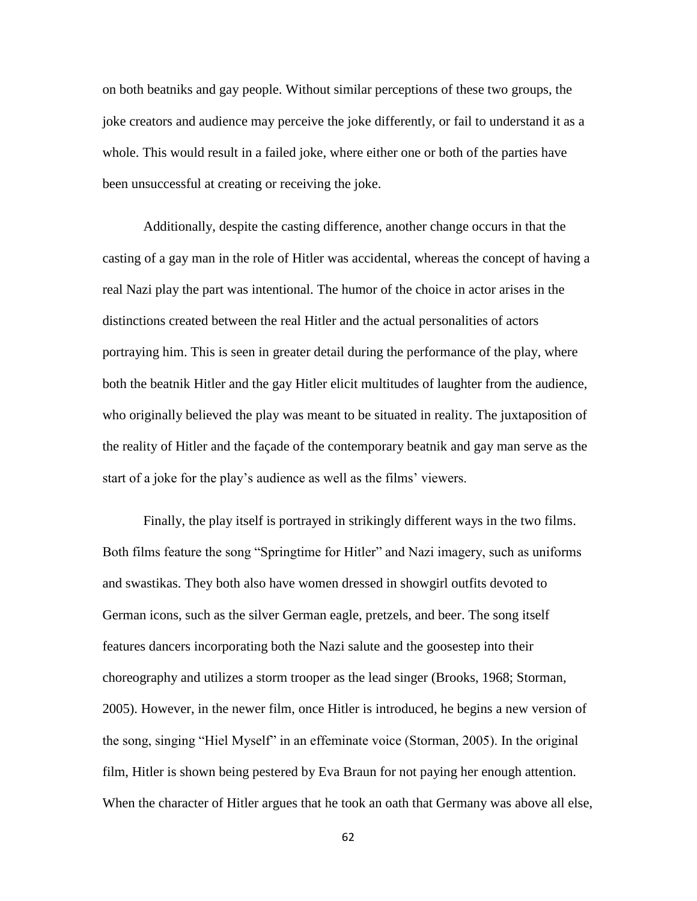on both beatniks and gay people. Without similar perceptions of these two groups, the joke creators and audience may perceive the joke differently, or fail to understand it as a whole. This would result in a failed joke, where either one or both of the parties have been unsuccessful at creating or receiving the joke.

Additionally, despite the casting difference, another change occurs in that the casting of a gay man in the role of Hitler was accidental, whereas the concept of having a real Nazi play the part was intentional. The humor of the choice in actor arises in the distinctions created between the real Hitler and the actual personalities of actors portraying him. This is seen in greater detail during the performance of the play, where both the beatnik Hitler and the gay Hitler elicit multitudes of laughter from the audience, who originally believed the play was meant to be situated in reality. The juxtaposition of the reality of Hitler and the façade of the contemporary beatnik and gay man serve as the start of a joke for the play's audience as well as the films' viewers.

Finally, the play itself is portrayed in strikingly different ways in the two films. Both films feature the song "Springtime for Hitler" and Nazi imagery, such as uniforms and swastikas. They both also have women dressed in showgirl outfits devoted to German icons, such as the silver German eagle, pretzels, and beer. The song itself features dancers incorporating both the Nazi salute and the goosestep into their choreography and utilizes a storm trooper as the lead singer (Brooks, 1968; Storman, 2005). However, in the newer film, once Hitler is introduced, he begins a new version of the song, singing "Hiel Myself" in an effeminate voice (Storman, 2005). In the original film, Hitler is shown being pestered by Eva Braun for not paying her enough attention. When the character of Hitler argues that he took an oath that Germany was above all else,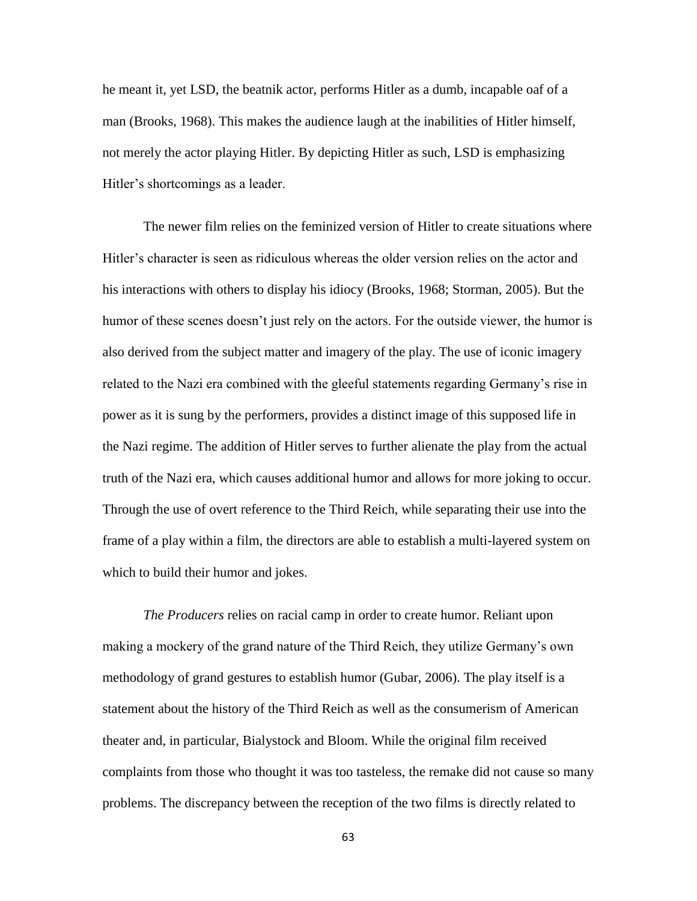he meant it, yet LSD, the beatnik actor, performs Hitler as a dumb, incapable oaf of a man (Brooks, 1968). This makes the audience laugh at the inabilities of Hitler himself, not merely the actor playing Hitler. By depicting Hitler as such, LSD is emphasizing Hitler's shortcomings as a leader.

The newer film relies on the feminized version of Hitler to create situations where Hitler's character is seen as ridiculous whereas the older version relies on the actor and his interactions with others to display his idiocy (Brooks, 1968; Storman, 2005). But the humor of these scenes doesn't just rely on the actors. For the outside viewer, the humor is also derived from the subject matter and imagery of the play. The use of iconic imagery related to the Nazi era combined with the gleeful statements regarding Germany's rise in power as it is sung by the performers, provides a distinct image of this supposed life in the Nazi regime. The addition of Hitler serves to further alienate the play from the actual truth of the Nazi era, which causes additional humor and allows for more joking to occur. Through the use of overt reference to the Third Reich, while separating their use into the frame of a play within a film, the directors are able to establish a multi-layered system on which to build their humor and jokes.

*The Producers* relies on racial camp in order to create humor. Reliant upon making a mockery of the grand nature of the Third Reich, they utilize Germany's own methodology of grand gestures to establish humor (Gubar, 2006). The play itself is a statement about the history of the Third Reich as well as the consumerism of American theater and, in particular, Bialystock and Bloom. While the original film received complaints from those who thought it was too tasteless, the remake did not cause so many problems. The discrepancy between the reception of the two films is directly related to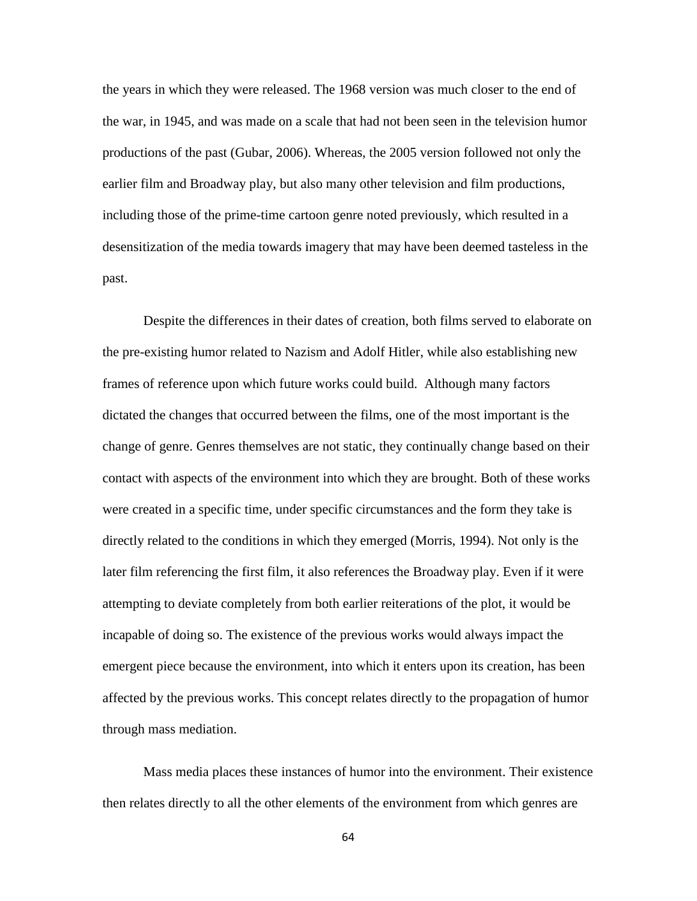the years in which they were released. The 1968 version was much closer to the end of the war, in 1945, and was made on a scale that had not been seen in the television humor productions of the past (Gubar, 2006). Whereas, the 2005 version followed not only the earlier film and Broadway play, but also many other television and film productions, including those of the prime-time cartoon genre noted previously, which resulted in a desensitization of the media towards imagery that may have been deemed tasteless in the past.

Despite the differences in their dates of creation, both films served to elaborate on the pre-existing humor related to Nazism and Adolf Hitler, while also establishing new frames of reference upon which future works could build. Although many factors dictated the changes that occurred between the films, one of the most important is the change of genre. Genres themselves are not static, they continually change based on their contact with aspects of the environment into which they are brought. Both of these works were created in a specific time, under specific circumstances and the form they take is directly related to the conditions in which they emerged (Morris, 1994). Not only is the later film referencing the first film, it also references the Broadway play. Even if it were attempting to deviate completely from both earlier reiterations of the plot, it would be incapable of doing so. The existence of the previous works would always impact the emergent piece because the environment, into which it enters upon its creation, has been affected by the previous works. This concept relates directly to the propagation of humor through mass mediation.

Mass media places these instances of humor into the environment. Their existence then relates directly to all the other elements of the environment from which genres are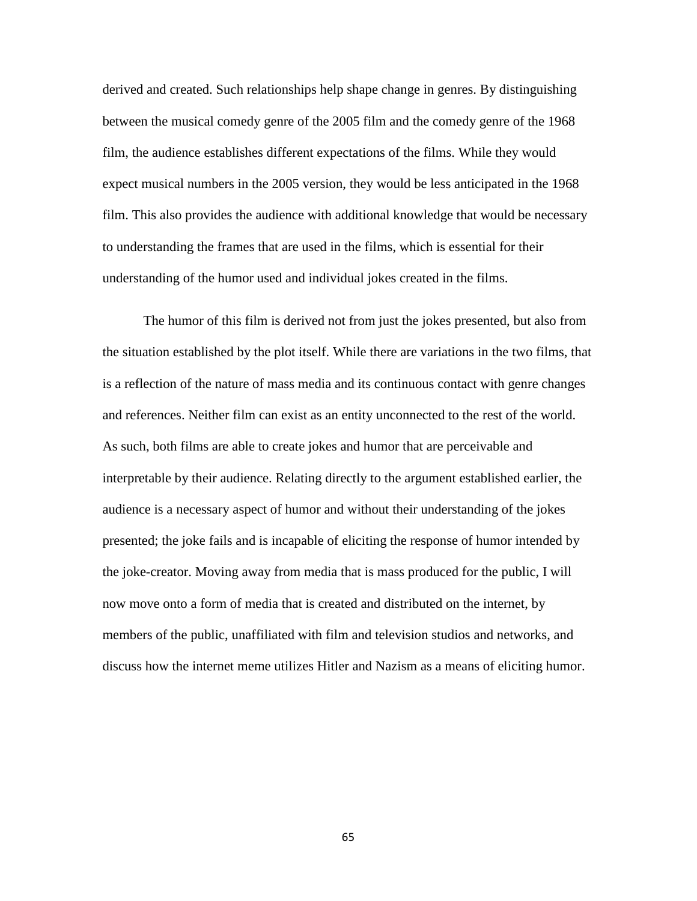derived and created. Such relationships help shape change in genres. By distinguishing between the musical comedy genre of the 2005 film and the comedy genre of the 1968 film, the audience establishes different expectations of the films. While they would expect musical numbers in the 2005 version, they would be less anticipated in the 1968 film. This also provides the audience with additional knowledge that would be necessary to understanding the frames that are used in the films, which is essential for their understanding of the humor used and individual jokes created in the films.

The humor of this film is derived not from just the jokes presented, but also from the situation established by the plot itself. While there are variations in the two films, that is a reflection of the nature of mass media and its continuous contact with genre changes and references. Neither film can exist as an entity unconnected to the rest of the world. As such, both films are able to create jokes and humor that are perceivable and interpretable by their audience. Relating directly to the argument established earlier, the audience is a necessary aspect of humor and without their understanding of the jokes presented; the joke fails and is incapable of eliciting the response of humor intended by the joke-creator. Moving away from media that is mass produced for the public, I will now move onto a form of media that is created and distributed on the internet, by members of the public, unaffiliated with film and television studios and networks, and discuss how the internet meme utilizes Hitler and Nazism as a means of eliciting humor.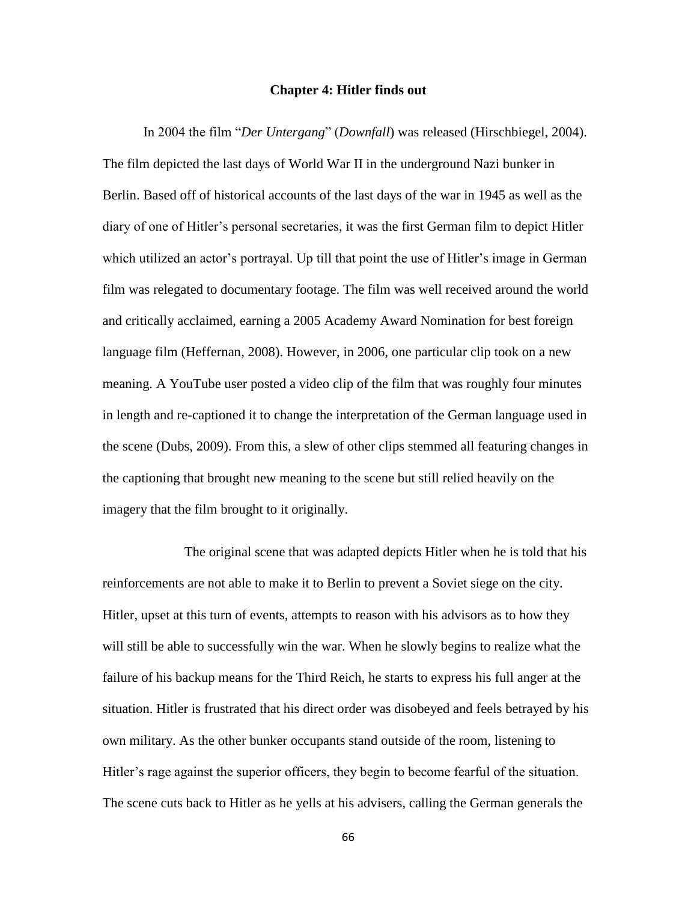## **Chapter 4: Hitler finds out**

In 2004 the film "*Der Untergang*" (*Downfall*) was released (Hirschbiegel, 2004). The film depicted the last days of World War II in the underground Nazi bunker in Berlin. Based off of historical accounts of the last days of the war in 1945 as well as the diary of one of Hitler's personal secretaries, it was the first German film to depict Hitler which utilized an actor's portrayal. Up till that point the use of Hitler's image in German film was relegated to documentary footage. The film was well received around the world and critically acclaimed, earning a 2005 Academy Award Nomination for best foreign language film (Heffernan, 2008). However, in 2006, one particular clip took on a new meaning. A YouTube user posted a video clip of the film that was roughly four minutes in length and re-captioned it to change the interpretation of the German language used in the scene (Dubs, 2009). From this, a slew of other clips stemmed all featuring changes in the captioning that brought new meaning to the scene but still relied heavily on the imagery that the film brought to it originally.

The original scene that was adapted depicts Hitler when he is told that his reinforcements are not able to make it to Berlin to prevent a Soviet siege on the city. Hitler, upset at this turn of events, attempts to reason with his advisors as to how they will still be able to successfully win the war. When he slowly begins to realize what the failure of his backup means for the Third Reich, he starts to express his full anger at the situation. Hitler is frustrated that his direct order was disobeyed and feels betrayed by his own military. As the other bunker occupants stand outside of the room, listening to Hitler's rage against the superior officers, they begin to become fearful of the situation. The scene cuts back to Hitler as he yells at his advisers, calling the German generals the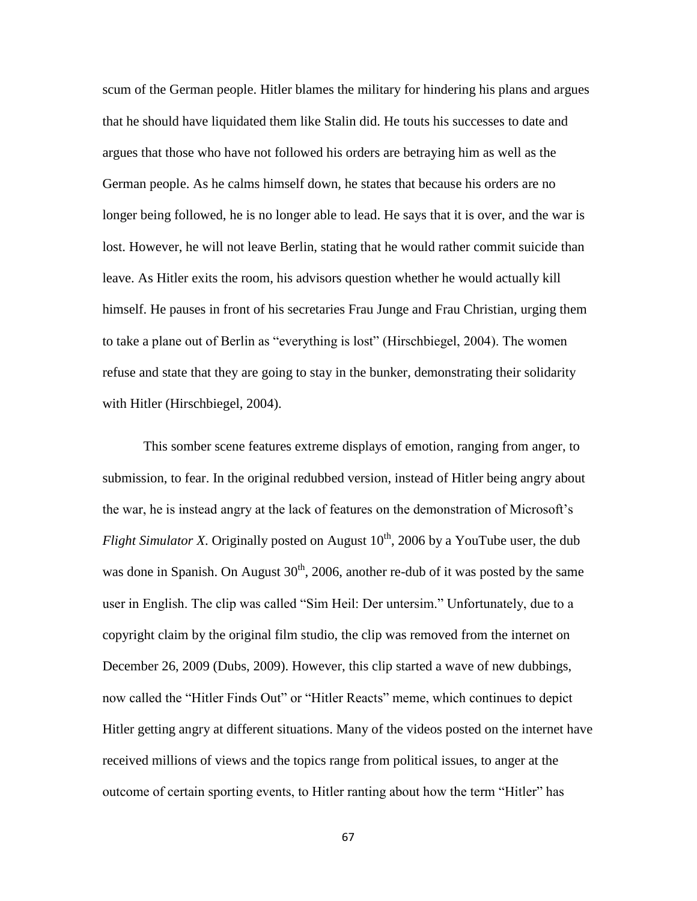scum of the German people. Hitler blames the military for hindering his plans and argues that he should have liquidated them like Stalin did. He touts his successes to date and argues that those who have not followed his orders are betraying him as well as the German people. As he calms himself down, he states that because his orders are no longer being followed, he is no longer able to lead. He says that it is over, and the war is lost. However, he will not leave Berlin, stating that he would rather commit suicide than leave. As Hitler exits the room, his advisors question whether he would actually kill himself. He pauses in front of his secretaries Frau Junge and Frau Christian, urging them to take a plane out of Berlin as "everything is lost" (Hirschbiegel, 2004). The women refuse and state that they are going to stay in the bunker, demonstrating their solidarity with Hitler (Hirschbiegel, 2004).

This somber scene features extreme displays of emotion, ranging from anger, to submission, to fear. In the original redubbed version, instead of Hitler being angry about the war, he is instead angry at the lack of features on the demonstration of Microsoft's *Flight Simulator X*. Originally posted on August  $10<sup>th</sup>$ , 2006 by a YouTube user, the dub was done in Spanish. On August  $30<sup>th</sup>$ , 2006, another re-dub of it was posted by the same user in English. The clip was called "Sim Heil: Der untersim." Unfortunately, due to a copyright claim by the original film studio, the clip was removed from the internet on December 26, 2009 (Dubs, 2009). However, this clip started a wave of new dubbings, now called the "Hitler Finds Out" or "Hitler Reacts" meme, which continues to depict Hitler getting angry at different situations. Many of the videos posted on the internet have received millions of views and the topics range from political issues, to anger at the outcome of certain sporting events, to Hitler ranting about how the term "Hitler" has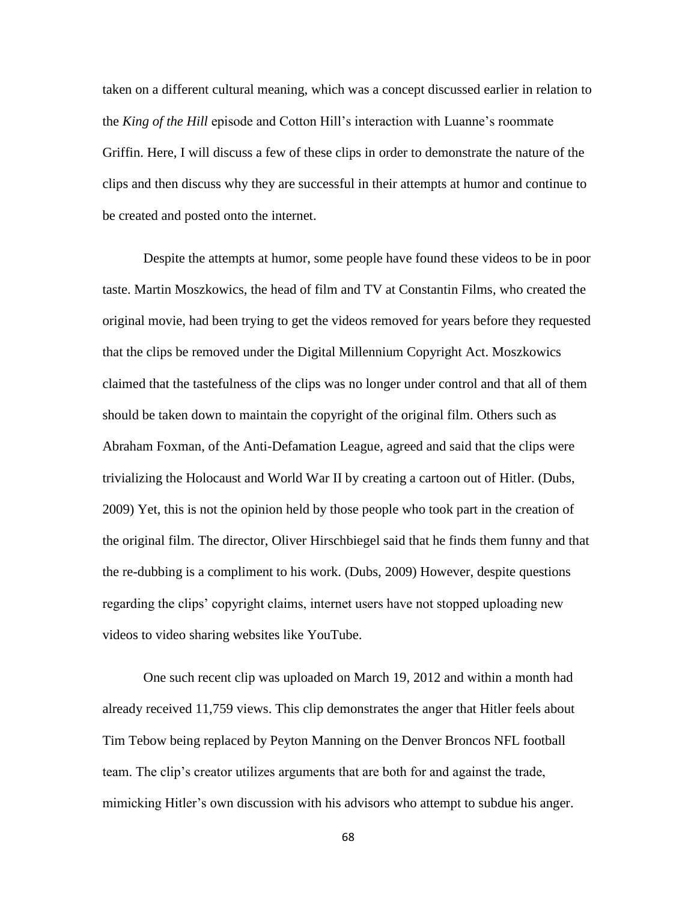taken on a different cultural meaning, which was a concept discussed earlier in relation to the *King of the Hill* episode and Cotton Hill's interaction with Luanne's roommate Griffin. Here, I will discuss a few of these clips in order to demonstrate the nature of the clips and then discuss why they are successful in their attempts at humor and continue to be created and posted onto the internet.

Despite the attempts at humor, some people have found these videos to be in poor taste. Martin Moszkowics, the head of film and TV at Constantin Films, who created the original movie, had been trying to get the videos removed for years before they requested that the clips be removed under the Digital Millennium Copyright Act. Moszkowics claimed that the tastefulness of the clips was no longer under control and that all of them should be taken down to maintain the copyright of the original film. Others such as Abraham Foxman, of the Anti-Defamation League, agreed and said that the clips were trivializing the Holocaust and World War II by creating a cartoon out of Hitler. (Dubs, 2009) Yet, this is not the opinion held by those people who took part in the creation of the original film. The director, Oliver Hirschbiegel said that he finds them funny and that the re-dubbing is a compliment to his work. (Dubs, 2009) However, despite questions regarding the clips' copyright claims, internet users have not stopped uploading new videos to video sharing websites like YouTube.

One such recent clip was uploaded on March 19, 2012 and within a month had already received 11,759 views. This clip demonstrates the anger that Hitler feels about Tim Tebow being replaced by Peyton Manning on the Denver Broncos NFL football team. The clip's creator utilizes arguments that are both for and against the trade, mimicking Hitler's own discussion with his advisors who attempt to subdue his anger.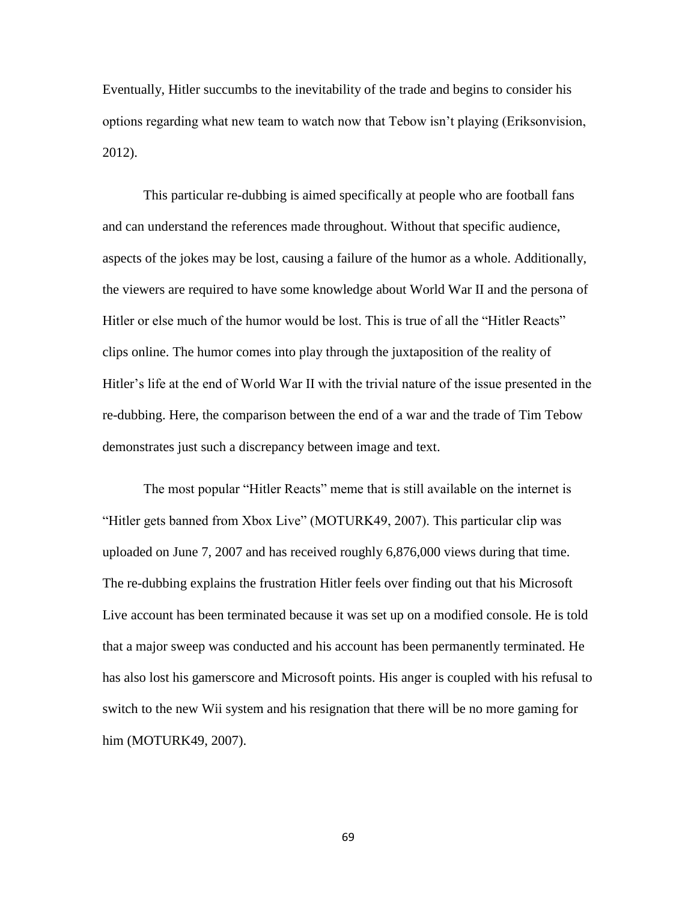Eventually, Hitler succumbs to the inevitability of the trade and begins to consider his options regarding what new team to watch now that Tebow isn't playing (Eriksonvision, 2012).

This particular re-dubbing is aimed specifically at people who are football fans and can understand the references made throughout. Without that specific audience, aspects of the jokes may be lost, causing a failure of the humor as a whole. Additionally, the viewers are required to have some knowledge about World War II and the persona of Hitler or else much of the humor would be lost. This is true of all the "Hitler Reacts" clips online. The humor comes into play through the juxtaposition of the reality of Hitler's life at the end of World War II with the trivial nature of the issue presented in the re-dubbing. Here, the comparison between the end of a war and the trade of Tim Tebow demonstrates just such a discrepancy between image and text.

The most popular "Hitler Reacts" meme that is still available on the internet is "Hitler gets banned from Xbox Live" (MOTURK49, 2007). This particular clip was uploaded on June 7, 2007 and has received roughly 6,876,000 views during that time. The re-dubbing explains the frustration Hitler feels over finding out that his Microsoft Live account has been terminated because it was set up on a modified console. He is told that a major sweep was conducted and his account has been permanently terminated. He has also lost his gamerscore and Microsoft points. His anger is coupled with his refusal to switch to the new Wii system and his resignation that there will be no more gaming for him (MOTURK49, 2007).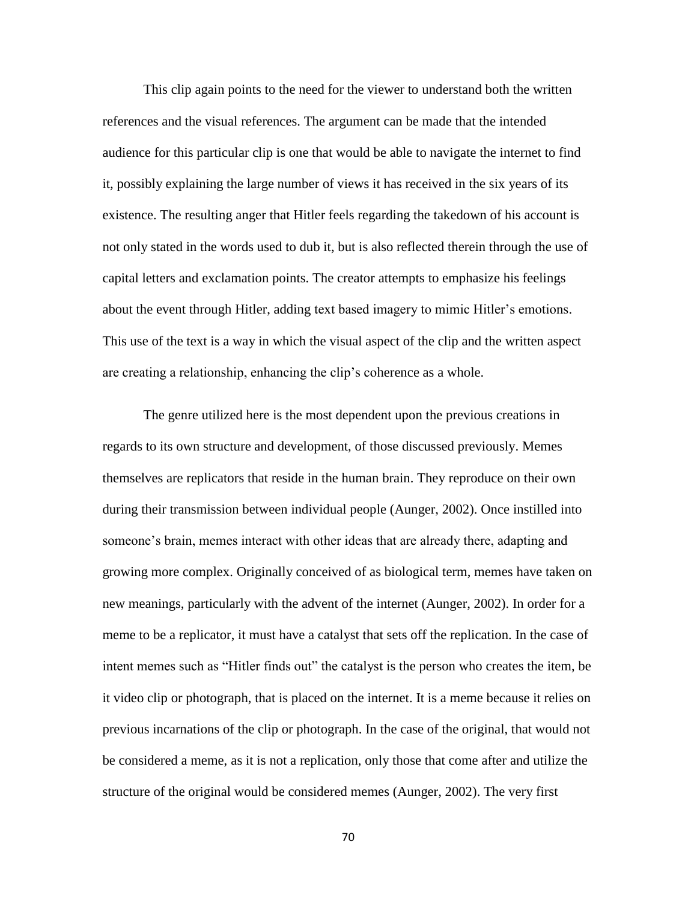This clip again points to the need for the viewer to understand both the written references and the visual references. The argument can be made that the intended audience for this particular clip is one that would be able to navigate the internet to find it, possibly explaining the large number of views it has received in the six years of its existence. The resulting anger that Hitler feels regarding the takedown of his account is not only stated in the words used to dub it, but is also reflected therein through the use of capital letters and exclamation points. The creator attempts to emphasize his feelings about the event through Hitler, adding text based imagery to mimic Hitler's emotions. This use of the text is a way in which the visual aspect of the clip and the written aspect are creating a relationship, enhancing the clip's coherence as a whole.

The genre utilized here is the most dependent upon the previous creations in regards to its own structure and development, of those discussed previously. Memes themselves are replicators that reside in the human brain. They reproduce on their own during their transmission between individual people (Aunger, 2002). Once instilled into someone's brain, memes interact with other ideas that are already there, adapting and growing more complex. Originally conceived of as biological term, memes have taken on new meanings, particularly with the advent of the internet (Aunger, 2002). In order for a meme to be a replicator, it must have a catalyst that sets off the replication. In the case of intent memes such as "Hitler finds out" the catalyst is the person who creates the item, be it video clip or photograph, that is placed on the internet. It is a meme because it relies on previous incarnations of the clip or photograph. In the case of the original, that would not be considered a meme, as it is not a replication, only those that come after and utilize the structure of the original would be considered memes (Aunger, 2002). The very first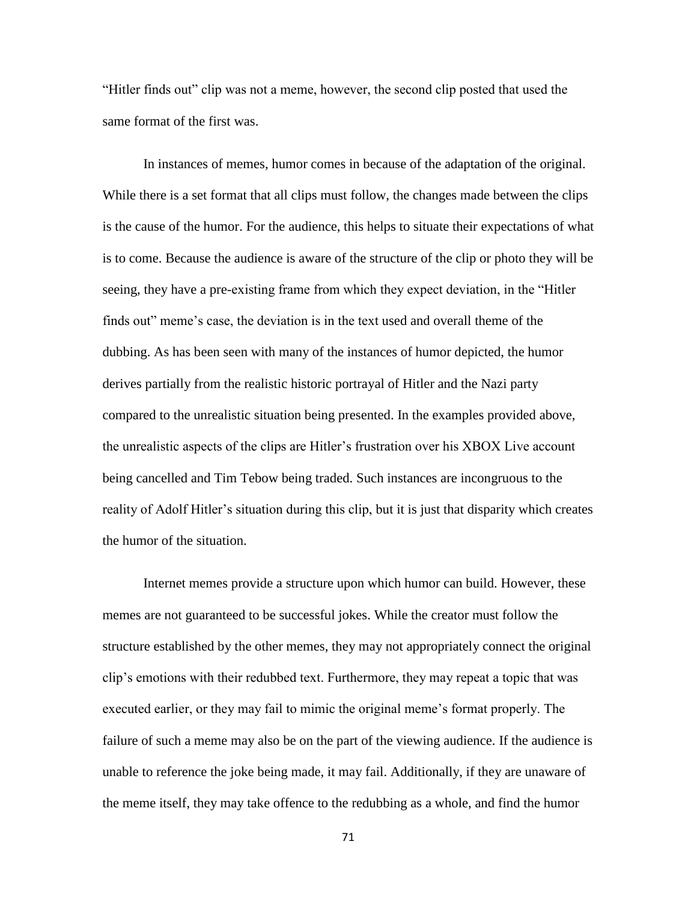"Hitler finds out" clip was not a meme, however, the second clip posted that used the same format of the first was.

In instances of memes, humor comes in because of the adaptation of the original. While there is a set format that all clips must follow, the changes made between the clips is the cause of the humor. For the audience, this helps to situate their expectations of what is to come. Because the audience is aware of the structure of the clip or photo they will be seeing, they have a pre-existing frame from which they expect deviation, in the "Hitler finds out" meme's case, the deviation is in the text used and overall theme of the dubbing. As has been seen with many of the instances of humor depicted, the humor derives partially from the realistic historic portrayal of Hitler and the Nazi party compared to the unrealistic situation being presented. In the examples provided above, the unrealistic aspects of the clips are Hitler's frustration over his XBOX Live account being cancelled and Tim Tebow being traded. Such instances are incongruous to the reality of Adolf Hitler's situation during this clip, but it is just that disparity which creates the humor of the situation.

Internet memes provide a structure upon which humor can build. However, these memes are not guaranteed to be successful jokes. While the creator must follow the structure established by the other memes, they may not appropriately connect the original clip's emotions with their redubbed text. Furthermore, they may repeat a topic that was executed earlier, or they may fail to mimic the original meme's format properly. The failure of such a meme may also be on the part of the viewing audience. If the audience is unable to reference the joke being made, it may fail. Additionally, if they are unaware of the meme itself, they may take offence to the redubbing as a whole, and find the humor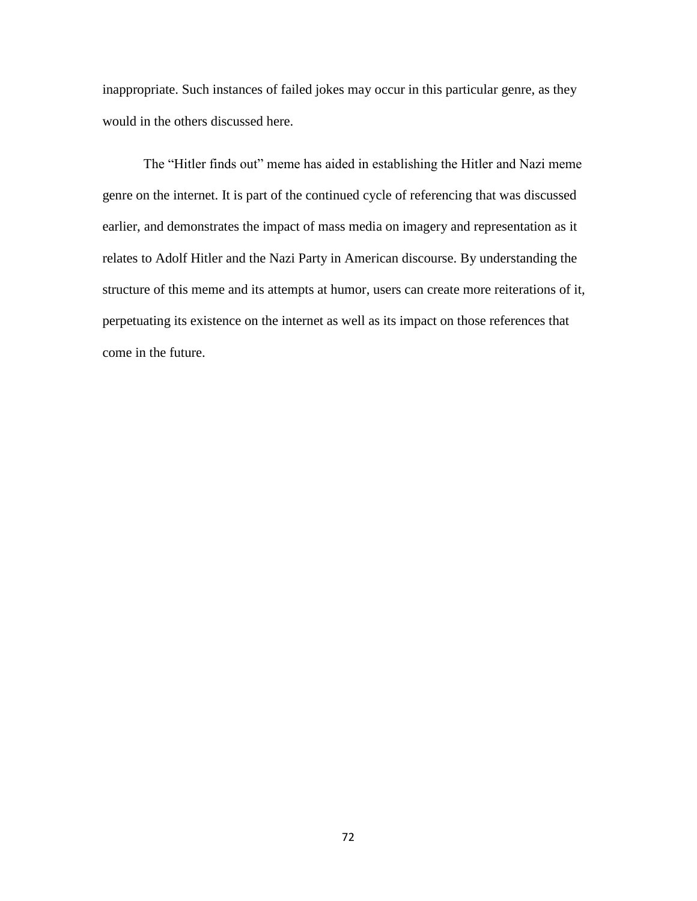inappropriate. Such instances of failed jokes may occur in this particular genre, as they would in the others discussed here.

The "Hitler finds out" meme has aided in establishing the Hitler and Nazi meme genre on the internet. It is part of the continued cycle of referencing that was discussed earlier, and demonstrates the impact of mass media on imagery and representation as it relates to Adolf Hitler and the Nazi Party in American discourse. By understanding the structure of this meme and its attempts at humor, users can create more reiterations of it, perpetuating its existence on the internet as well as its impact on those references that come in the future.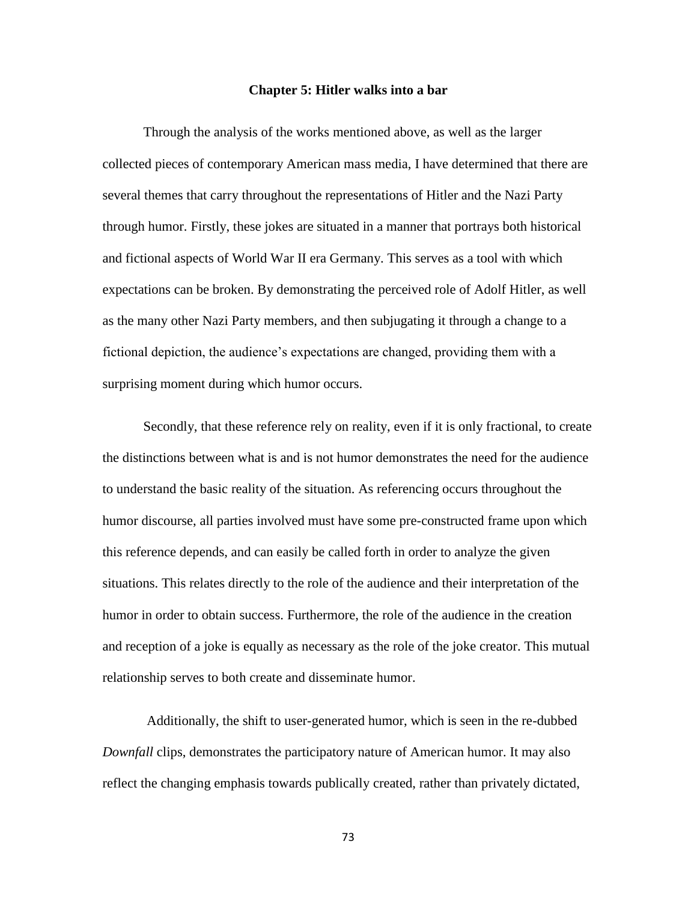#### **Chapter 5: Hitler walks into a bar**

Through the analysis of the works mentioned above, as well as the larger collected pieces of contemporary American mass media, I have determined that there are several themes that carry throughout the representations of Hitler and the Nazi Party through humor. Firstly, these jokes are situated in a manner that portrays both historical and fictional aspects of World War II era Germany. This serves as a tool with which expectations can be broken. By demonstrating the perceived role of Adolf Hitler, as well as the many other Nazi Party members, and then subjugating it through a change to a fictional depiction, the audience's expectations are changed, providing them with a surprising moment during which humor occurs.

Secondly, that these reference rely on reality, even if it is only fractional, to create the distinctions between what is and is not humor demonstrates the need for the audience to understand the basic reality of the situation. As referencing occurs throughout the humor discourse, all parties involved must have some pre-constructed frame upon which this reference depends, and can easily be called forth in order to analyze the given situations. This relates directly to the role of the audience and their interpretation of the humor in order to obtain success. Furthermore, the role of the audience in the creation and reception of a joke is equally as necessary as the role of the joke creator. This mutual relationship serves to both create and disseminate humor.

Additionally, the shift to user-generated humor, which is seen in the re-dubbed *Downfall* clips, demonstrates the participatory nature of American humor. It may also reflect the changing emphasis towards publically created, rather than privately dictated,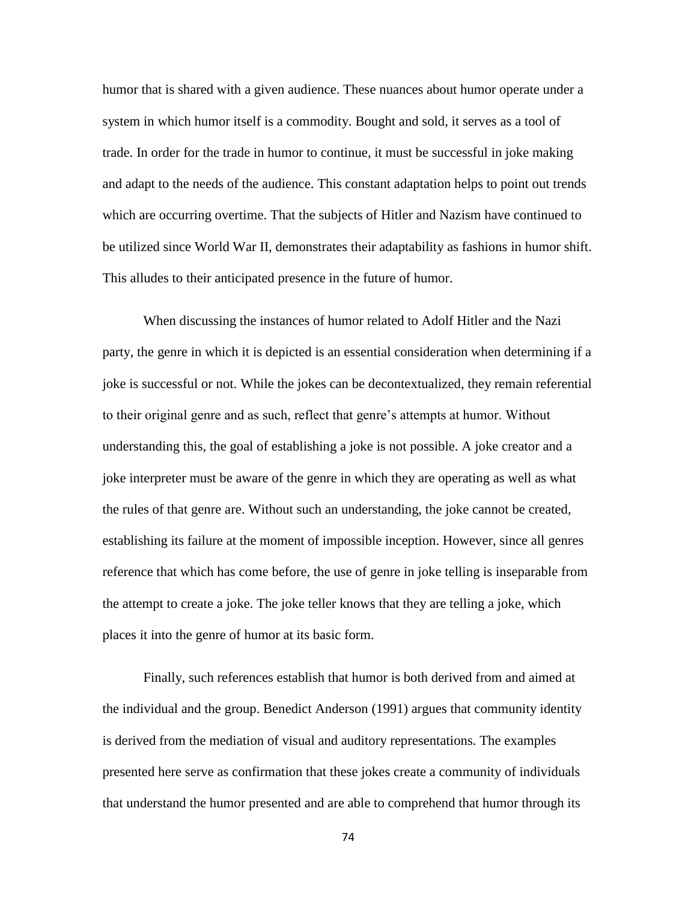humor that is shared with a given audience. These nuances about humor operate under a system in which humor itself is a commodity. Bought and sold, it serves as a tool of trade. In order for the trade in humor to continue, it must be successful in joke making and adapt to the needs of the audience. This constant adaptation helps to point out trends which are occurring overtime. That the subjects of Hitler and Nazism have continued to be utilized since World War II, demonstrates their adaptability as fashions in humor shift. This alludes to their anticipated presence in the future of humor.

When discussing the instances of humor related to Adolf Hitler and the Nazi party, the genre in which it is depicted is an essential consideration when determining if a joke is successful or not. While the jokes can be decontextualized, they remain referential to their original genre and as such, reflect that genre's attempts at humor. Without understanding this, the goal of establishing a joke is not possible. A joke creator and a joke interpreter must be aware of the genre in which they are operating as well as what the rules of that genre are. Without such an understanding, the joke cannot be created, establishing its failure at the moment of impossible inception. However, since all genres reference that which has come before, the use of genre in joke telling is inseparable from the attempt to create a joke. The joke teller knows that they are telling a joke, which places it into the genre of humor at its basic form.

Finally, such references establish that humor is both derived from and aimed at the individual and the group. Benedict Anderson (1991) argues that community identity is derived from the mediation of visual and auditory representations. The examples presented here serve as confirmation that these jokes create a community of individuals that understand the humor presented and are able to comprehend that humor through its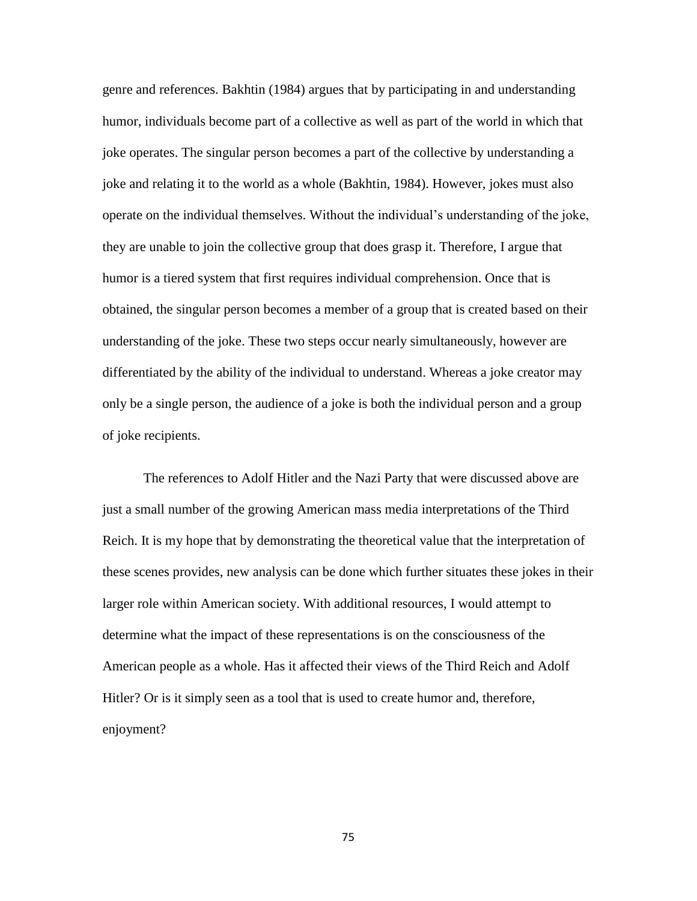genre and references. Bakhtin (1984) argues that by participating in and understanding humor, individuals become part of a collective as well as part of the world in which that joke operates. The singular person becomes a part of the collective by understanding a joke and relating it to the world as a whole (Bakhtin, 1984). However, jokes must also operate on the individual themselves. Without the individual's understanding of the joke, they are unable to join the collective group that does grasp it. Therefore, I argue that humor is a tiered system that first requires individual comprehension. Once that is obtained, the singular person becomes a member of a group that is created based on their understanding of the joke. These two steps occur nearly simultaneously, however are differentiated by the ability of the individual to understand. Whereas a joke creator may only be a single person, the audience of a joke is both the individual person and a group of joke recipients.

The references to Adolf Hitler and the Nazi Party that were discussed above are just a small number of the growing American mass media interpretations of the Third Reich. It is my hope that by demonstrating the theoretical value that the interpretation of these scenes provides, new analysis can be done which further situates these jokes in their larger role within American society. With additional resources, I would attempt to determine what the impact of these representations is on the consciousness of the American people as a whole. Has it affected their views of the Third Reich and Adolf Hitler? Or is it simply seen as a tool that is used to create humor and, therefore, enjoyment?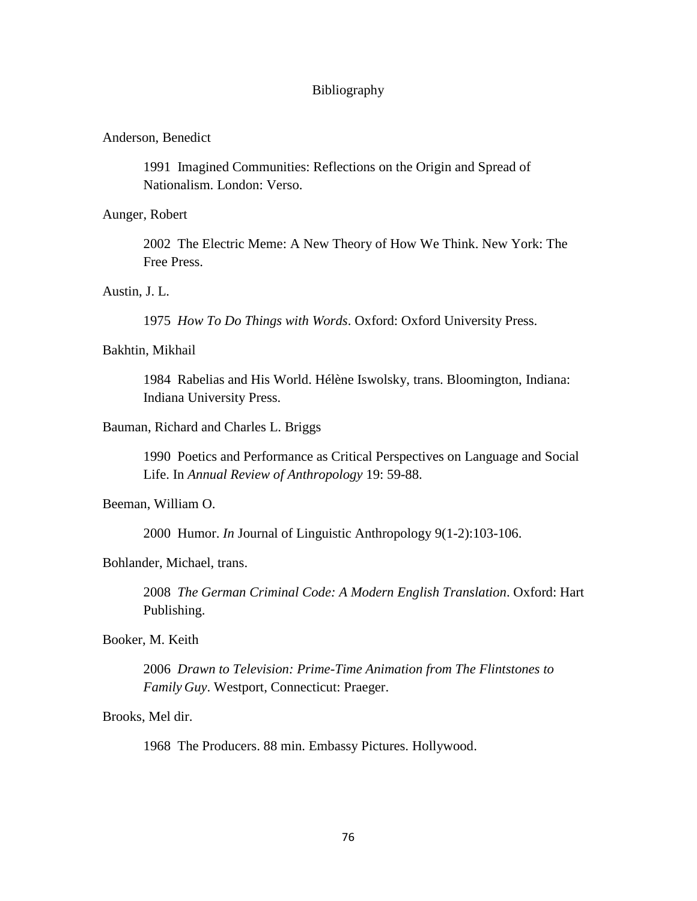## Bibliography

# Anderson, Benedict

1991 Imagined Communities: Reflections on the Origin and Spread of Nationalism. London: Verso.

## Aunger, Robert

2002 The Electric Meme: A New Theory of How We Think. New York: The Free Press.

# Austin, J. L.

1975 *How To Do Things with Words*. Oxford: Oxford University Press.

# Bakhtin, Mikhail

1984 Rabelias and His World. Hélène Iswolsky, trans. Bloomington, Indiana: Indiana University Press.

## Bauman, Richard and Charles L. Briggs

1990 Poetics and Performance as Critical Perspectives on Language and Social Life. In *Annual Review of Anthropology* 19: 59-88.

### Beeman, William O.

2000 Humor. *In* Journal of Linguistic Anthropology 9(1-2):103-106.

# Bohlander, Michael, trans.

2008 *The German Criminal Code: A Modern English Translation*. Oxford: Hart Publishing.

## Booker, M. Keith

2006 *Drawn to Television: Prime-Time Animation from The Flintstones to Family Guy*. Westport, Connecticut: Praeger.

Brooks, Mel dir.

1968 The Producers. 88 min. Embassy Pictures. Hollywood.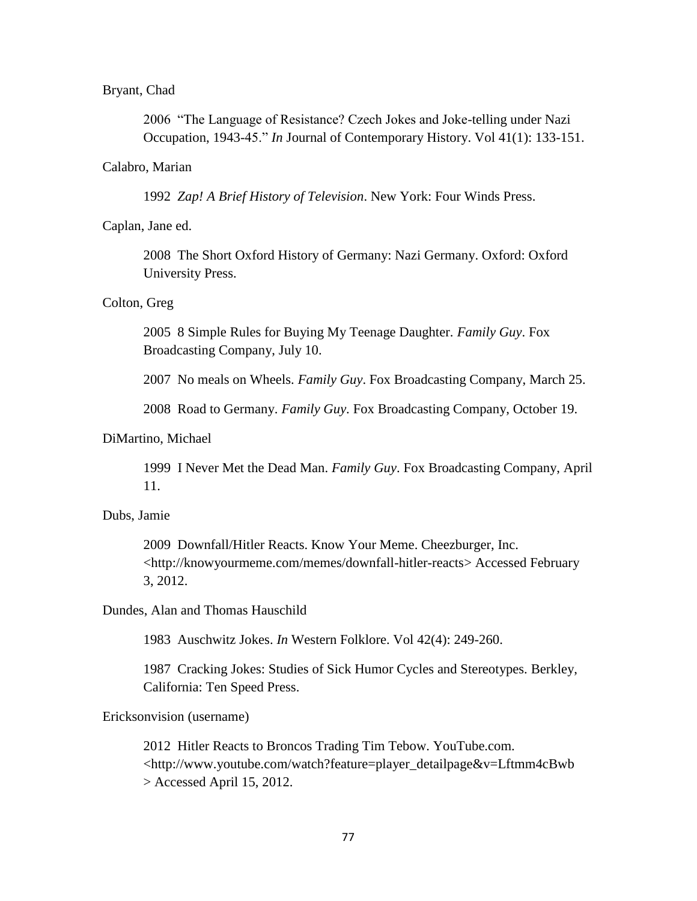#### Bryant, Chad

2006 "The Language of Resistance? Czech Jokes and Joke-telling under Nazi Occupation, 1943-45." *In* Journal of Contemporary History. Vol 41(1): 133-151.

#### Calabro, Marian

1992 *Zap! A Brief History of Television*. New York: Four Winds Press.

# Caplan, Jane ed.

2008 The Short Oxford History of Germany: Nazi Germany. Oxford: Oxford University Press.

#### Colton, Greg

2005 8 Simple Rules for Buying My Teenage Daughter. *Family Guy*. Fox Broadcasting Company, July 10.

2007 No meals on Wheels. *Family Guy*. Fox Broadcasting Company, March 25.

2008 Road to Germany. *Family Guy*. Fox Broadcasting Company, October 19.

# DiMartino, Michael

1999 I Never Met the Dead Man. *Family Guy*. Fox Broadcasting Company, April 11.

# Dubs, Jamie

2009 Downfall/Hitler Reacts. Know Your Meme. Cheezburger, Inc. <http://knowyourmeme.com/memes/downfall-hitler-reacts> Accessed February 3, 2012.

## Dundes, Alan and Thomas Hauschild

1983 Auschwitz Jokes. *In* Western Folklore. Vol 42(4): 249-260.

1987 Cracking Jokes: Studies of Sick Humor Cycles and Stereotypes. Berkley, California: Ten Speed Press.

### Ericksonvision (username)

2012 Hitler Reacts to Broncos Trading Tim Tebow. YouTube.com. <http://www.youtube.com/watch?feature=player\_detailpage&v=Lftmm4cBwb > Accessed April 15, 2012.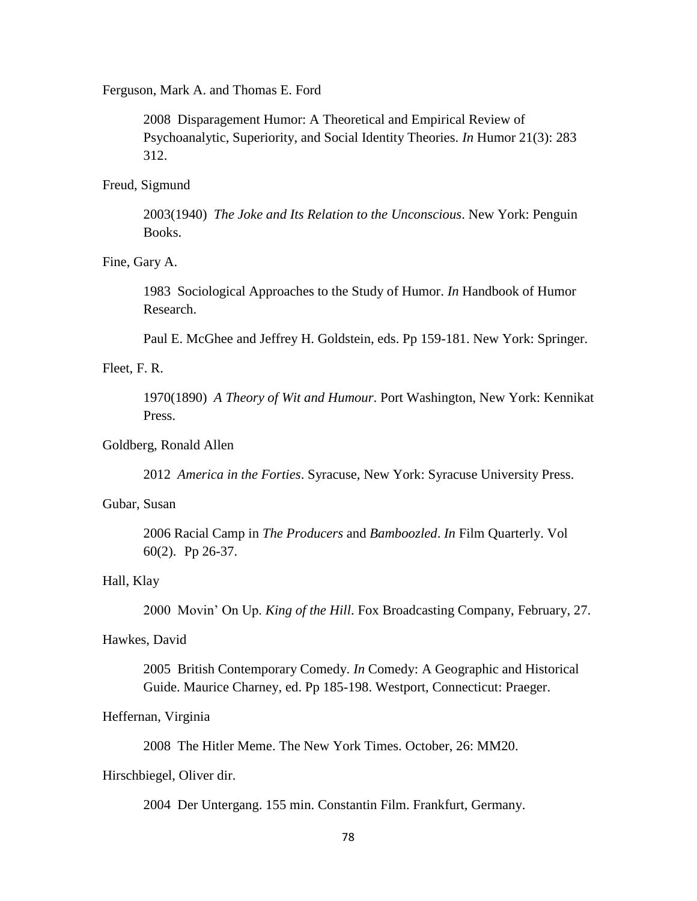Ferguson, Mark A. and Thomas E. Ford

2008 Disparagement Humor: A Theoretical and Empirical Review of Psychoanalytic, Superiority, and Social Identity Theories. *In* Humor 21(3): 283 312.

#### Freud, Sigmund

2003(1940) *The Joke and Its Relation to the Unconscious*. New York: Penguin Books.

# Fine, Gary A.

1983 Sociological Approaches to the Study of Humor. *In* Handbook of Humor Research.

Paul E. McGhee and Jeffrey H. Goldstein, eds. Pp 159-181. New York: Springer.

# Fleet, F. R.

1970(1890) *A Theory of Wit and Humour*. Port Washington, New York: Kennikat Press.

## Goldberg, Ronald Allen

2012 *America in the Forties*. Syracuse, New York: Syracuse University Press.

## Gubar, Susan

2006 Racial Camp in *The Producers* and *Bamboozled*. *In* Film Quarterly. Vol 60(2). Pp 26-37.

# Hall, Klay

2000 Movin' On Up. *King of the Hill*. Fox Broadcasting Company, February, 27.

#### Hawkes, David

2005 British Contemporary Comedy. *In* Comedy: A Geographic and Historical Guide. Maurice Charney, ed. Pp 185-198. Westport, Connecticut: Praeger.

# Heffernan, Virginia

2008 The Hitler Meme. The New York Times. October, 26: MM20.

#### Hirschbiegel, Oliver dir.

2004 Der Untergang. 155 min. Constantin Film. Frankfurt, Germany.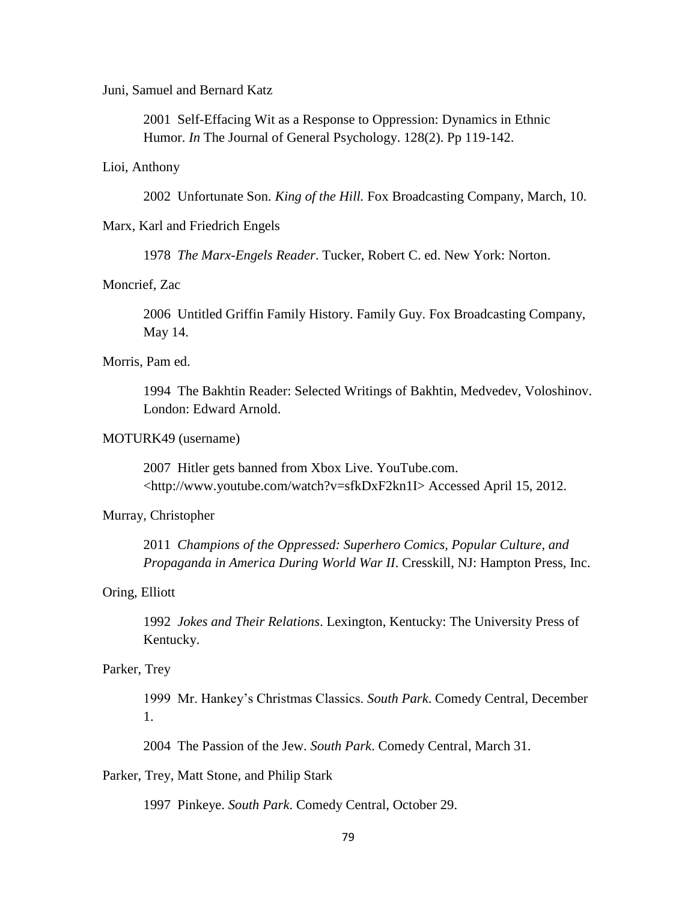### Juni, Samuel and Bernard Katz

2001 Self-Effacing Wit as a Response to Oppression: Dynamics in Ethnic Humor. *In* The Journal of General Psychology. 128(2). Pp 119-142.

#### Lioi, Anthony

2002 Unfortunate Son. *King of the Hill.* Fox Broadcasting Company, March, 10.

### Marx, Karl and Friedrich Engels

1978 *The Marx-Engels Reader*. Tucker, Robert C. ed. New York: Norton.

# Moncrief, Zac

2006 Untitled Griffin Family History. Family Guy. Fox Broadcasting Company, May 14.

## Morris, Pam ed.

1994 The Bakhtin Reader: Selected Writings of Bakhtin, Medvedev, Voloshinov. London: Edward Arnold.

## MOTURK49 (username)

2007 Hitler gets banned from Xbox Live. YouTube.com. <http://www.youtube.com/watch?v=sfkDxF2kn1I> Accessed April 15, 2012.

# Murray, Christopher

2011 *Champions of the Oppressed: Superhero Comics, Popular Culture, and Propaganda in America During World War II*. Cresskill, NJ: Hampton Press, Inc.

### Oring, Elliott

1992 *Jokes and Their Relations*. Lexington, Kentucky: The University Press of Kentucky.

# Parker, Trey

1999 Mr. Hankey's Christmas Classics. *South Park*. Comedy Central, December 1.

2004 The Passion of the Jew. *South Park*. Comedy Central, March 31.

## Parker, Trey, Matt Stone, and Philip Stark

1997 Pinkeye. *South Park*. Comedy Central, October 29.